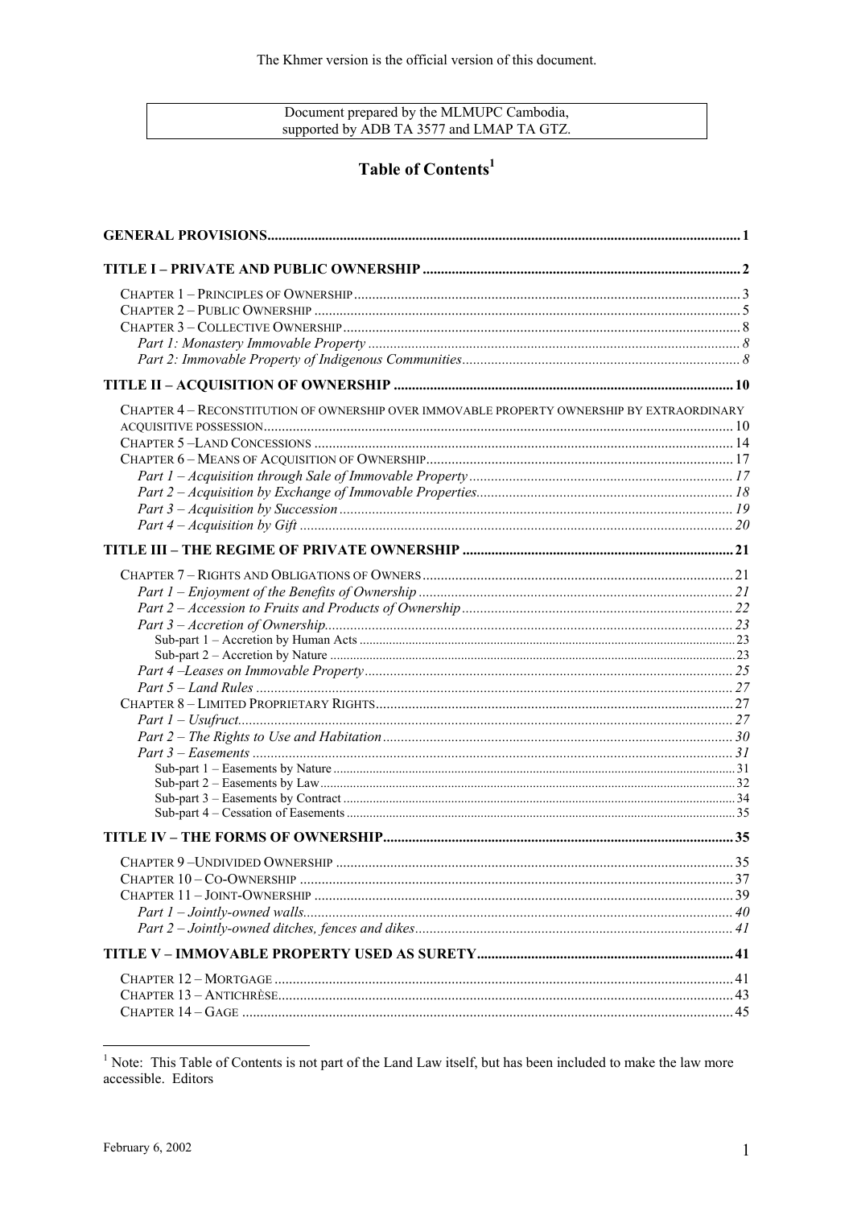# Document prepared by the MLMUPC Cambodia,<br>supported by ADB TA 3577 and LMAP TA GTZ.

# Table of Contents<sup>1</sup>

| CHAPTER 4 - RECONSTITUTION OF OWNERSHIP OVER IMMOVABLE PROPERTY OWNERSHIP BY EXTRAORDINARY |  |
|--------------------------------------------------------------------------------------------|--|
|                                                                                            |  |
|                                                                                            |  |
|                                                                                            |  |
|                                                                                            |  |
|                                                                                            |  |
|                                                                                            |  |
|                                                                                            |  |
|                                                                                            |  |
|                                                                                            |  |
|                                                                                            |  |
|                                                                                            |  |
|                                                                                            |  |
|                                                                                            |  |
|                                                                                            |  |
|                                                                                            |  |
|                                                                                            |  |
|                                                                                            |  |
|                                                                                            |  |
|                                                                                            |  |
|                                                                                            |  |
|                                                                                            |  |
|                                                                                            |  |
|                                                                                            |  |
|                                                                                            |  |
|                                                                                            |  |
|                                                                                            |  |
|                                                                                            |  |
|                                                                                            |  |
|                                                                                            |  |
|                                                                                            |  |
|                                                                                            |  |
|                                                                                            |  |
|                                                                                            |  |
|                                                                                            |  |
|                                                                                            |  |

 $<sup>1</sup>$  Note: This Table of Contents is not part of the Land Law itself, but has been included to make the law more accessible. Editors</sup>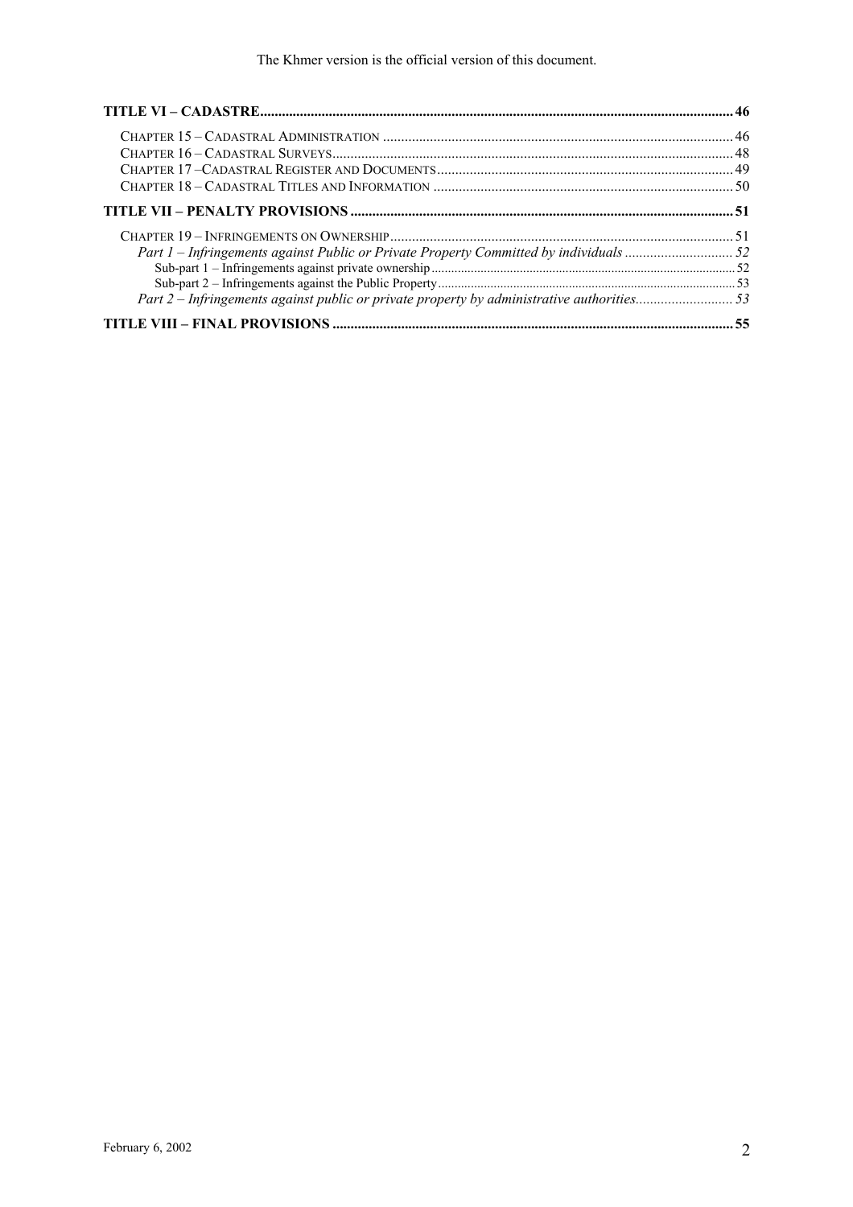| Part 1 – Infringements against Public or Private Property Committed by individuals  52    |  |
|-------------------------------------------------------------------------------------------|--|
|                                                                                           |  |
|                                                                                           |  |
| Part 2 - Infringements against public or private property by administrative authorities53 |  |
|                                                                                           |  |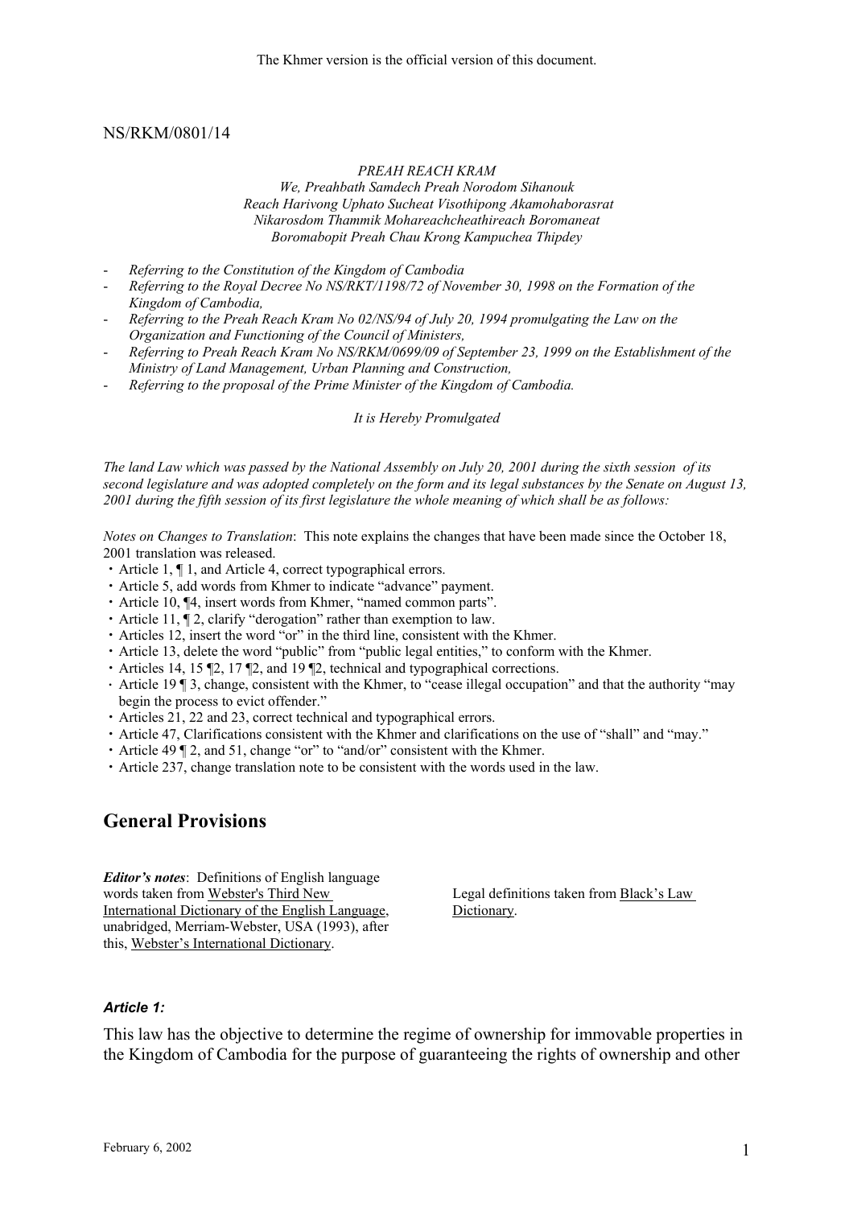#### NS/RKM/0801/14

#### *PREAH REACH KRAM*

*We, Preahbath Samdech Preah Norodom Sihanouk Reach Harivong Uphato Sucheat Visothipong Akamohaborasrat Nikarosdom Thammik Mohareachcheathireach Boromaneat Boromabopit Preah Chau Krong Kampuchea Thipdey* 

- *Referring to the Constitution of the Kingdom of Cambodia*
- *Referring to the Royal Decree No NS/RKT/1198/72 of November 30, 1998 on the Formation of the Kingdom of Cambodia,*
- *Referring to the Preah Reach Kram No 02/NS/94 of July 20, 1994 promulgating the Law on the Organization and Functioning of the Council of Ministers,*
- *Referring to Preah Reach Kram No NS/RKM/0699/09 of September 23, 1999 on the Establishment of the Ministry of Land Management, Urban Planning and Construction,*
- *Referring to the proposal of the Prime Minister of the Kingdom of Cambodia.*

*It is Hereby Promulgated* 

*The land Law which was passed by the National Assembly on July 20, 2001 during the sixth session of its second legislature and was adopted completely on the form and its legal substances by the Senate on August 13, 2001 during the fifth session of its first legislature the whole meaning of which shall be as follows:* 

*Notes on Changes to Translation*: This note explains the changes that have been made since the October 18, 2001 translation was released.

- $\cdot$  Article 1,  $\P$  1, and Article 4, correct typographical errors.
- x Article 5, add words from Khmer to indicate "advance" payment.
- x Article 10, ¶4, insert words from Khmer, "named common parts".
- $\cdot$  Article 11,  $\P$  2, clarify "derogation" rather than exemption to law.
- x Articles 12, insert the word "or" in the third line, consistent with the Khmer.
- x Article 13, delete the word "public" from "public legal entities," to conform with the Khmer.
- x Articles 14, 15 ¶2, 17 ¶2, and 19 ¶2, technical and typographical corrections.
- x Article 19 ¶ 3, change, consistent with the Khmer, to "cease illegal occupation" and that the authority "may begin the process to evict offender."
- Articles 21, 22 and 23, correct technical and typographical errors.
- x Article 47, Clarifications consistent with the Khmer and clarifications on the use of "shall" and "may."
- Article 49 ¶ 2, and 51, change "or" to "and/or" consistent with the Khmer.
- x Article 237, change translation note to be consistent with the words used in the law.

# **General Provisions**

*Editor's notes*: Definitions of English language words taken from Webster's Third New International Dictionary of the English Language, unabridged, Merriam-Webster, USA (1993), after this, Webster's International Dictionary.

Legal definitions taken from Black's Law Dictionary.

#### *Article 1:*

This law has the objective to determine the regime of ownership for immovable properties in the Kingdom of Cambodia for the purpose of guaranteeing the rights of ownership and other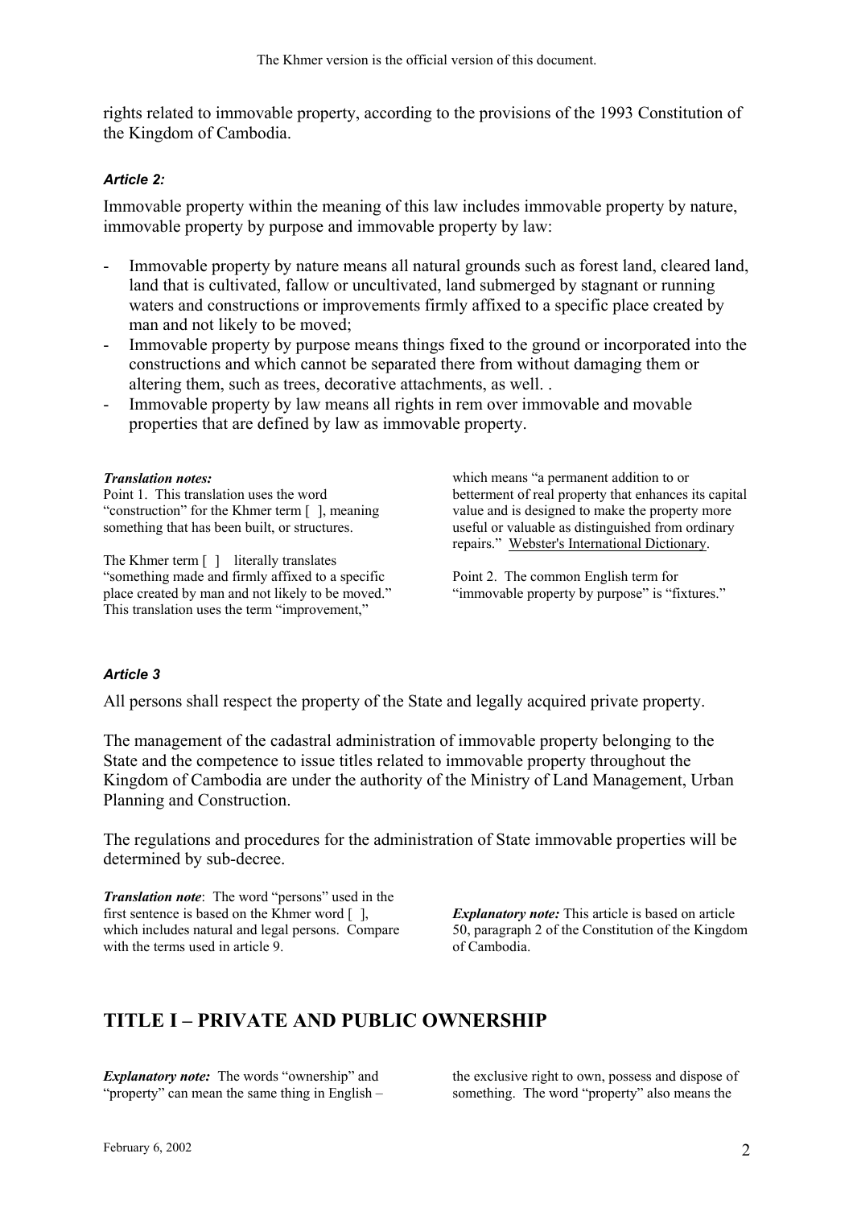rights related to immovable property, according to the provisions of the 1993 Constitution of the Kingdom of Cambodia.

#### *Article 2:*

Immovable property within the meaning of this law includes immovable property by nature, immovable property by purpose and immovable property by law:

- Immovable property by nature means all natural grounds such as forest land, cleared land, land that is cultivated, fallow or uncultivated, land submerged by stagnant or running waters and constructions or improvements firmly affixed to a specific place created by man and not likely to be moved;
- Immovable property by purpose means things fixed to the ground or incorporated into the constructions and which cannot be separated there from without damaging them or altering them, such as trees, decorative attachments, as well. .
- Immovable property by law means all rights in rem over immovable and movable properties that are defined by law as immovable property.

#### *Translation notes:*

Point 1. This translation uses the word "construction" for the Khmer term [ ], meaning something that has been built, or structures.

The Khmer term [ ] literally translates "something made and firmly affixed to a specific place created by man and not likely to be moved." This translation uses the term "improvement,"

which means "a permanent addition to or betterment of real property that enhances its capital value and is designed to make the property more useful or valuable as distinguished from ordinary repairs." Webster's International Dictionary.

Point 2. The common English term for "immovable property by purpose" is "fixtures."

#### *Article 3*

All persons shall respect the property of the State and legally acquired private property.

The management of the cadastral administration of immovable property belonging to the State and the competence to issue titles related to immovable property throughout the Kingdom of Cambodia are under the authority of the Ministry of Land Management, Urban Planning and Construction.

The regulations and procedures for the administration of State immovable properties will be determined by sub-decree.

*Translation note*: The word "persons" used in the first sentence is based on the Khmer word [ ], which includes natural and legal persons. Compare with the terms used in article 9.

*Explanatory note:* This article is based on article 50, paragraph 2 of the Constitution of the Kingdom of Cambodia.

# **TITLE I – PRIVATE AND PUBLIC OWNERSHIP**

*Explanatory note:* The words "ownership" and "property" can mean the same thing in English – the exclusive right to own, possess and dispose of something. The word "property" also means the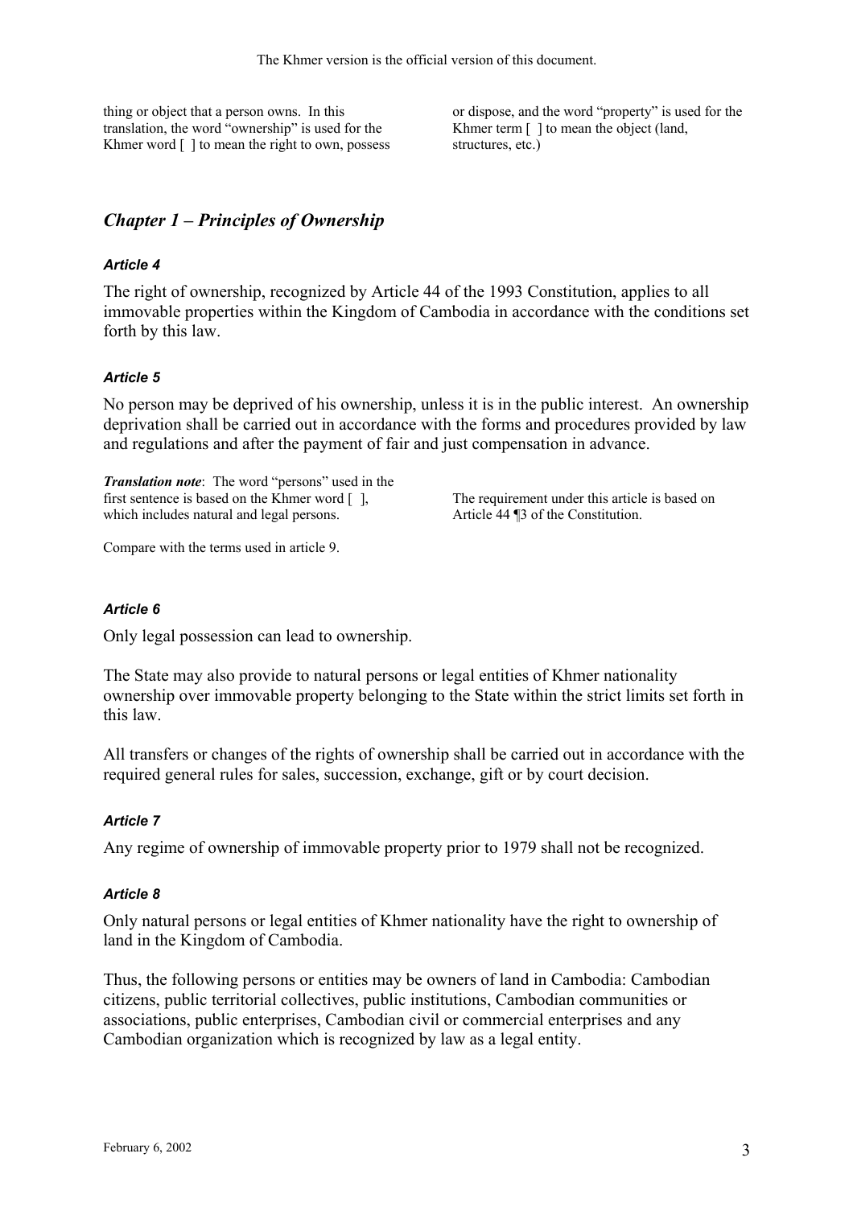thing or object that a person owns. In this translation, the word "ownership" is used for the Khmer word  $\lceil \cdot \rceil$  to mean the right to own, possess

or dispose, and the word "property" is used for the Khmer term  $\lceil \cdot \rceil$  to mean the object (land, structures, etc.)

# *Chapter 1 – Principles of Ownership*

### *Article 4*

The right of ownership, recognized by Article 44 of the 1993 Constitution, applies to all immovable properties within the Kingdom of Cambodia in accordance with the conditions set forth by this law.

# *Article 5*

No person may be deprived of his ownership, unless it is in the public interest. An ownership deprivation shall be carried out in accordance with the forms and procedures provided by law and regulations and after the payment of fair and just compensation in advance.

*Translation note*: The word "persons" used in the first sentence is based on the Khmer word  $\lceil \ \rceil$ , which includes natural and legal persons.

The requirement under this article is based on Article 44 ¶3 of the Constitution.

Compare with the terms used in article 9.

#### *Article 6*

Only legal possession can lead to ownership.

The State may also provide to natural persons or legal entities of Khmer nationality ownership over immovable property belonging to the State within the strict limits set forth in this law.

All transfers or changes of the rights of ownership shall be carried out in accordance with the required general rules for sales, succession, exchange, gift or by court decision.

#### *Article 7*

Any regime of ownership of immovable property prior to 1979 shall not be recognized.

#### *Article 8*

Only natural persons or legal entities of Khmer nationality have the right to ownership of land in the Kingdom of Cambodia.

Thus, the following persons or entities may be owners of land in Cambodia: Cambodian citizens, public territorial collectives, public institutions, Cambodian communities or associations, public enterprises, Cambodian civil or commercial enterprises and any Cambodian organization which is recognized by law as a legal entity.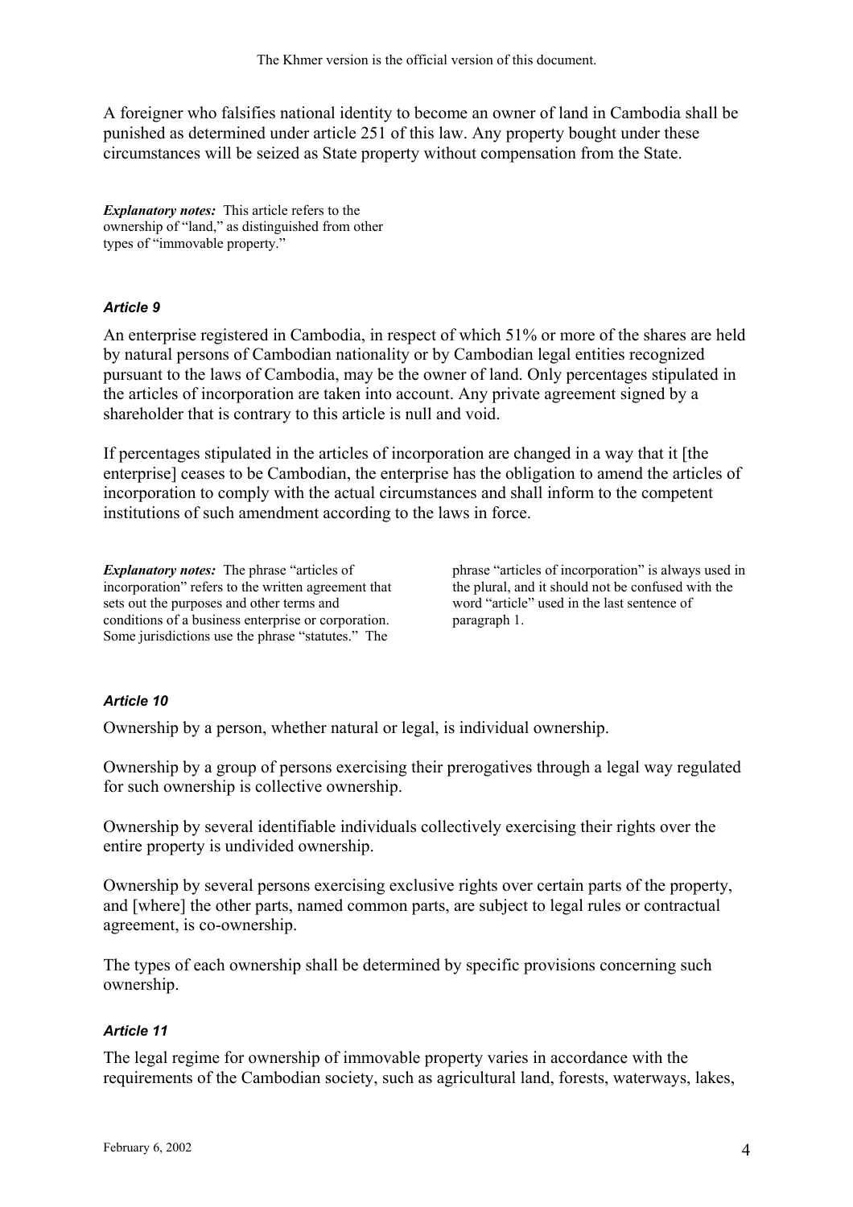A foreigner who falsifies national identity to become an owner of land in Cambodia shall be punished as determined under article 251 of this law. Any property bought under these circumstances will be seized as State property without compensation from the State.

*Explanatory notes:* This article refers to the ownership of "land," as distinguished from other types of "immovable property."

#### *Article 9*

An enterprise registered in Cambodia, in respect of which 51% or more of the shares are held by natural persons of Cambodian nationality or by Cambodian legal entities recognized pursuant to the laws of Cambodia, may be the owner of land. Only percentages stipulated in the articles of incorporation are taken into account. Any private agreement signed by a shareholder that is contrary to this article is null and void.

If percentages stipulated in the articles of incorporation are changed in a way that it [the enterprise] ceases to be Cambodian, the enterprise has the obligation to amend the articles of incorporation to comply with the actual circumstances and shall inform to the competent institutions of such amendment according to the laws in force.

*Explanatory notes:* The phrase "articles of incorporation" refers to the written agreement that sets out the purposes and other terms and conditions of a business enterprise or corporation. Some jurisdictions use the phrase "statutes." The

phrase "articles of incorporation" is always used in the plural, and it should not be confused with the word "article" used in the last sentence of paragraph 1.

#### *Article 10*

Ownership by a person, whether natural or legal, is individual ownership.

Ownership by a group of persons exercising their prerogatives through a legal way regulated for such ownership is collective ownership.

Ownership by several identifiable individuals collectively exercising their rights over the entire property is undivided ownership.

Ownership by several persons exercising exclusive rights over certain parts of the property, and [where] the other parts, named common parts, are subject to legal rules or contractual agreement, is co-ownership.

The types of each ownership shall be determined by specific provisions concerning such ownership.

#### *Article 11*

The legal regime for ownership of immovable property varies in accordance with the requirements of the Cambodian society, such as agricultural land, forests, waterways, lakes,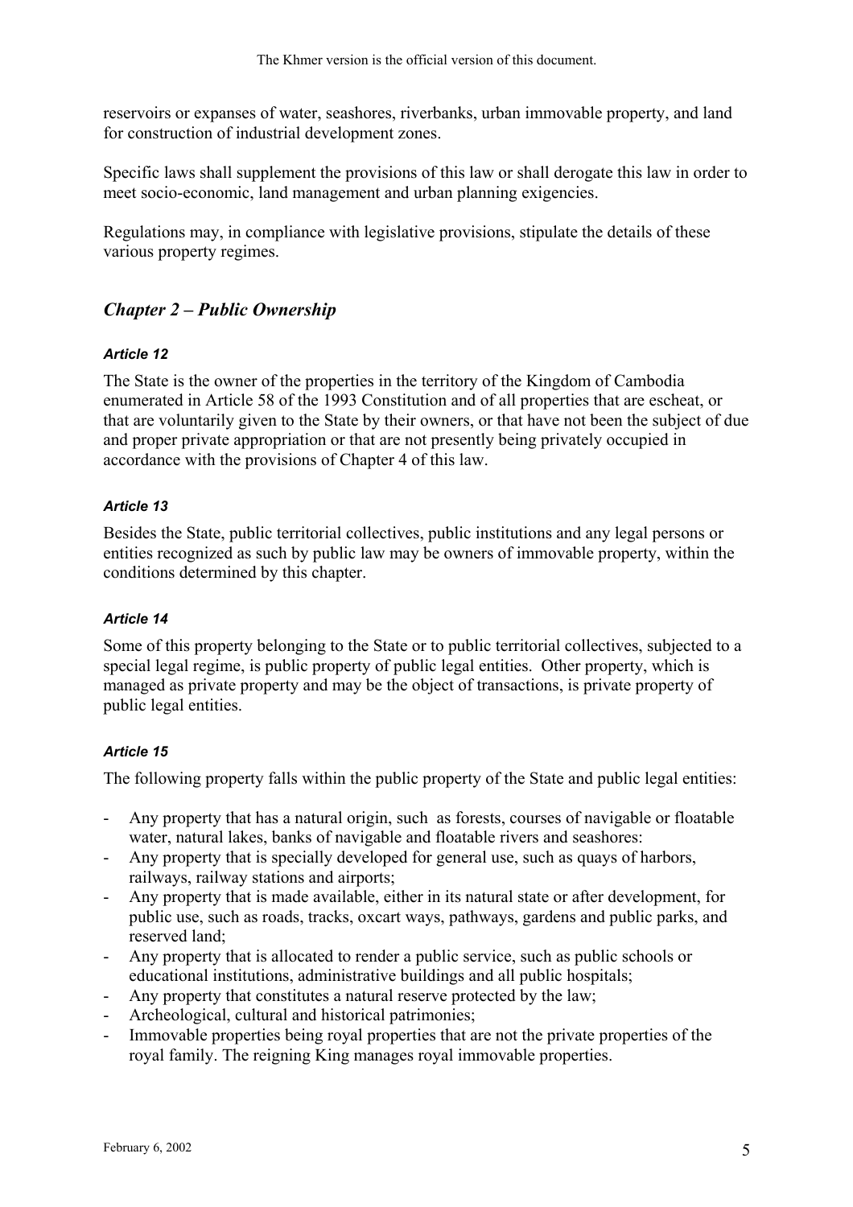reservoirs or expanses of water, seashores, riverbanks, urban immovable property, and land for construction of industrial development zones.

Specific laws shall supplement the provisions of this law or shall derogate this law in order to meet socio-economic, land management and urban planning exigencies.

Regulations may, in compliance with legislative provisions, stipulate the details of these various property regimes.

# *Chapter 2 – Public Ownership*

#### *Article 12*

The State is the owner of the properties in the territory of the Kingdom of Cambodia enumerated in Article 58 of the 1993 Constitution and of all properties that are escheat, or that are voluntarily given to the State by their owners, or that have not been the subject of due and proper private appropriation or that are not presently being privately occupied in accordance with the provisions of Chapter 4 of this law.

#### *Article 13*

Besides the State, public territorial collectives, public institutions and any legal persons or entities recognized as such by public law may be owners of immovable property, within the conditions determined by this chapter.

#### *Article 14*

Some of this property belonging to the State or to public territorial collectives, subjected to a special legal regime, is public property of public legal entities. Other property, which is managed as private property and may be the object of transactions, is private property of public legal entities.

#### *Article 15*

The following property falls within the public property of the State and public legal entities:

- Any property that has a natural origin, such as forests, courses of navigable or floatable water, natural lakes, banks of navigable and floatable rivers and seashores:
- Any property that is specially developed for general use, such as quays of harbors, railways, railway stations and airports;
- Any property that is made available, either in its natural state or after development, for public use, such as roads, tracks, oxcart ways, pathways, gardens and public parks, and reserved land;
- Any property that is allocated to render a public service, such as public schools or educational institutions, administrative buildings and all public hospitals;
- Any property that constitutes a natural reserve protected by the law;
- Archeological, cultural and historical patrimonies;
- Immovable properties being royal properties that are not the private properties of the royal family. The reigning King manages royal immovable properties.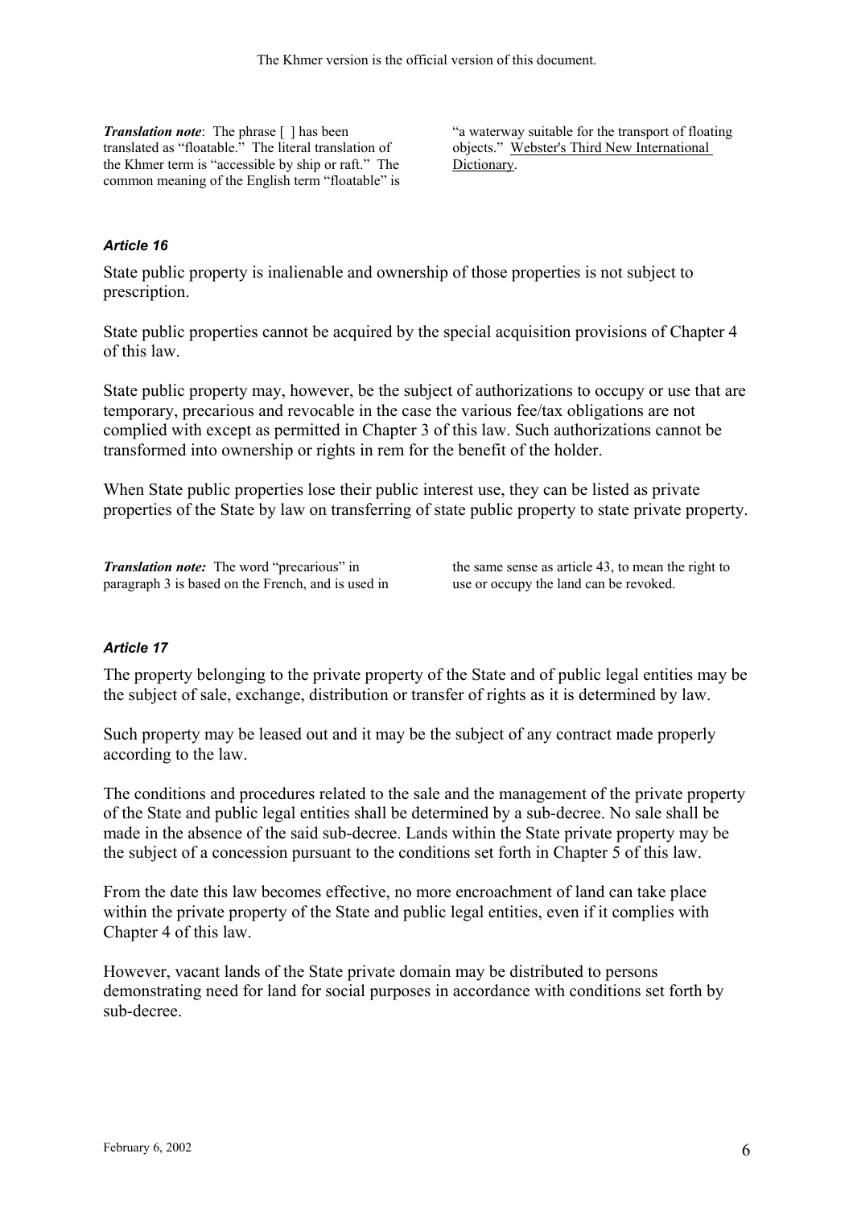*Translation note*: The phrase  $\lceil \cdot \rceil$  has been translated as "floatable." The literal translation of the Khmer term is "accessible by ship or raft." The common meaning of the English term "floatable" is

"a waterway suitable for the transport of floating objects." Webster's Third New International Dictionary.

#### *Article 16*

State public property is inalienable and ownership of those properties is not subject to prescription.

State public properties cannot be acquired by the special acquisition provisions of Chapter 4 of this law.

State public property may, however, be the subject of authorizations to occupy or use that are temporary, precarious and revocable in the case the various fee/tax obligations are not complied with except as permitted in Chapter 3 of this law. Such authorizations cannot be transformed into ownership or rights in rem for the benefit of the holder.

When State public properties lose their public interest use, they can be listed as private properties of the State by law on transferring of state public property to state private property.

*Translation note:* The word "precarious" in paragraph 3 is based on the French, and is used in the same sense as article 43, to mean the right to use or occupy the land can be revoked.

#### *Article 17*

The property belonging to the private property of the State and of public legal entities may be the subject of sale, exchange, distribution or transfer of rights as it is determined by law.

Such property may be leased out and it may be the subject of any contract made properly according to the law.

The conditions and procedures related to the sale and the management of the private property of the State and public legal entities shall be determined by a sub-decree. No sale shall be made in the absence of the said sub-decree. Lands within the State private property may be the subject of a concession pursuant to the conditions set forth in Chapter 5 of this law.

From the date this law becomes effective, no more encroachment of land can take place within the private property of the State and public legal entities, even if it complies with Chapter 4 of this law.

However, vacant lands of the State private domain may be distributed to persons demonstrating need for land for social purposes in accordance with conditions set forth by sub-decree.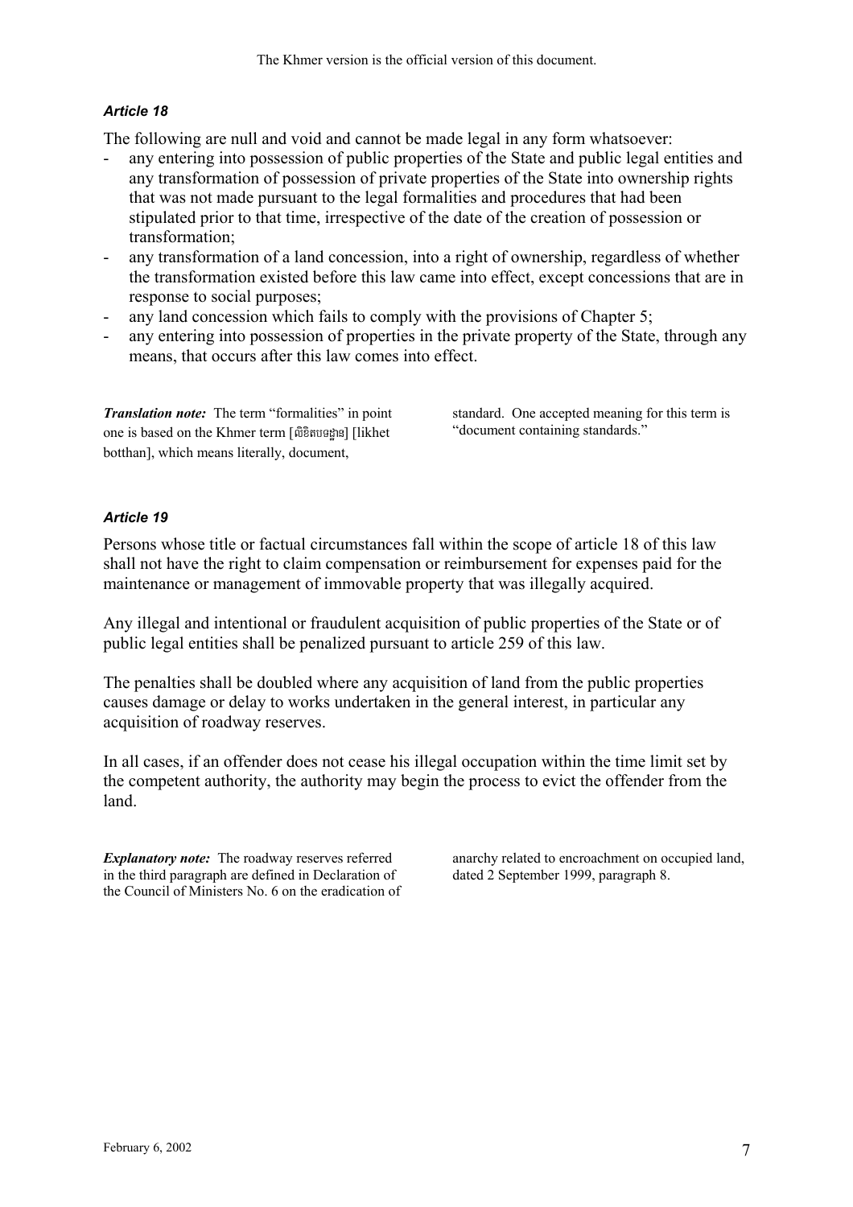The Khmer version is the official version of this document.

# *Article 18*

The following are null and void and cannot be made legal in any form whatsoever:

- any entering into possession of public properties of the State and public legal entities and any transformation of possession of private properties of the State into ownership rights that was not made pursuant to the legal formalities and procedures that had been stipulated prior to that time, irrespective of the date of the creation of possession or transformation;
- any transformation of a land concession, into a right of ownership, regardless of whether the transformation existed before this law came into effect, except concessions that are in response to social purposes;
- any land concession which fails to comply with the provisions of Chapter 5;
- any entering into possession of properties in the private property of the State, through any means, that occurs after this law comes into effect.

*Translation note:* The term "formalities" in point one is based on the Khmer term  $\lceil$   $\tilde{m}$   $\tilde{c}$  and  $\lceil$   $\tilde{m}$  likhet botthan], which means literally, document,

standard. One accepted meaning for this term is "document containing standards."

# *Article 19*

Persons whose title or factual circumstances fall within the scope of article 18 of this law shall not have the right to claim compensation or reimbursement for expenses paid for the maintenance or management of immovable property that was illegally acquired.

Any illegal and intentional or fraudulent acquisition of public properties of the State or of public legal entities shall be penalized pursuant to article 259 of this law.

The penalties shall be doubled where any acquisition of land from the public properties causes damage or delay to works undertaken in the general interest, in particular any acquisition of roadway reserves.

In all cases, if an offender does not cease his illegal occupation within the time limit set by the competent authority, the authority may begin the process to evict the offender from the land.

*Explanatory note:* The roadway reserves referred in the third paragraph are defined in Declaration of the Council of Ministers No. 6 on the eradication of anarchy related to encroachment on occupied land, dated 2 September 1999, paragraph 8.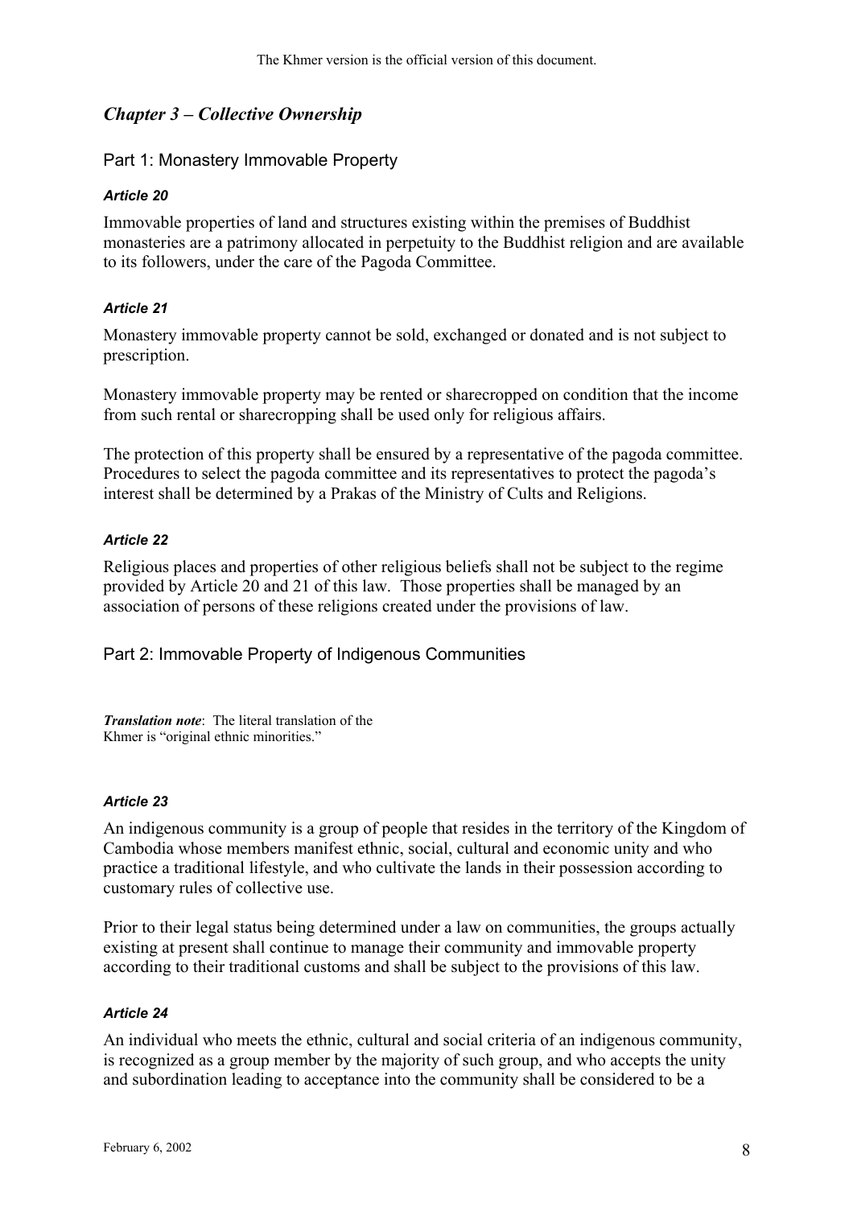# *Chapter 3 – Collective Ownership*

# Part 1: Monastery Immovable Property

### *Article 20*

Immovable properties of land and structures existing within the premises of Buddhist monasteries are a patrimony allocated in perpetuity to the Buddhist religion and are available to its followers, under the care of the Pagoda Committee.

# *Article 21*

Monastery immovable property cannot be sold, exchanged or donated and is not subject to prescription.

Monastery immovable property may be rented or sharecropped on condition that the income from such rental or sharecropping shall be used only for religious affairs.

The protection of this property shall be ensured by a representative of the pagoda committee. Procedures to select the pagoda committee and its representatives to protect the pagoda's interest shall be determined by a Prakas of the Ministry of Cults and Religions.

# *Article 22*

Religious places and properties of other religious beliefs shall not be subject to the regime provided by Article 20 and 21 of this law. Those properties shall be managed by an association of persons of these religions created under the provisions of law.

Part 2: Immovable Property of Indigenous Communities

*Translation note*: The literal translation of the Khmer is "original ethnic minorities."

#### *Article 23*

An indigenous community is a group of people that resides in the territory of the Kingdom of Cambodia whose members manifest ethnic, social, cultural and economic unity and who practice a traditional lifestyle, and who cultivate the lands in their possession according to customary rules of collective use.

Prior to their legal status being determined under a law on communities, the groups actually existing at present shall continue to manage their community and immovable property according to their traditional customs and shall be subject to the provisions of this law.

#### *Article 24*

An individual who meets the ethnic, cultural and social criteria of an indigenous community, is recognized as a group member by the majority of such group, and who accepts the unity and subordination leading to acceptance into the community shall be considered to be a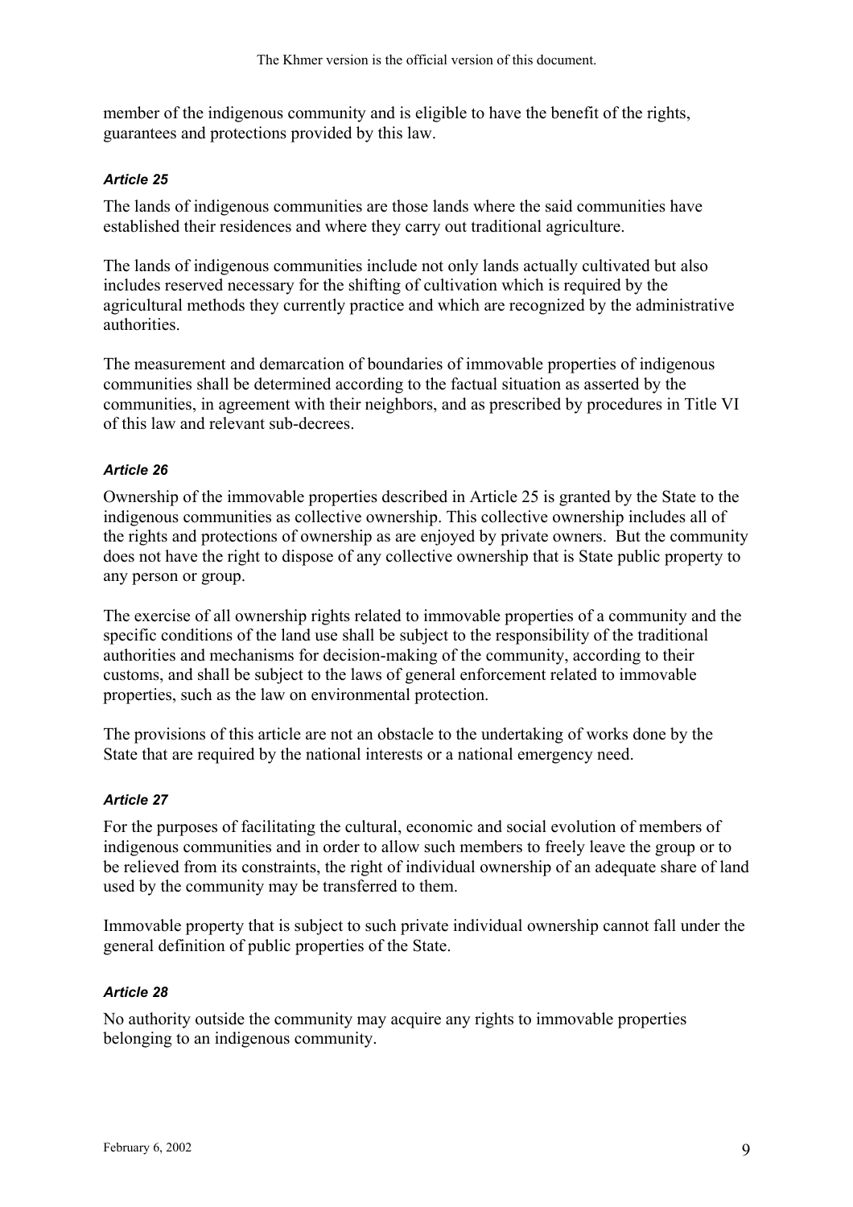member of the indigenous community and is eligible to have the benefit of the rights, guarantees and protections provided by this law.

#### *Article 25*

The lands of indigenous communities are those lands where the said communities have established their residences and where they carry out traditional agriculture.

The lands of indigenous communities include not only lands actually cultivated but also includes reserved necessary for the shifting of cultivation which is required by the agricultural methods they currently practice and which are recognized by the administrative authorities.

The measurement and demarcation of boundaries of immovable properties of indigenous communities shall be determined according to the factual situation as asserted by the communities, in agreement with their neighbors, and as prescribed by procedures in Title VI of this law and relevant sub-decrees.

#### *Article 26*

Ownership of the immovable properties described in Article 25 is granted by the State to the indigenous communities as collective ownership. This collective ownership includes all of the rights and protections of ownership as are enjoyed by private owners. But the community does not have the right to dispose of any collective ownership that is State public property to any person or group.

The exercise of all ownership rights related to immovable properties of a community and the specific conditions of the land use shall be subject to the responsibility of the traditional authorities and mechanisms for decision-making of the community, according to their customs, and shall be subject to the laws of general enforcement related to immovable properties, such as the law on environmental protection.

The provisions of this article are not an obstacle to the undertaking of works done by the State that are required by the national interests or a national emergency need.

#### *Article 27*

For the purposes of facilitating the cultural, economic and social evolution of members of indigenous communities and in order to allow such members to freely leave the group or to be relieved from its constraints, the right of individual ownership of an adequate share of land used by the community may be transferred to them.

Immovable property that is subject to such private individual ownership cannot fall under the general definition of public properties of the State.

#### *Article 28*

No authority outside the community may acquire any rights to immovable properties belonging to an indigenous community.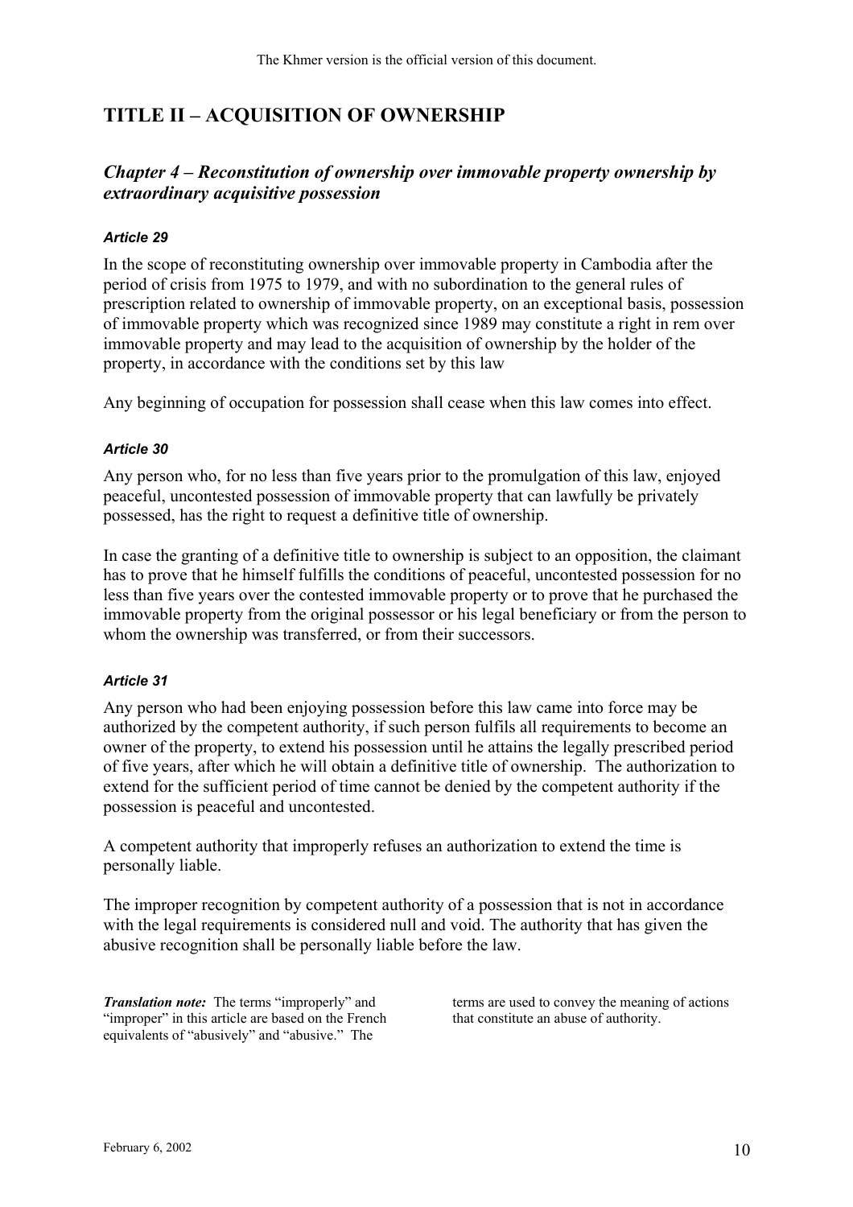# **TITLE II – ACQUISITION OF OWNERSHIP**

# *Chapter 4 – Reconstitution of ownership over immovable property ownership by extraordinary acquisitive possession*

# *Article 29*

In the scope of reconstituting ownership over immovable property in Cambodia after the period of crisis from 1975 to 1979, and with no subordination to the general rules of prescription related to ownership of immovable property, on an exceptional basis, possession of immovable property which was recognized since 1989 may constitute a right in rem over immovable property and may lead to the acquisition of ownership by the holder of the property, in accordance with the conditions set by this law

Any beginning of occupation for possession shall cease when this law comes into effect.

# *Article 30*

Any person who, for no less than five years prior to the promulgation of this law, enjoyed peaceful, uncontested possession of immovable property that can lawfully be privately possessed, has the right to request a definitive title of ownership.

In case the granting of a definitive title to ownership is subject to an opposition, the claimant has to prove that he himself fulfills the conditions of peaceful, uncontested possession for no less than five years over the contested immovable property or to prove that he purchased the immovable property from the original possessor or his legal beneficiary or from the person to whom the ownership was transferred, or from their successors.

#### *Article 31*

Any person who had been enjoying possession before this law came into force may be authorized by the competent authority, if such person fulfils all requirements to become an owner of the property, to extend his possession until he attains the legally prescribed period of five years, after which he will obtain a definitive title of ownership. The authorization to extend for the sufficient period of time cannot be denied by the competent authority if the possession is peaceful and uncontested.

A competent authority that improperly refuses an authorization to extend the time is personally liable.

The improper recognition by competent authority of a possession that is not in accordance with the legal requirements is considered null and void. The authority that has given the abusive recognition shall be personally liable before the law.

*Translation note:* The terms "improperly" and "improper" in this article are based on the French equivalents of "abusively" and "abusive." The

terms are used to convey the meaning of actions that constitute an abuse of authority.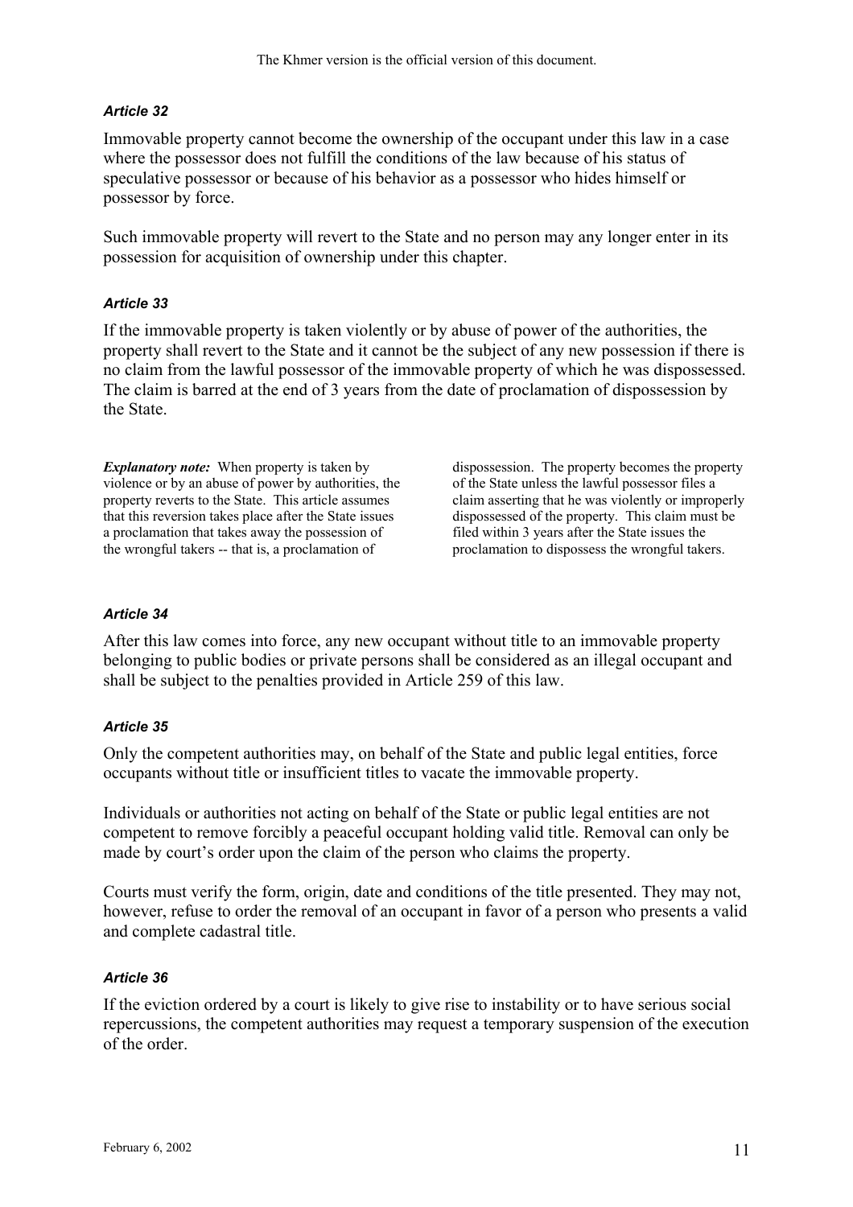Immovable property cannot become the ownership of the occupant under this law in a case where the possessor does not fulfill the conditions of the law because of his status of speculative possessor or because of his behavior as a possessor who hides himself or possessor by force.

Such immovable property will revert to the State and no person may any longer enter in its possession for acquisition of ownership under this chapter.

#### *Article 33*

If the immovable property is taken violently or by abuse of power of the authorities, the property shall revert to the State and it cannot be the subject of any new possession if there is no claim from the lawful possessor of the immovable property of which he was dispossessed. The claim is barred at the end of 3 years from the date of proclamation of dispossession by the State.

*Explanatory note:* When property is taken by violence or by an abuse of power by authorities, the property reverts to the State. This article assumes that this reversion takes place after the State issues a proclamation that takes away the possession of the wrongful takers -- that is, a proclamation of

dispossession. The property becomes the property of the State unless the lawful possessor files a claim asserting that he was violently or improperly dispossessed of the property. This claim must be filed within 3 years after the State issues the proclamation to dispossess the wrongful takers.

# *Article 34*

After this law comes into force, any new occupant without title to an immovable property belonging to public bodies or private persons shall be considered as an illegal occupant and shall be subject to the penalties provided in Article 259 of this law.

#### *Article 35*

Only the competent authorities may, on behalf of the State and public legal entities, force occupants without title or insufficient titles to vacate the immovable property.

Individuals or authorities not acting on behalf of the State or public legal entities are not competent to remove forcibly a peaceful occupant holding valid title. Removal can only be made by court's order upon the claim of the person who claims the property.

Courts must verify the form, origin, date and conditions of the title presented. They may not, however, refuse to order the removal of an occupant in favor of a person who presents a valid and complete cadastral title.

#### *Article 36*

If the eviction ordered by a court is likely to give rise to instability or to have serious social repercussions, the competent authorities may request a temporary suspension of the execution of the order.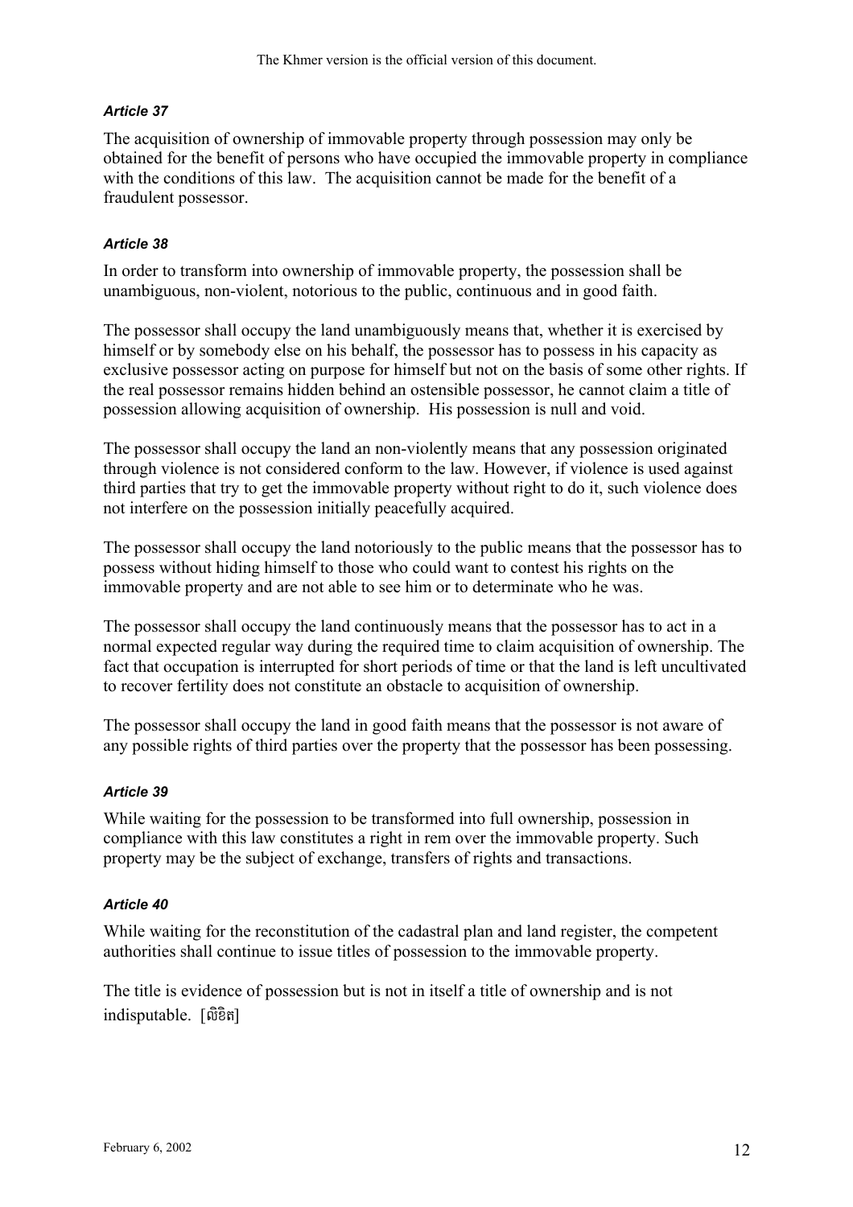The acquisition of ownership of immovable property through possession may only be obtained for the benefit of persons who have occupied the immovable property in compliance with the conditions of this law. The acquisition cannot be made for the benefit of a fraudulent possessor.

# *Article 38*

In order to transform into ownership of immovable property, the possession shall be unambiguous, non-violent, notorious to the public, continuous and in good faith.

The possessor shall occupy the land unambiguously means that, whether it is exercised by himself or by somebody else on his behalf, the possessor has to possess in his capacity as exclusive possessor acting on purpose for himself but not on the basis of some other rights. If the real possessor remains hidden behind an ostensible possessor, he cannot claim a title of possession allowing acquisition of ownership. His possession is null and void.

The possessor shall occupy the land an non-violently means that any possession originated through violence is not considered conform to the law. However, if violence is used against third parties that try to get the immovable property without right to do it, such violence does not interfere on the possession initially peacefully acquired.

The possessor shall occupy the land notoriously to the public means that the possessor has to possess without hiding himself to those who could want to contest his rights on the immovable property and are not able to see him or to determinate who he was.

The possessor shall occupy the land continuously means that the possessor has to act in a normal expected regular way during the required time to claim acquisition of ownership. The fact that occupation is interrupted for short periods of time or that the land is left uncultivated to recover fertility does not constitute an obstacle to acquisition of ownership.

The possessor shall occupy the land in good faith means that the possessor is not aware of any possible rights of third parties over the property that the possessor has been possessing.

#### *Article 39*

While waiting for the possession to be transformed into full ownership, possession in compliance with this law constitutes a right in rem over the immovable property. Such property may be the subject of exchange, transfers of rights and transactions.

#### *Article 40*

While waiting for the reconstitution of the cadastral plan and land register, the competent authorities shall continue to issue titles of possession to the immovable property.

The title is evidence of possession but is not in itself a title of ownership and is not indisputable. [លិខិត]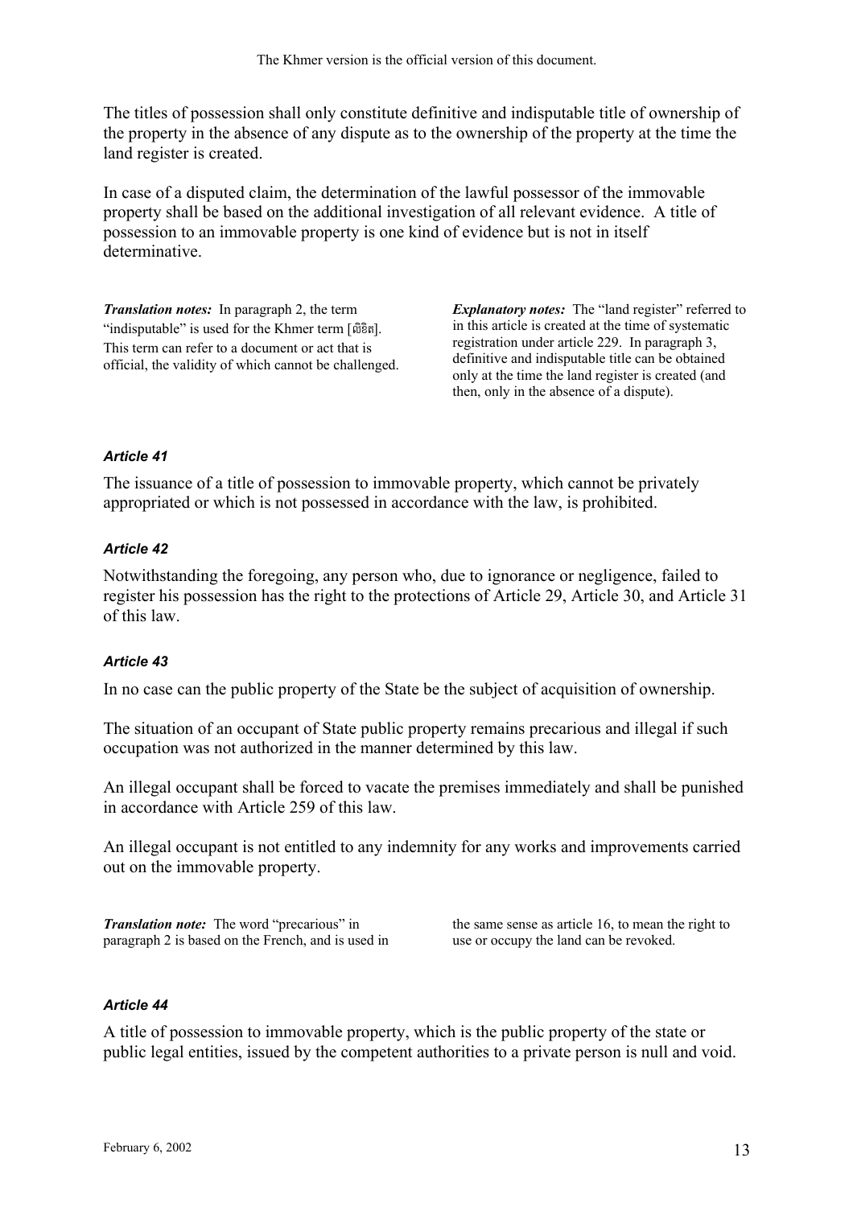The titles of possession shall only constitute definitive and indisputable title of ownership of the property in the absence of any dispute as to the ownership of the property at the time the land register is created.

In case of a disputed claim, the determination of the lawful possessor of the immovable property shall be based on the additional investigation of all relevant evidence. A title of possession to an immovable property is one kind of evidence but is not in itself determinative.

*Translation notes:* In paragraph 2, the term "indisputable" is used for the Khmer term  $\lceil \tilde{w} \rceil$ . This term can refer to a document or act that is official, the validity of which cannot be challenged. *Explanatory notes:* The "land register" referred to in this article is created at the time of systematic registration under article 229. In paragraph 3, definitive and indisputable title can be obtained only at the time the land register is created (and then, only in the absence of a dispute).

#### *Article 41*

The issuance of a title of possession to immovable property, which cannot be privately appropriated or which is not possessed in accordance with the law, is prohibited.

#### *Article 42*

Notwithstanding the foregoing, any person who, due to ignorance or negligence, failed to register his possession has the right to the protections of Article 29, Article 30, and Article 31 of this law.

#### *Article 43*

In no case can the public property of the State be the subject of acquisition of ownership.

The situation of an occupant of State public property remains precarious and illegal if such occupation was not authorized in the manner determined by this law.

An illegal occupant shall be forced to vacate the premises immediately and shall be punished in accordance with Article 259 of this law.

An illegal occupant is not entitled to any indemnity for any works and improvements carried out on the immovable property.

*Translation note:* The word "precarious" in paragraph 2 is based on the French, and is used in the same sense as article 16, to mean the right to use or occupy the land can be revoked.

#### *Article 44*

A title of possession to immovable property, which is the public property of the state or public legal entities, issued by the competent authorities to a private person is null and void.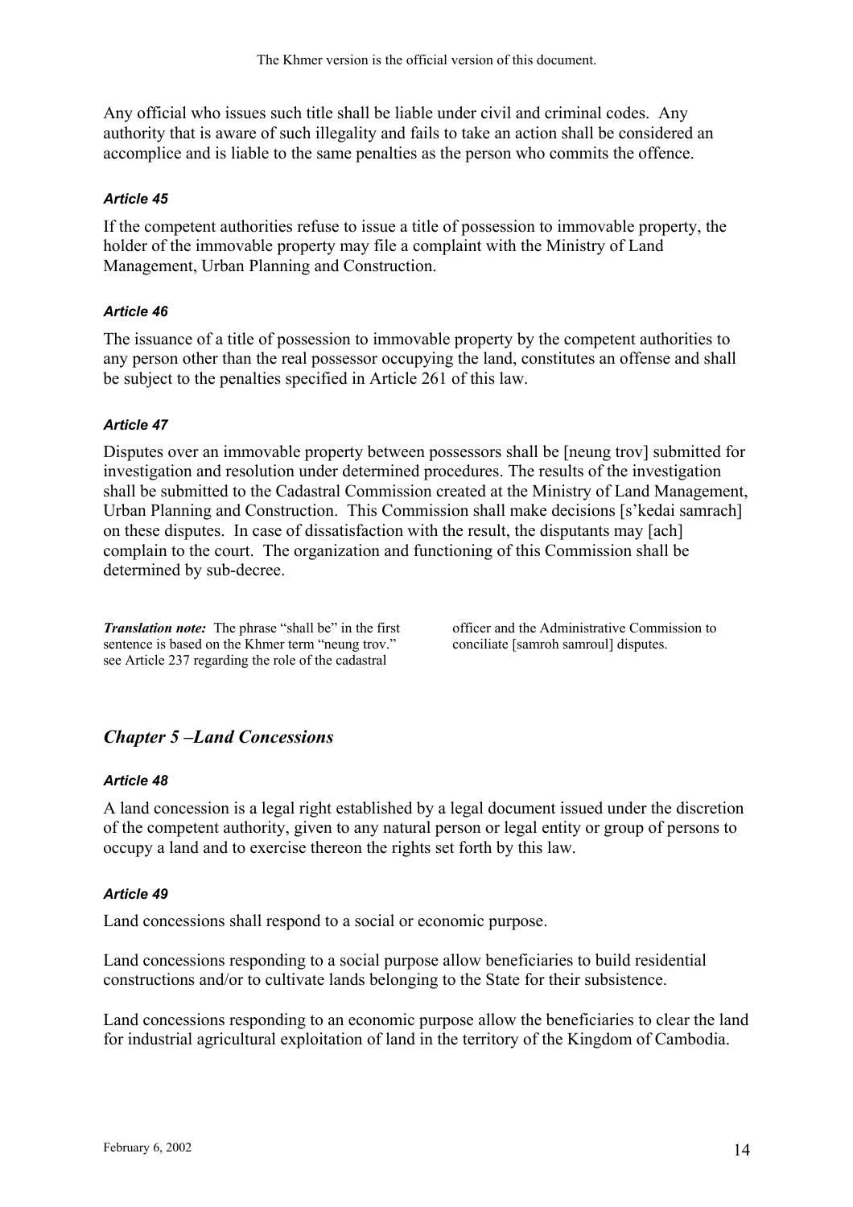Any official who issues such title shall be liable under civil and criminal codes. Any authority that is aware of such illegality and fails to take an action shall be considered an accomplice and is liable to the same penalties as the person who commits the offence.

#### *Article 45*

If the competent authorities refuse to issue a title of possession to immovable property, the holder of the immovable property may file a complaint with the Ministry of Land Management, Urban Planning and Construction.

#### *Article 46*

The issuance of a title of possession to immovable property by the competent authorities to any person other than the real possessor occupying the land, constitutes an offense and shall be subject to the penalties specified in Article 261 of this law.

#### *Article 47*

Disputes over an immovable property between possessors shall be [neung trov] submitted for investigation and resolution under determined procedures. The results of the investigation shall be submitted to the Cadastral Commission created at the Ministry of Land Management, Urban Planning and Construction. This Commission shall make decisions [s'kedai samrach] on these disputes. In case of dissatisfaction with the result, the disputants may [ach] complain to the court. The organization and functioning of this Commission shall be determined by sub-decree.

*Translation note:* The phrase "shall be" in the first sentence is based on the Khmer term "neung trov." see Article 237 regarding the role of the cadastral

officer and the Administrative Commission to conciliate [samroh samroul] disputes.

# *Chapter 5 –Land Concessions*

#### *Article 48*

A land concession is a legal right established by a legal document issued under the discretion of the competent authority, given to any natural person or legal entity or group of persons to occupy a land and to exercise thereon the rights set forth by this law.

#### *Article 49*

Land concessions shall respond to a social or economic purpose.

Land concessions responding to a social purpose allow beneficiaries to build residential constructions and/or to cultivate lands belonging to the State for their subsistence.

Land concessions responding to an economic purpose allow the beneficiaries to clear the land for industrial agricultural exploitation of land in the territory of the Kingdom of Cambodia.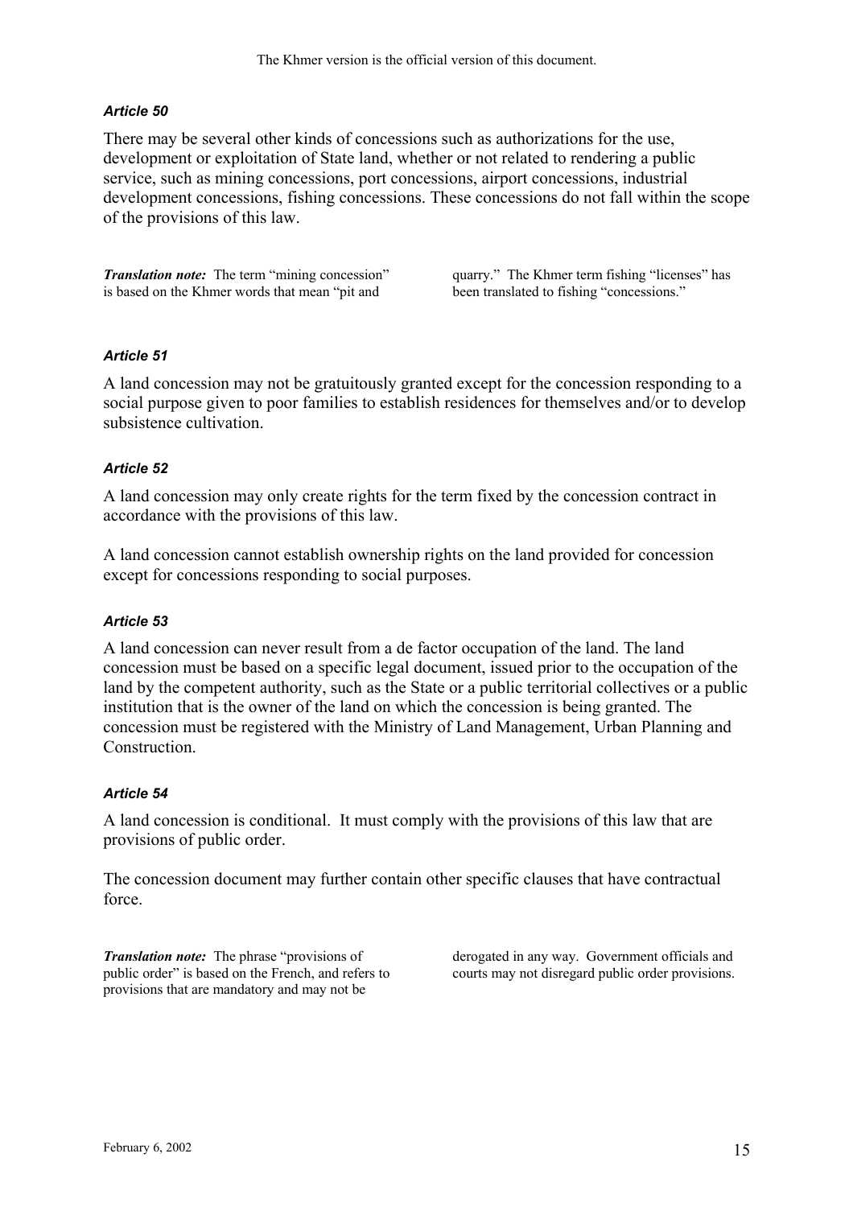There may be several other kinds of concessions such as authorizations for the use, development or exploitation of State land, whether or not related to rendering a public service, such as mining concessions, port concessions, airport concessions, industrial development concessions, fishing concessions. These concessions do not fall within the scope of the provisions of this law.

*Translation note:* The term "mining concession" is based on the Khmer words that mean "pit and

quarry." The Khmer term fishing "licenses" has been translated to fishing "concessions."

#### *Article 51*

A land concession may not be gratuitously granted except for the concession responding to a social purpose given to poor families to establish residences for themselves and/or to develop subsistence cultivation.

#### *Article 52*

A land concession may only create rights for the term fixed by the concession contract in accordance with the provisions of this law.

A land concession cannot establish ownership rights on the land provided for concession except for concessions responding to social purposes.

#### *Article 53*

A land concession can never result from a de factor occupation of the land. The land concession must be based on a specific legal document, issued prior to the occupation of the land by the competent authority, such as the State or a public territorial collectives or a public institution that is the owner of the land on which the concession is being granted. The concession must be registered with the Ministry of Land Management, Urban Planning and Construction.

#### *Article 54*

A land concession is conditional. It must comply with the provisions of this law that are provisions of public order.

The concession document may further contain other specific clauses that have contractual force.

*Translation note:* The phrase "provisions of public order" is based on the French, and refers to provisions that are mandatory and may not be

derogated in any way. Government officials and courts may not disregard public order provisions.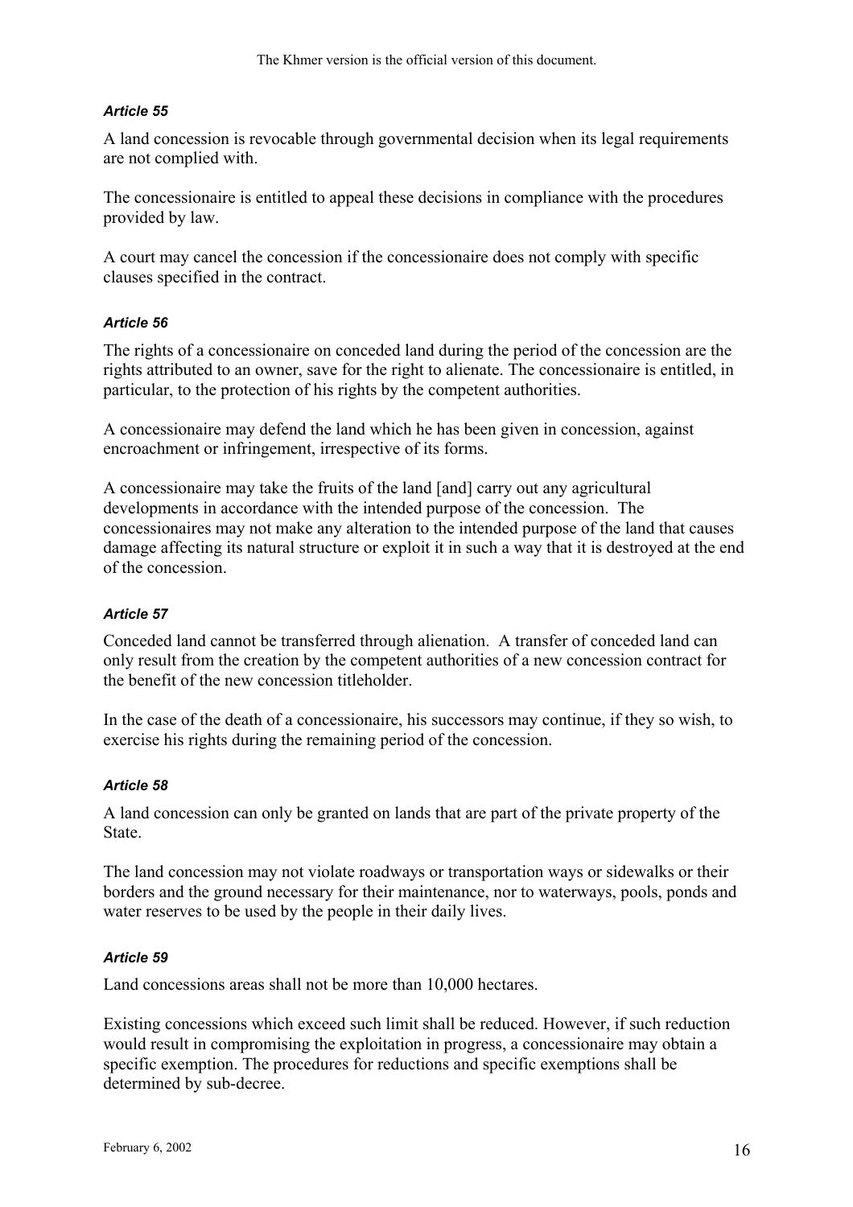A land concession is revocable through governmental decision when its legal requirements are not complied with.

The concessionaire is entitled to appeal these decisions in compliance with the procedures provided by law.

A court may cancel the concession if the concessionaire does not comply with specific clauses specified in the contract.

#### *Article 56*

The rights of a concessionaire on conceded land during the period of the concession are the rights attributed to an owner, save for the right to alienate. The concessionaire is entitled, in particular, to the protection of his rights by the competent authorities.

A concessionaire may defend the land which he has been given in concession, against encroachment or infringement, irrespective of its forms.

A concessionaire may take the fruits of the land [and] carry out any agricultural developments in accordance with the intended purpose of the concession. The concessionaires may not make any alteration to the intended purpose of the land that causes damage affecting its natural structure or exploit it in such a way that it is destroyed at the end of the concession.

#### *Article 57*

Conceded land cannot be transferred through alienation. A transfer of conceded land can only result from the creation by the competent authorities of a new concession contract for the benefit of the new concession titleholder.

In the case of the death of a concessionaire, his successors may continue, if they so wish, to exercise his rights during the remaining period of the concession.

#### *Article 58*

A land concession can only be granted on lands that are part of the private property of the State.

The land concession may not violate roadways or transportation ways or sidewalks or their borders and the ground necessary for their maintenance, nor to waterways, pools, ponds and water reserves to be used by the people in their daily lives.

#### *Article 59*

Land concessions areas shall not be more than 10,000 hectares.

Existing concessions which exceed such limit shall be reduced. However, if such reduction would result in compromising the exploitation in progress, a concessionaire may obtain a specific exemption. The procedures for reductions and specific exemptions shall be determined by sub-decree.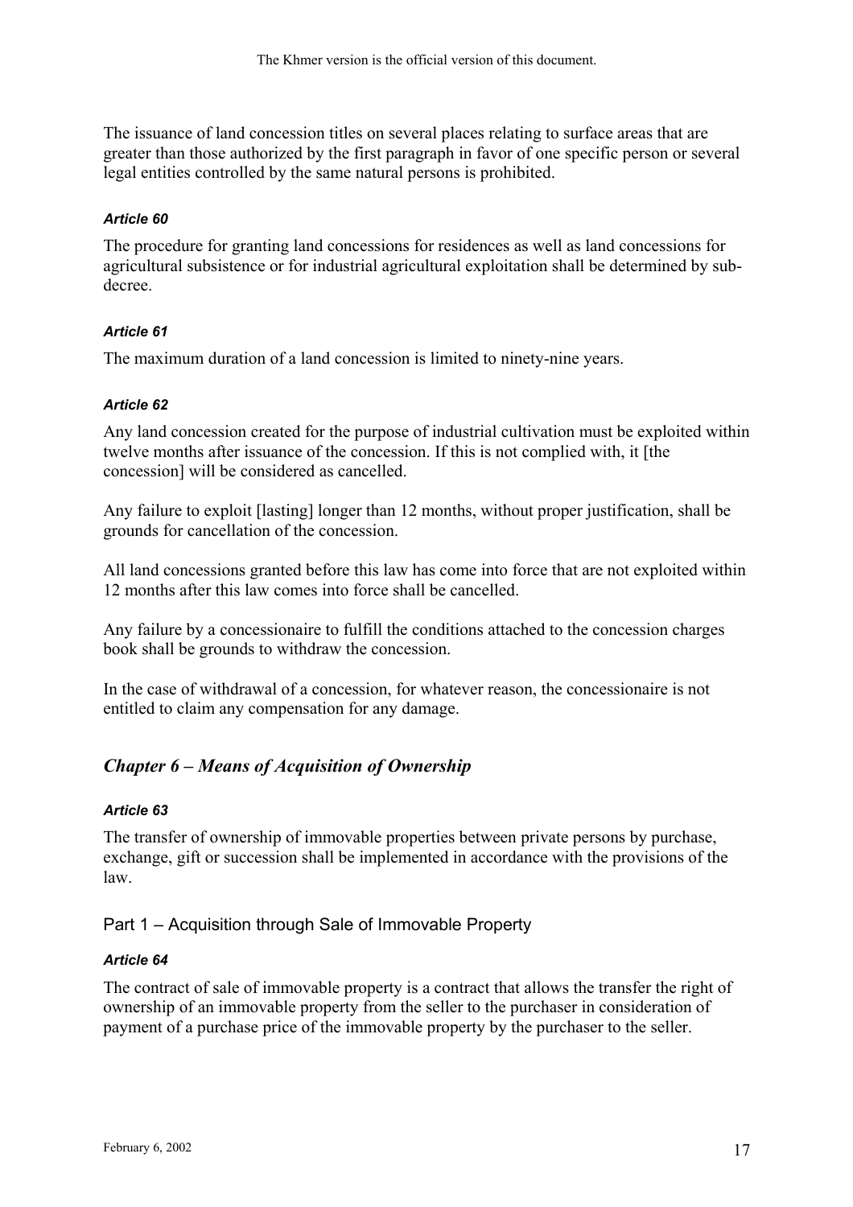The issuance of land concession titles on several places relating to surface areas that are greater than those authorized by the first paragraph in favor of one specific person or several legal entities controlled by the same natural persons is prohibited.

#### *Article 60*

The procedure for granting land concessions for residences as well as land concessions for agricultural subsistence or for industrial agricultural exploitation shall be determined by subdecree.

#### *Article 61*

The maximum duration of a land concession is limited to ninety-nine years.

#### *Article 62*

Any land concession created for the purpose of industrial cultivation must be exploited within twelve months after issuance of the concession. If this is not complied with, it [the concession] will be considered as cancelled.

Any failure to exploit [lasting] longer than 12 months, without proper justification, shall be grounds for cancellation of the concession.

All land concessions granted before this law has come into force that are not exploited within 12 months after this law comes into force shall be cancelled.

Any failure by a concessionaire to fulfill the conditions attached to the concession charges book shall be grounds to withdraw the concession.

In the case of withdrawal of a concession, for whatever reason, the concessionaire is not entitled to claim any compensation for any damage.

# *Chapter 6 – Means of Acquisition of Ownership*

#### *Article 63*

The transfer of ownership of immovable properties between private persons by purchase, exchange, gift or succession shall be implemented in accordance with the provisions of the law.

#### Part 1 – Acquisition through Sale of Immovable Property

#### *Article 64*

The contract of sale of immovable property is a contract that allows the transfer the right of ownership of an immovable property from the seller to the purchaser in consideration of payment of a purchase price of the immovable property by the purchaser to the seller.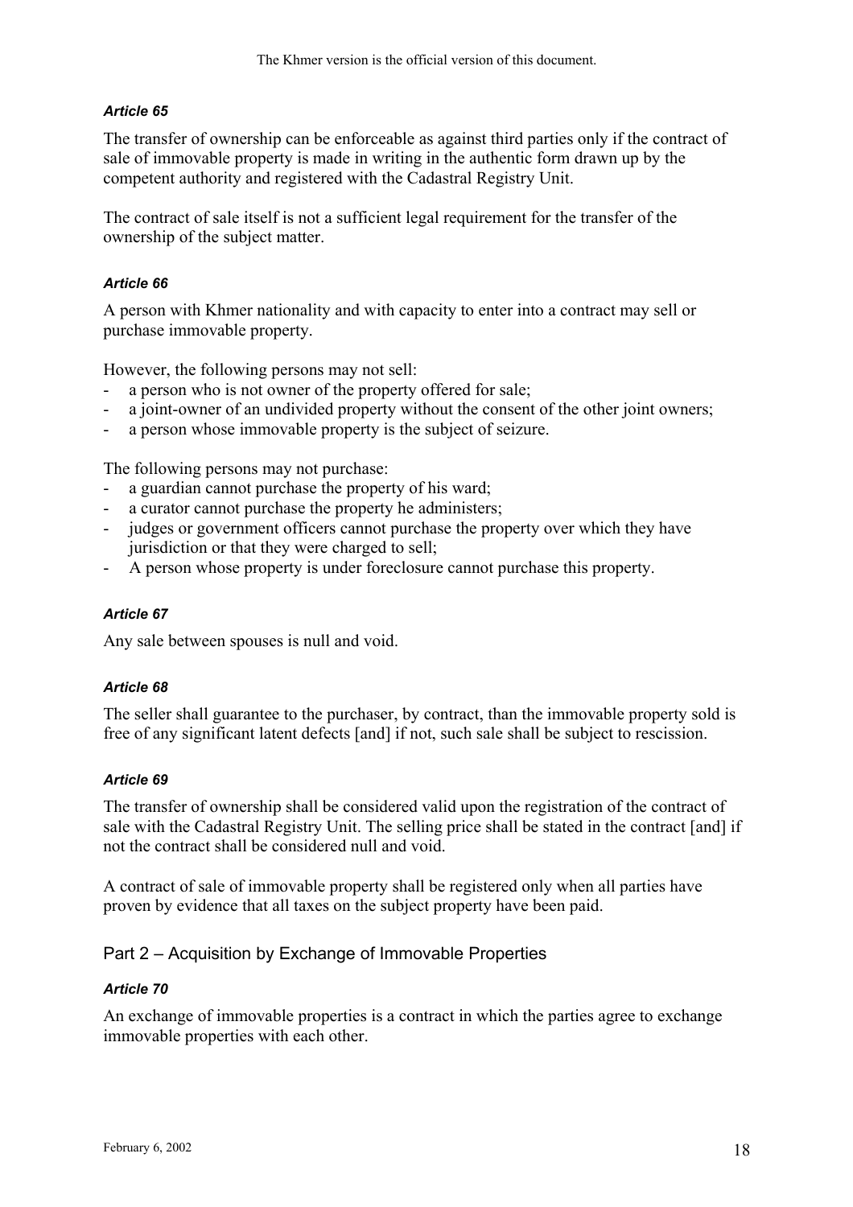The transfer of ownership can be enforceable as against third parties only if the contract of sale of immovable property is made in writing in the authentic form drawn up by the competent authority and registered with the Cadastral Registry Unit.

The contract of sale itself is not a sufficient legal requirement for the transfer of the ownership of the subject matter.

# *Article 66*

A person with Khmer nationality and with capacity to enter into a contract may sell or purchase immovable property.

However, the following persons may not sell:

- a person who is not owner of the property offered for sale;
- a joint-owner of an undivided property without the consent of the other joint owners;
- a person whose immovable property is the subject of seizure.

The following persons may not purchase:

- a guardian cannot purchase the property of his ward;
- a curator cannot purchase the property he administers;
- judges or government officers cannot purchase the property over which they have jurisdiction or that they were charged to sell;
- A person whose property is under foreclosure cannot purchase this property.

#### *Article 67*

Any sale between spouses is null and void.

#### *Article 68*

The seller shall guarantee to the purchaser, by contract, than the immovable property sold is free of any significant latent defects [and] if not, such sale shall be subject to rescission.

#### *Article 69*

The transfer of ownership shall be considered valid upon the registration of the contract of sale with the Cadastral Registry Unit. The selling price shall be stated in the contract [and] if not the contract shall be considered null and void.

A contract of sale of immovable property shall be registered only when all parties have proven by evidence that all taxes on the subject property have been paid.

# Part 2 – Acquisition by Exchange of Immovable Properties

#### *Article 70*

An exchange of immovable properties is a contract in which the parties agree to exchange immovable properties with each other.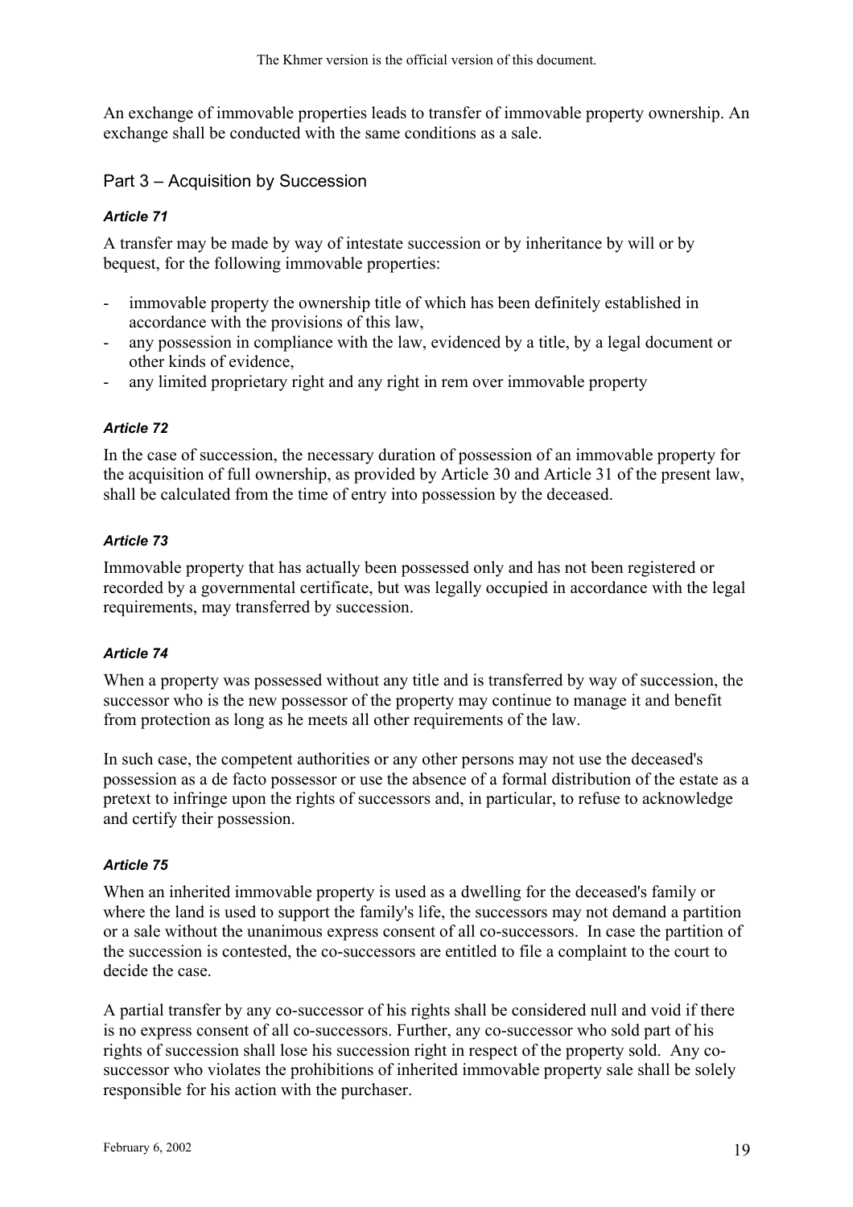An exchange of immovable properties leads to transfer of immovable property ownership. An exchange shall be conducted with the same conditions as a sale.

Part 3 – Acquisition by Succession

### *Article 71*

A transfer may be made by way of intestate succession or by inheritance by will or by bequest, for the following immovable properties:

- immovable property the ownership title of which has been definitely established in accordance with the provisions of this law,
- any possession in compliance with the law, evidenced by a title, by a legal document or other kinds of evidence,
- any limited proprietary right and any right in rem over immovable property

#### *Article 72*

In the case of succession, the necessary duration of possession of an immovable property for the acquisition of full ownership, as provided by Article 30 and Article 31 of the present law, shall be calculated from the time of entry into possession by the deceased.

#### *Article 73*

Immovable property that has actually been possessed only and has not been registered or recorded by a governmental certificate, but was legally occupied in accordance with the legal requirements, may transferred by succession.

#### *Article 74*

When a property was possessed without any title and is transferred by way of succession, the successor who is the new possessor of the property may continue to manage it and benefit from protection as long as he meets all other requirements of the law.

In such case, the competent authorities or any other persons may not use the deceased's possession as a de facto possessor or use the absence of a formal distribution of the estate as a pretext to infringe upon the rights of successors and, in particular, to refuse to acknowledge and certify their possession.

#### *Article 75*

When an inherited immovable property is used as a dwelling for the deceased's family or where the land is used to support the family's life, the successors may not demand a partition or a sale without the unanimous express consent of all co-successors. In case the partition of the succession is contested, the co-successors are entitled to file a complaint to the court to decide the case.

A partial transfer by any co-successor of his rights shall be considered null and void if there is no express consent of all co-successors. Further, any co-successor who sold part of his rights of succession shall lose his succession right in respect of the property sold. Any cosuccessor who violates the prohibitions of inherited immovable property sale shall be solely responsible for his action with the purchaser.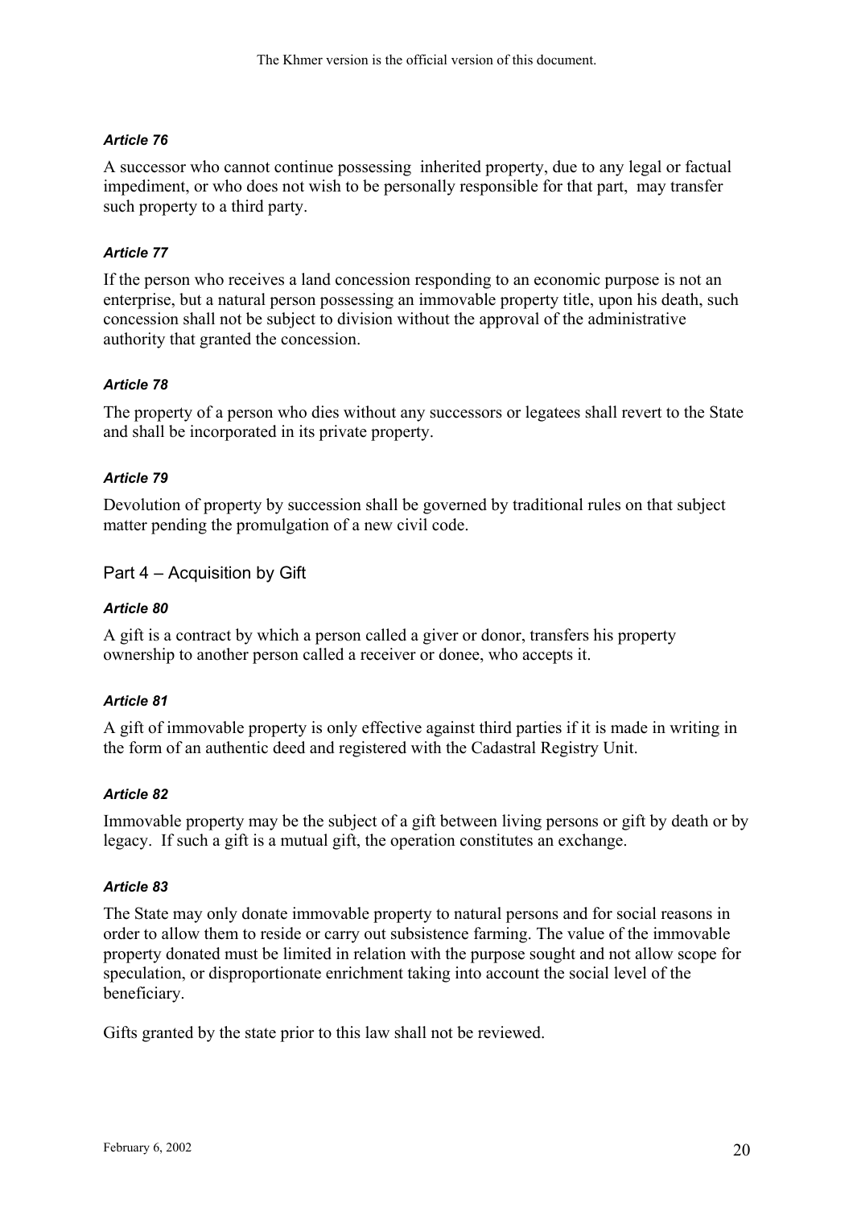A successor who cannot continue possessing inherited property, due to any legal or factual impediment, or who does not wish to be personally responsible for that part, may transfer such property to a third party.

### *Article 77*

If the person who receives a land concession responding to an economic purpose is not an enterprise, but a natural person possessing an immovable property title, upon his death, such concession shall not be subject to division without the approval of the administrative authority that granted the concession.

#### *Article 78*

The property of a person who dies without any successors or legatees shall revert to the State and shall be incorporated in its private property.

# *Article 79*

Devolution of property by succession shall be governed by traditional rules on that subject matter pending the promulgation of a new civil code.

Part 4 – Acquisition by Gift

#### *Article 80*

A gift is a contract by which a person called a giver or donor, transfers his property ownership to another person called a receiver or donee, who accepts it.

#### *Article 81*

A gift of immovable property is only effective against third parties if it is made in writing in the form of an authentic deed and registered with the Cadastral Registry Unit.

#### *Article 82*

Immovable property may be the subject of a gift between living persons or gift by death or by legacy. If such a gift is a mutual gift, the operation constitutes an exchange.

#### *Article 83*

The State may only donate immovable property to natural persons and for social reasons in order to allow them to reside or carry out subsistence farming. The value of the immovable property donated must be limited in relation with the purpose sought and not allow scope for speculation, or disproportionate enrichment taking into account the social level of the beneficiary.

Gifts granted by the state prior to this law shall not be reviewed.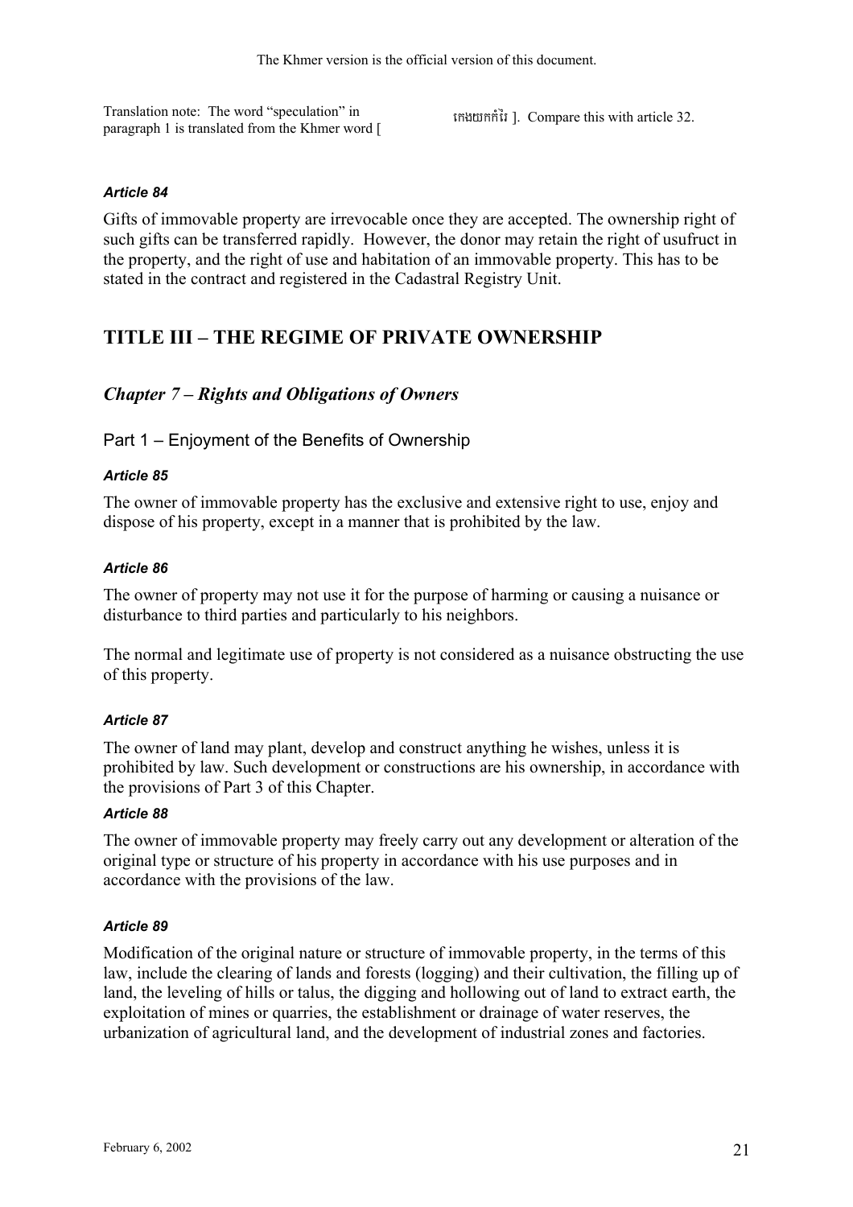Translation note: The word "speculation" in paragraph 1 is translated from the Khmer word [

កេងយកកំរៃ ]. Compare this with article 32.

### *Article 84*

Gifts of immovable property are irrevocable once they are accepted. The ownership right of such gifts can be transferred rapidly. However, the donor may retain the right of usufruct in the property, and the right of use and habitation of an immovable property. This has to be stated in the contract and registered in the Cadastral Registry Unit.

# **TITLE III – THE REGIME OF PRIVATE OWNERSHIP**

# *Chapter 7 – Rights and Obligations of Owners*

# Part 1 – Enjoyment of the Benefits of Ownership

#### *Article 85*

The owner of immovable property has the exclusive and extensive right to use, enjoy and dispose of his property, except in a manner that is prohibited by the law.

#### *Article 86*

The owner of property may not use it for the purpose of harming or causing a nuisance or disturbance to third parties and particularly to his neighbors.

The normal and legitimate use of property is not considered as a nuisance obstructing the use of this property.

#### *Article 87*

The owner of land may plant, develop and construct anything he wishes, unless it is prohibited by law. Such development or constructions are his ownership, in accordance with the provisions of Part 3 of this Chapter.

#### *Article 88*

The owner of immovable property may freely carry out any development or alteration of the original type or structure of his property in accordance with his use purposes and in accordance with the provisions of the law.

#### *Article 89*

Modification of the original nature or structure of immovable property, in the terms of this law, include the clearing of lands and forests (logging) and their cultivation, the filling up of land, the leveling of hills or talus, the digging and hollowing out of land to extract earth, the exploitation of mines or quarries, the establishment or drainage of water reserves, the urbanization of agricultural land, and the development of industrial zones and factories.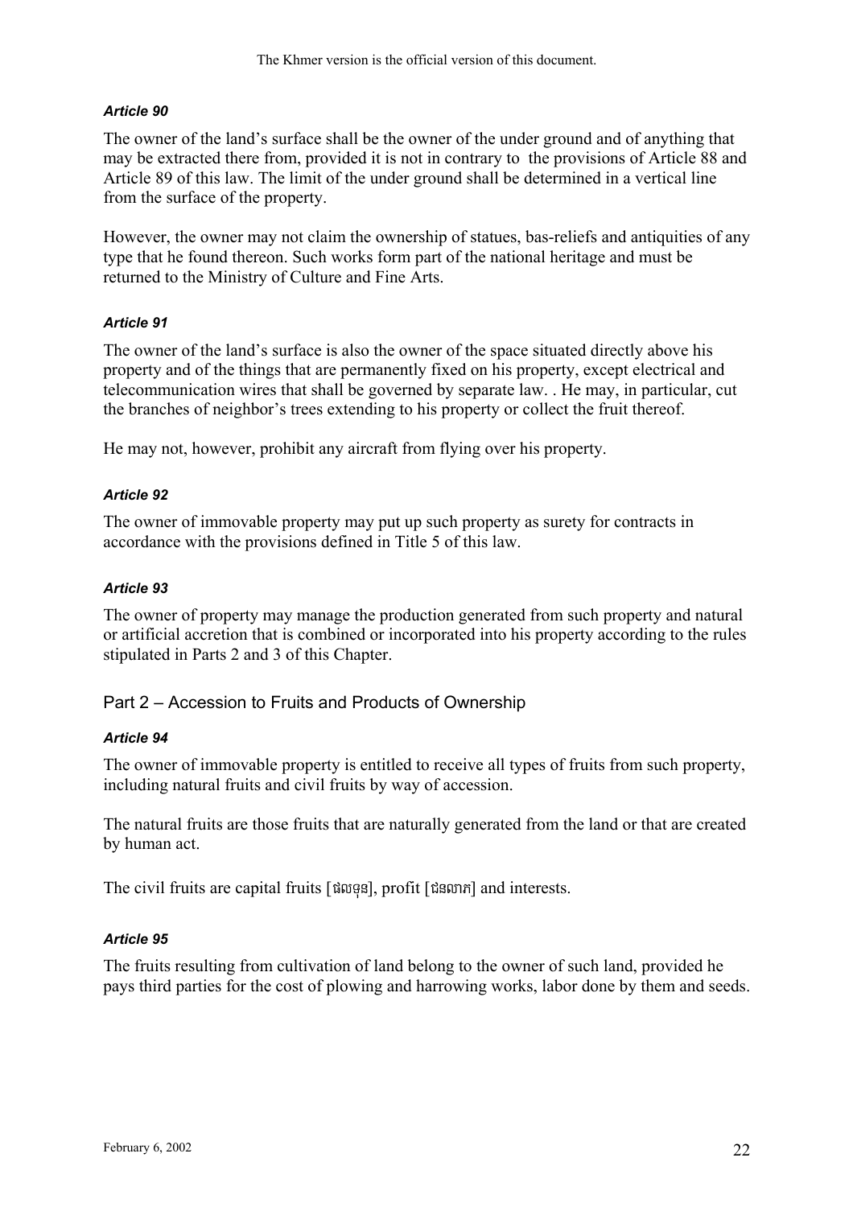The owner of the land's surface shall be the owner of the under ground and of anything that may be extracted there from, provided it is not in contrary to the provisions of Article 88 and Article 89 of this law. The limit of the under ground shall be determined in a vertical line from the surface of the property.

However, the owner may not claim the ownership of statues, bas-reliefs and antiquities of any type that he found thereon. Such works form part of the national heritage and must be returned to the Ministry of Culture and Fine Arts.

#### *Article 91*

The owner of the land's surface is also the owner of the space situated directly above his property and of the things that are permanently fixed on his property, except electrical and telecommunication wires that shall be governed by separate law. . He may, in particular, cut the branches of neighbor's trees extending to his property or collect the fruit thereof.

He may not, however, prohibit any aircraft from flying over his property.

#### *Article 92*

The owner of immovable property may put up such property as surety for contracts in accordance with the provisions defined in Title 5 of this law.

#### *Article 93*

The owner of property may manage the production generated from such property and natural or artificial accretion that is combined or incorporated into his property according to the rules stipulated in Parts 2 and 3 of this Chapter.

#### Part 2 – Accession to Fruits and Products of Ownership

#### *Article 94*

The owner of immovable property is entitled to receive all types of fruits from such property, including natural fruits and civil fruits by way of accession.

The natural fruits are those fruits that are naturally generated from the land or that are created by human act.

The civil fruits are capital fruits [ $\alpha$ gues], profit [ $\alpha$ smn] and interests.

#### *Article 95*

The fruits resulting from cultivation of land belong to the owner of such land, provided he pays third parties for the cost of plowing and harrowing works, labor done by them and seeds.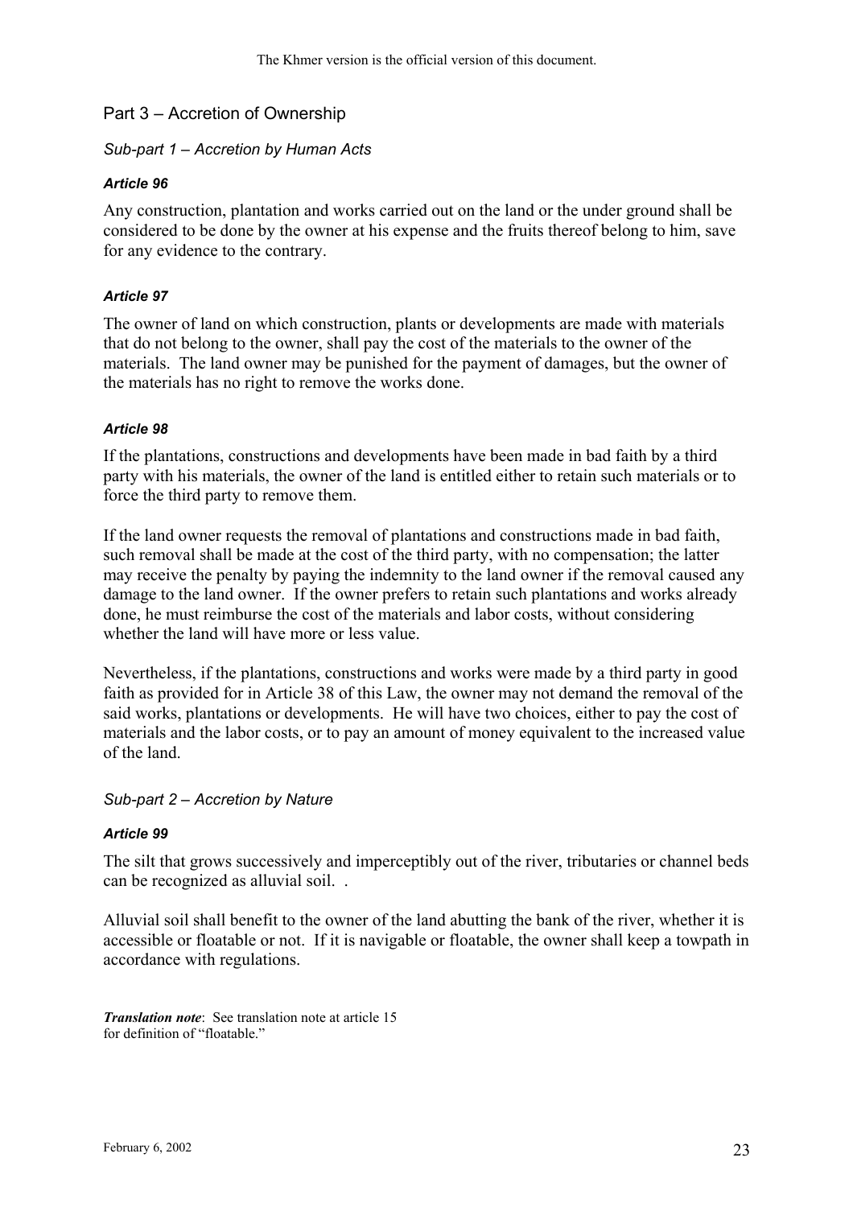# Part 3 – Accretion of Ownership

#### *Sub-part 1 – Accretion by Human Acts*

#### *Article 96*

Any construction, plantation and works carried out on the land or the under ground shall be considered to be done by the owner at his expense and the fruits thereof belong to him, save for any evidence to the contrary.

#### *Article 97*

The owner of land on which construction, plants or developments are made with materials that do not belong to the owner, shall pay the cost of the materials to the owner of the materials. The land owner may be punished for the payment of damages, but the owner of the materials has no right to remove the works done.

#### *Article 98*

If the plantations, constructions and developments have been made in bad faith by a third party with his materials, the owner of the land is entitled either to retain such materials or to force the third party to remove them.

If the land owner requests the removal of plantations and constructions made in bad faith, such removal shall be made at the cost of the third party, with no compensation; the latter may receive the penalty by paying the indemnity to the land owner if the removal caused any damage to the land owner. If the owner prefers to retain such plantations and works already done, he must reimburse the cost of the materials and labor costs, without considering whether the land will have more or less value.

Nevertheless, if the plantations, constructions and works were made by a third party in good faith as provided for in Article 38 of this Law, the owner may not demand the removal of the said works, plantations or developments. He will have two choices, either to pay the cost of materials and the labor costs, or to pay an amount of money equivalent to the increased value of the land.

#### *Sub-part 2 – Accretion by Nature*

#### *Article 99*

The silt that grows successively and imperceptibly out of the river, tributaries or channel beds can be recognized as alluvial soil. .

Alluvial soil shall benefit to the owner of the land abutting the bank of the river, whether it is accessible or floatable or not. If it is navigable or floatable, the owner shall keep a towpath in accordance with regulations.

*Translation note*: See translation note at article 15 for definition of "floatable."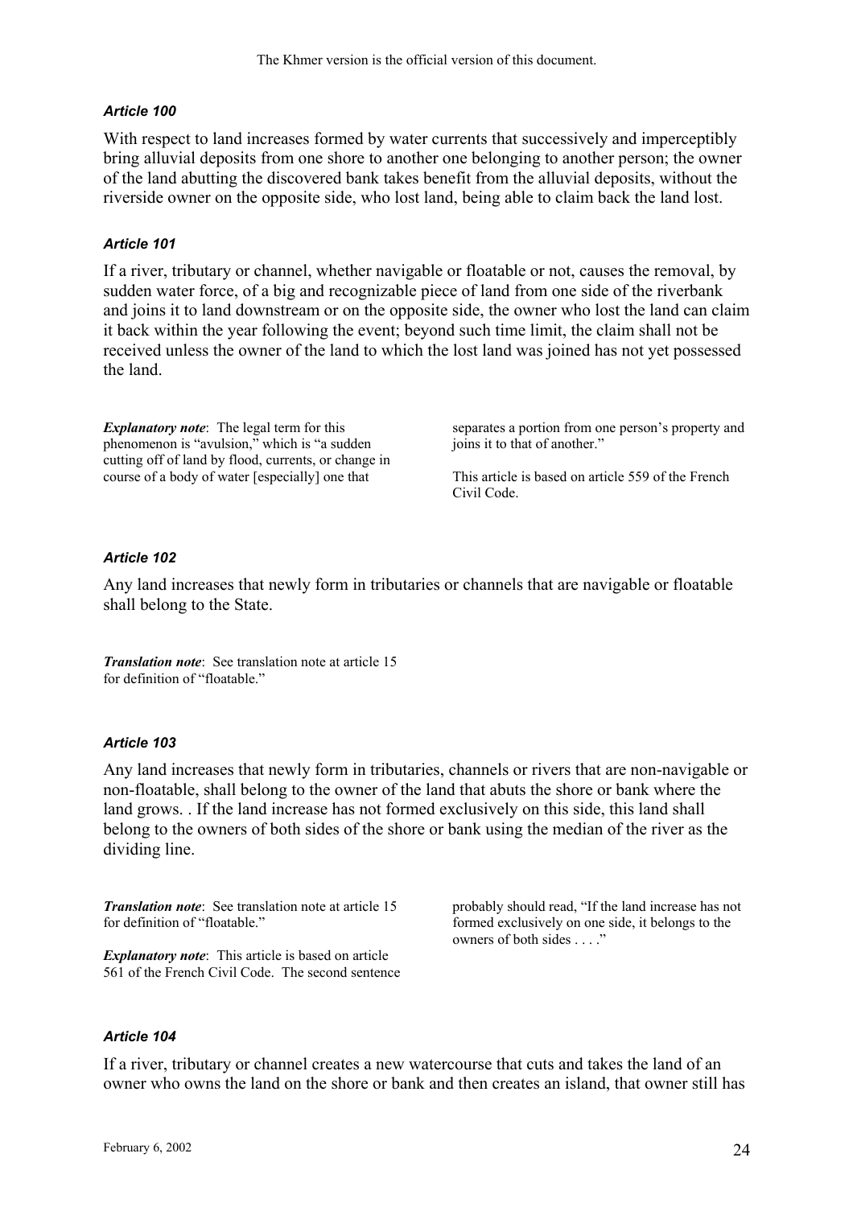With respect to land increases formed by water currents that successively and imperceptibly bring alluvial deposits from one shore to another one belonging to another person; the owner of the land abutting the discovered bank takes benefit from the alluvial deposits, without the riverside owner on the opposite side, who lost land, being able to claim back the land lost.

#### *Article 101*

If a river, tributary or channel, whether navigable or floatable or not, causes the removal, by sudden water force, of a big and recognizable piece of land from one side of the riverbank and joins it to land downstream or on the opposite side, the owner who lost the land can claim it back within the year following the event; beyond such time limit, the claim shall not be received unless the owner of the land to which the lost land was joined has not yet possessed the land.

*Explanatory note*: The legal term for this phenomenon is "avulsion," which is "a sudden cutting off of land by flood, currents, or change in course of a body of water [especially] one that

separates a portion from one person's property and joins it to that of another."

This article is based on article 559 of the French Civil Code.

#### *Article 102*

Any land increases that newly form in tributaries or channels that are navigable or floatable shall belong to the State.

*Translation note*: See translation note at article 15 for definition of "floatable."

#### *Article 103*

Any land increases that newly form in tributaries, channels or rivers that are non-navigable or non-floatable, shall belong to the owner of the land that abuts the shore or bank where the land grows. . If the land increase has not formed exclusively on this side, this land shall belong to the owners of both sides of the shore or bank using the median of the river as the dividing line.

*Translation note*: See translation note at article 15 for definition of "floatable."

*Explanatory note*: This article is based on article 561 of the French Civil Code. The second sentence probably should read, "If the land increase has not formed exclusively on one side, it belongs to the owners of both sides . . . ."

#### *Article 104*

If a river, tributary or channel creates a new watercourse that cuts and takes the land of an owner who owns the land on the shore or bank and then creates an island, that owner still has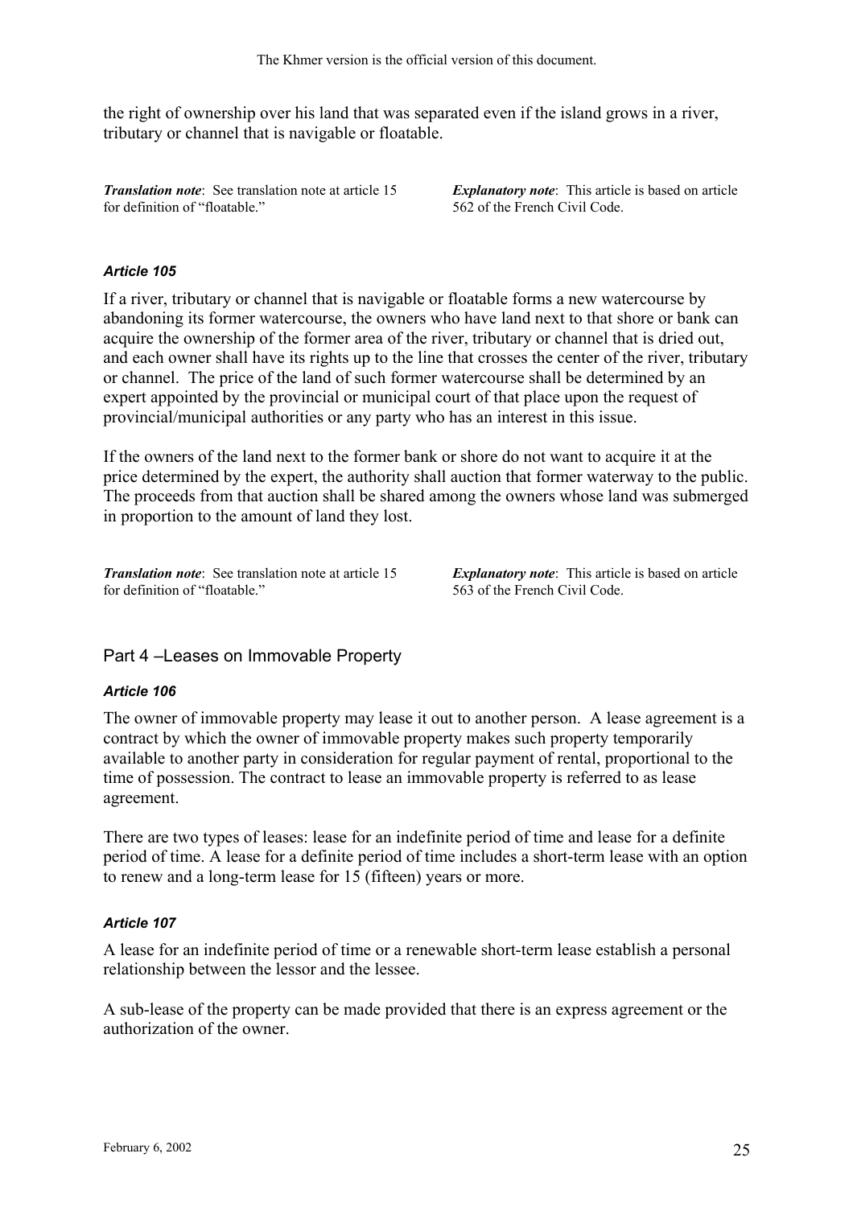the right of ownership over his land that was separated even if the island grows in a river, tributary or channel that is navigable or floatable.

*Translation note:* See translation note at article 15 for definition of "floatable."

*Explanatory note*: This article is based on article 562 of the French Civil Code.

#### *Article 105*

If a river, tributary or channel that is navigable or floatable forms a new watercourse by abandoning its former watercourse, the owners who have land next to that shore or bank can acquire the ownership of the former area of the river, tributary or channel that is dried out, and each owner shall have its rights up to the line that crosses the center of the river, tributary or channel. The price of the land of such former watercourse shall be determined by an expert appointed by the provincial or municipal court of that place upon the request of provincial/municipal authorities or any party who has an interest in this issue.

If the owners of the land next to the former bank or shore do not want to acquire it at the price determined by the expert, the authority shall auction that former waterway to the public. The proceeds from that auction shall be shared among the owners whose land was submerged in proportion to the amount of land they lost.

*Translation note*: See translation note at article 15 for definition of "floatable."

*Explanatory note*: This article is based on article 563 of the French Civil Code.

#### Part 4 –Leases on Immovable Property

#### *Article 106*

The owner of immovable property may lease it out to another person. A lease agreement is a contract by which the owner of immovable property makes such property temporarily available to another party in consideration for regular payment of rental, proportional to the time of possession. The contract to lease an immovable property is referred to as lease agreement.

There are two types of leases: lease for an indefinite period of time and lease for a definite period of time. A lease for a definite period of time includes a short-term lease with an option to renew and a long-term lease for 15 (fifteen) years or more.

#### *Article 107*

A lease for an indefinite period of time or a renewable short-term lease establish a personal relationship between the lessor and the lessee.

A sub-lease of the property can be made provided that there is an express agreement or the authorization of the owner.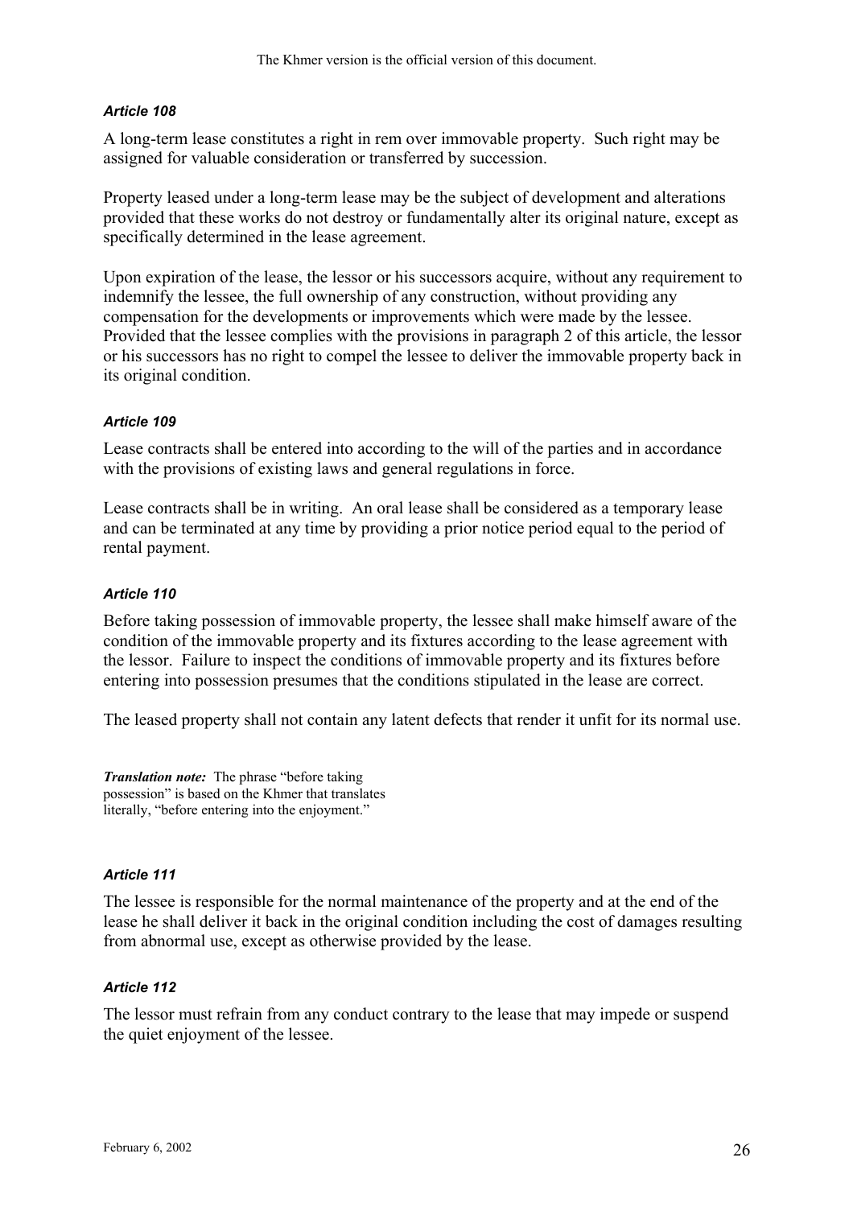A long-term lease constitutes a right in rem over immovable property. Such right may be assigned for valuable consideration or transferred by succession.

Property leased under a long-term lease may be the subject of development and alterations provided that these works do not destroy or fundamentally alter its original nature, except as specifically determined in the lease agreement.

Upon expiration of the lease, the lessor or his successors acquire, without any requirement to indemnify the lessee, the full ownership of any construction, without providing any compensation for the developments or improvements which were made by the lessee. Provided that the lessee complies with the provisions in paragraph 2 of this article, the lessor or his successors has no right to compel the lessee to deliver the immovable property back in its original condition.

#### *Article 109*

Lease contracts shall be entered into according to the will of the parties and in accordance with the provisions of existing laws and general regulations in force.

Lease contracts shall be in writing. An oral lease shall be considered as a temporary lease and can be terminated at any time by providing a prior notice period equal to the period of rental payment.

#### *Article 110*

Before taking possession of immovable property, the lessee shall make himself aware of the condition of the immovable property and its fixtures according to the lease agreement with the lessor. Failure to inspect the conditions of immovable property and its fixtures before entering into possession presumes that the conditions stipulated in the lease are correct.

The leased property shall not contain any latent defects that render it unfit for its normal use.

*Translation note:* The phrase "before taking possession" is based on the Khmer that translates literally, "before entering into the enjoyment."

#### *Article 111*

The lessee is responsible for the normal maintenance of the property and at the end of the lease he shall deliver it back in the original condition including the cost of damages resulting from abnormal use, except as otherwise provided by the lease.

#### *Article 112*

The lessor must refrain from any conduct contrary to the lease that may impede or suspend the quiet enjoyment of the lessee.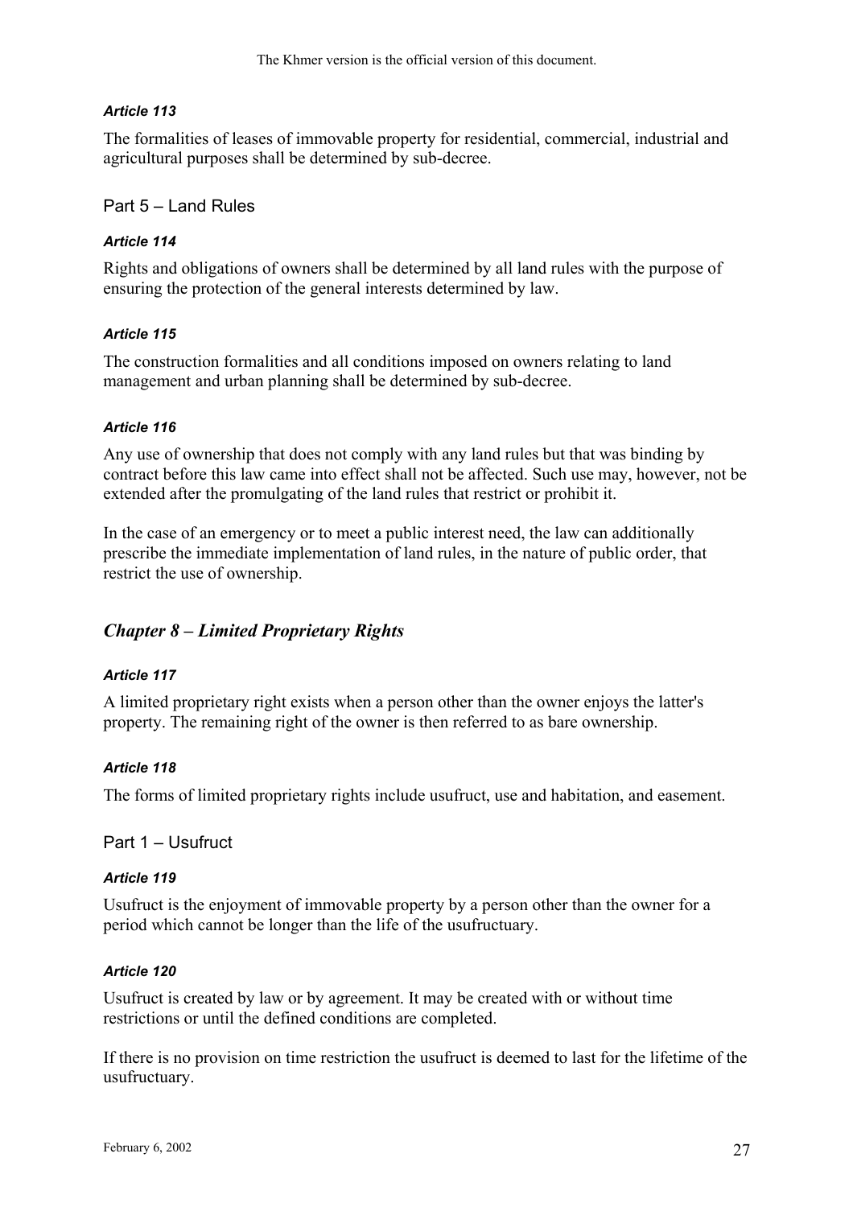The formalities of leases of immovable property for residential, commercial, industrial and agricultural purposes shall be determined by sub-decree.

# Part 5 – Land Rules

#### *Article 114*

Rights and obligations of owners shall be determined by all land rules with the purpose of ensuring the protection of the general interests determined by law.

#### *Article 115*

The construction formalities and all conditions imposed on owners relating to land management and urban planning shall be determined by sub-decree.

#### *Article 116*

Any use of ownership that does not comply with any land rules but that was binding by contract before this law came into effect shall not be affected. Such use may, however, not be extended after the promulgating of the land rules that restrict or prohibit it.

In the case of an emergency or to meet a public interest need, the law can additionally prescribe the immediate implementation of land rules, in the nature of public order, that restrict the use of ownership.

# *Chapter 8 – Limited Proprietary Rights*

#### *Article 117*

A limited proprietary right exists when a person other than the owner enjoys the latter's property. The remaining right of the owner is then referred to as bare ownership.

# *Article 118*

The forms of limited proprietary rights include usufruct, use and habitation, and easement.

# Part 1 – Usufruct

#### *Article 119*

Usufruct is the enjoyment of immovable property by a person other than the owner for a period which cannot be longer than the life of the usufructuary.

#### *Article 120*

Usufruct is created by law or by agreement. It may be created with or without time restrictions or until the defined conditions are completed.

If there is no provision on time restriction the usufruct is deemed to last for the lifetime of the usufructuary.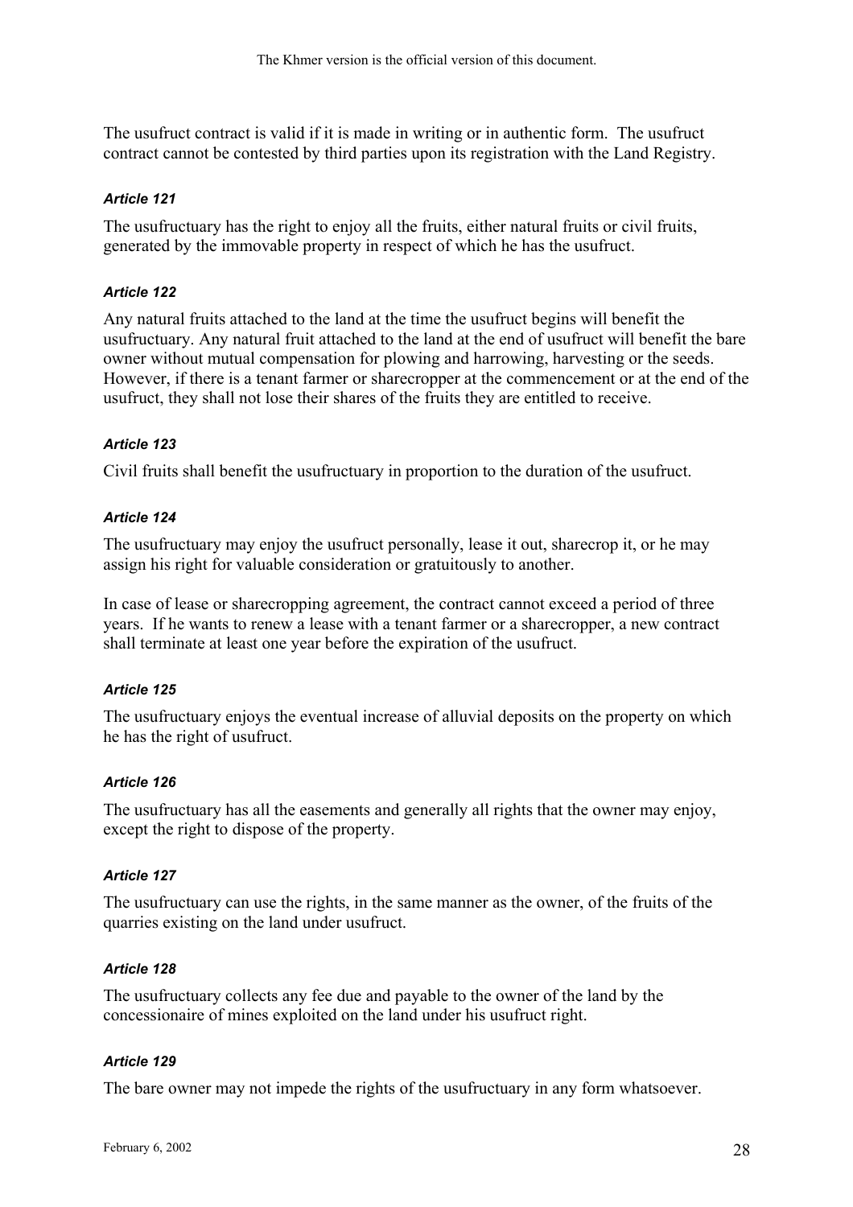The usufruct contract is valid if it is made in writing or in authentic form. The usufruct contract cannot be contested by third parties upon its registration with the Land Registry.

#### *Article 121*

The usufructuary has the right to enjoy all the fruits, either natural fruits or civil fruits, generated by the immovable property in respect of which he has the usufruct.

#### *Article 122*

Any natural fruits attached to the land at the time the usufruct begins will benefit the usufructuary. Any natural fruit attached to the land at the end of usufruct will benefit the bare owner without mutual compensation for plowing and harrowing, harvesting or the seeds. However, if there is a tenant farmer or sharecropper at the commencement or at the end of the usufruct, they shall not lose their shares of the fruits they are entitled to receive.

#### *Article 123*

Civil fruits shall benefit the usufructuary in proportion to the duration of the usufruct.

#### *Article 124*

The usufructuary may enjoy the usufruct personally, lease it out, sharecrop it, or he may assign his right for valuable consideration or gratuitously to another.

In case of lease or sharecropping agreement, the contract cannot exceed a period of three years. If he wants to renew a lease with a tenant farmer or a sharecropper, a new contract shall terminate at least one year before the expiration of the usufruct.

#### *Article 125*

The usufructuary enjoys the eventual increase of alluvial deposits on the property on which he has the right of usufruct.

#### *Article 126*

The usufructuary has all the easements and generally all rights that the owner may enjoy, except the right to dispose of the property.

#### *Article 127*

The usufructuary can use the rights, in the same manner as the owner, of the fruits of the quarries existing on the land under usufruct.

#### *Article 128*

The usufructuary collects any fee due and payable to the owner of the land by the concessionaire of mines exploited on the land under his usufruct right.

#### *Article 129*

The bare owner may not impede the rights of the usufructuary in any form whatsoever.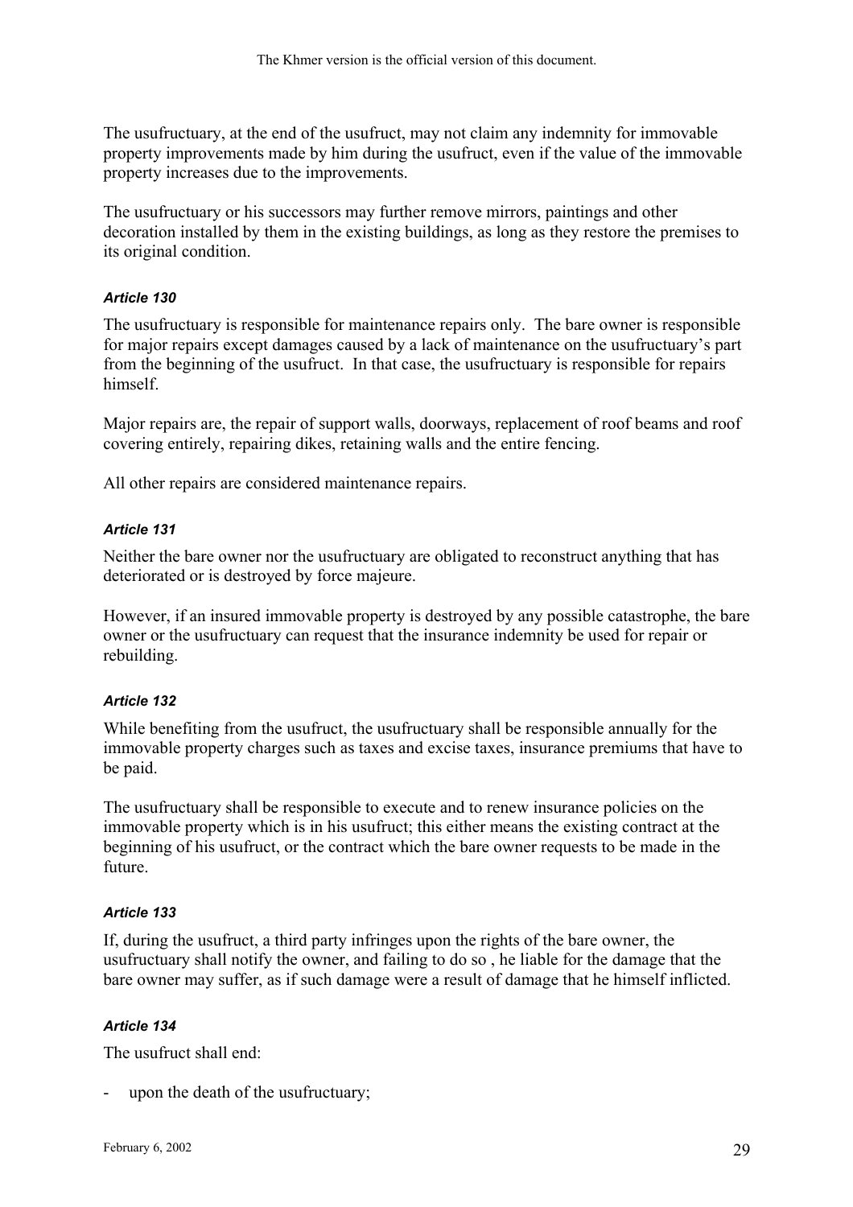The usufructuary, at the end of the usufruct, may not claim any indemnity for immovable property improvements made by him during the usufruct, even if the value of the immovable property increases due to the improvements.

The usufructuary or his successors may further remove mirrors, paintings and other decoration installed by them in the existing buildings, as long as they restore the premises to its original condition.

#### *Article 130*

The usufructuary is responsible for maintenance repairs only. The bare owner is responsible for major repairs except damages caused by a lack of maintenance on the usufructuary's part from the beginning of the usufruct. In that case, the usufructuary is responsible for repairs himself.

Major repairs are, the repair of support walls, doorways, replacement of roof beams and roof covering entirely, repairing dikes, retaining walls and the entire fencing.

All other repairs are considered maintenance repairs.

#### *Article 131*

Neither the bare owner nor the usufructuary are obligated to reconstruct anything that has deteriorated or is destroyed by force majeure.

However, if an insured immovable property is destroyed by any possible catastrophe, the bare owner or the usufructuary can request that the insurance indemnity be used for repair or rebuilding.

#### *Article 132*

While benefiting from the usufruct, the usufructuary shall be responsible annually for the immovable property charges such as taxes and excise taxes, insurance premiums that have to be paid.

The usufructuary shall be responsible to execute and to renew insurance policies on the immovable property which is in his usufruct; this either means the existing contract at the beginning of his usufruct, or the contract which the bare owner requests to be made in the future.

#### *Article 133*

If, during the usufruct, a third party infringes upon the rights of the bare owner, the usufructuary shall notify the owner, and failing to do so , he liable for the damage that the bare owner may suffer, as if such damage were a result of damage that he himself inflicted.

#### *Article 134*

The usufruct shall end:

upon the death of the usufructuary;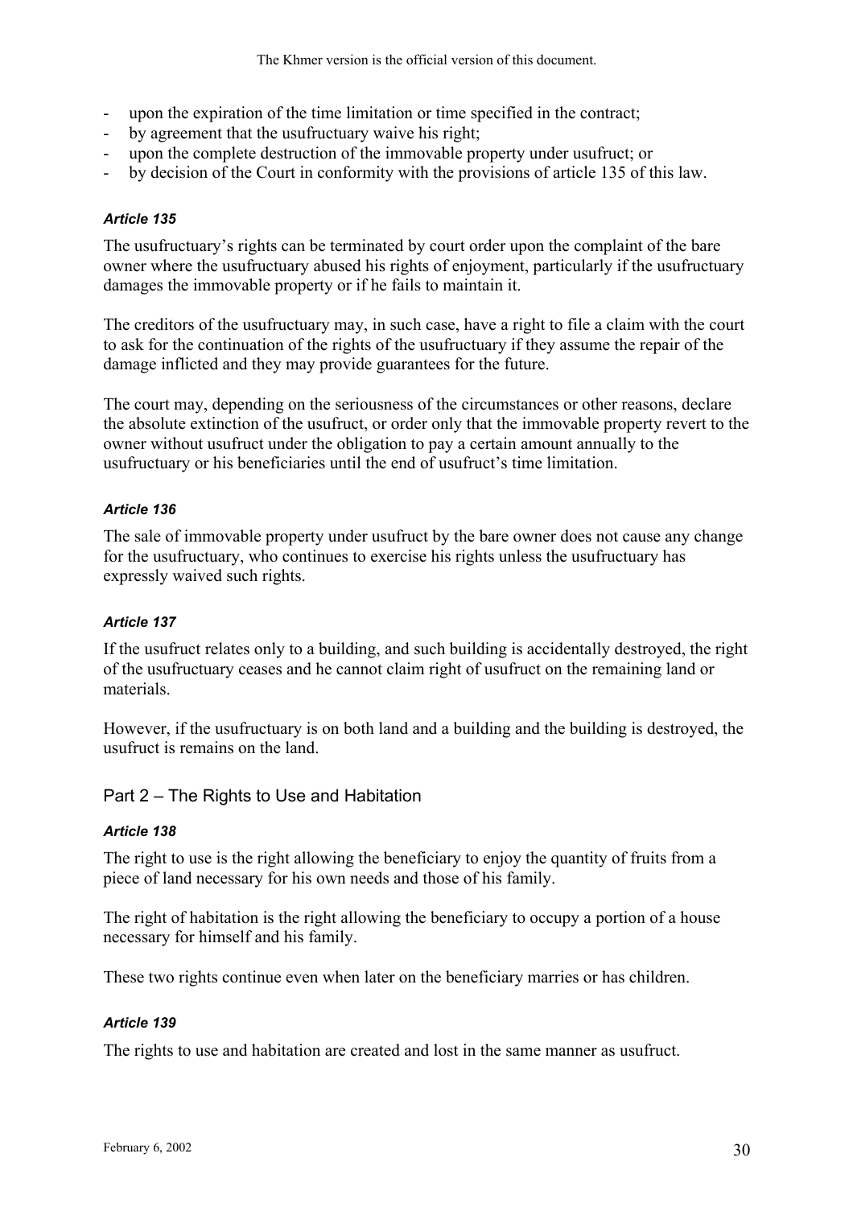- upon the expiration of the time limitation or time specified in the contract;
- by agreement that the usufructuary waive his right;
- upon the complete destruction of the immovable property under usufruct; or
- by decision of the Court in conformity with the provisions of article 135 of this law.

The usufructuary's rights can be terminated by court order upon the complaint of the bare owner where the usufructuary abused his rights of enjoyment, particularly if the usufructuary damages the immovable property or if he fails to maintain it.

The creditors of the usufructuary may, in such case, have a right to file a claim with the court to ask for the continuation of the rights of the usufructuary if they assume the repair of the damage inflicted and they may provide guarantees for the future.

The court may, depending on the seriousness of the circumstances or other reasons, declare the absolute extinction of the usufruct, or order only that the immovable property revert to the owner without usufruct under the obligation to pay a certain amount annually to the usufructuary or his beneficiaries until the end of usufruct's time limitation.

#### *Article 136*

The sale of immovable property under usufruct by the bare owner does not cause any change for the usufructuary, who continues to exercise his rights unless the usufructuary has expressly waived such rights.

#### *Article 137*

If the usufruct relates only to a building, and such building is accidentally destroyed, the right of the usufructuary ceases and he cannot claim right of usufruct on the remaining land or materials.

However, if the usufructuary is on both land and a building and the building is destroyed, the usufruct is remains on the land.

# Part 2 – The Rights to Use and Habitation

#### *Article 138*

The right to use is the right allowing the beneficiary to enjoy the quantity of fruits from a piece of land necessary for his own needs and those of his family.

The right of habitation is the right allowing the beneficiary to occupy a portion of a house necessary for himself and his family.

These two rights continue even when later on the beneficiary marries or has children.

#### *Article 139*

The rights to use and habitation are created and lost in the same manner as usufruct.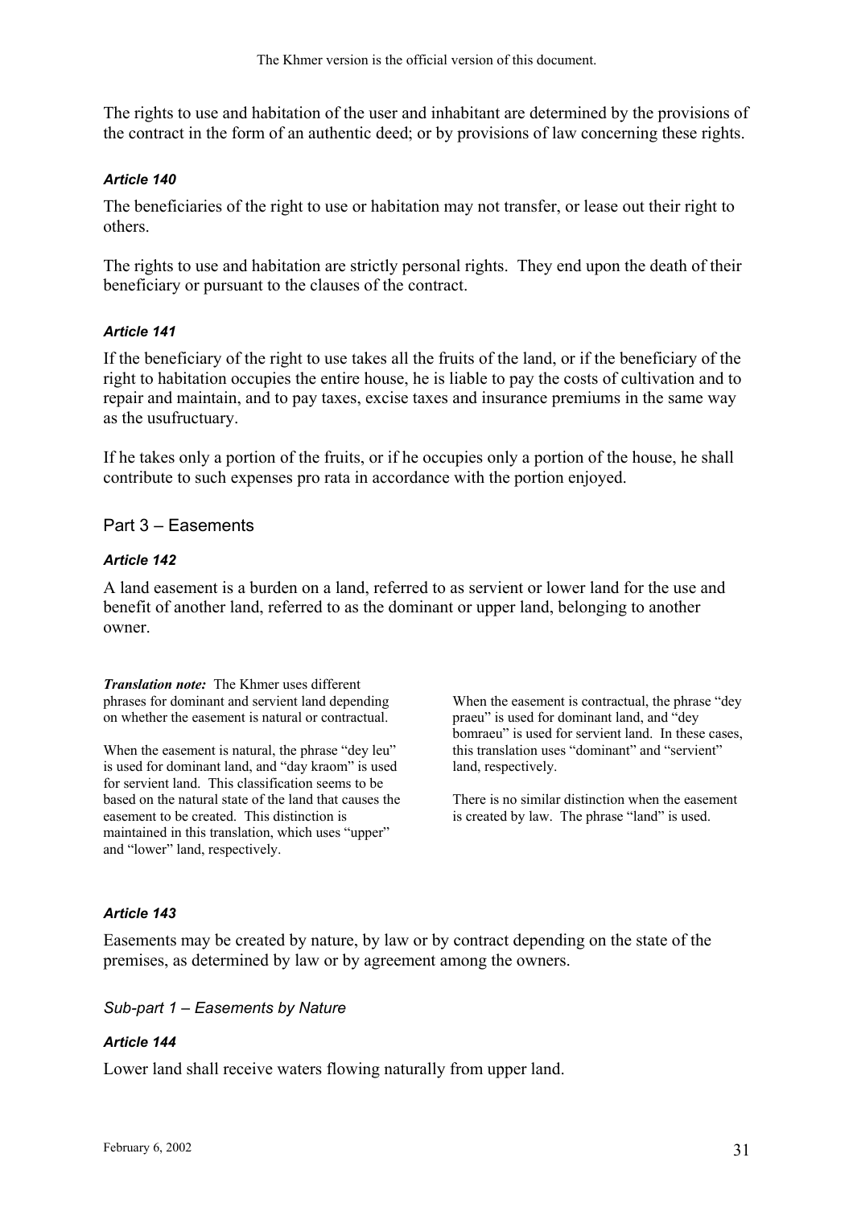The rights to use and habitation of the user and inhabitant are determined by the provisions of the contract in the form of an authentic deed; or by provisions of law concerning these rights.

#### *Article 140*

The beneficiaries of the right to use or habitation may not transfer, or lease out their right to others.

The rights to use and habitation are strictly personal rights. They end upon the death of their beneficiary or pursuant to the clauses of the contract.

#### *Article 141*

If the beneficiary of the right to use takes all the fruits of the land, or if the beneficiary of the right to habitation occupies the entire house, he is liable to pay the costs of cultivation and to repair and maintain, and to pay taxes, excise taxes and insurance premiums in the same way as the usufructuary.

If he takes only a portion of the fruits, or if he occupies only a portion of the house, he shall contribute to such expenses pro rata in accordance with the portion enjoyed.

#### Part 3 – Easements

#### *Article 142*

A land easement is a burden on a land, referred to as servient or lower land for the use and benefit of another land, referred to as the dominant or upper land, belonging to another owner.

*Translation note:* The Khmer uses different phrases for dominant and servient land depending on whether the easement is natural or contractual.

When the easement is natural, the phrase "dey leu" is used for dominant land, and "day kraom" is used for servient land. This classification seems to be based on the natural state of the land that causes the easement to be created. This distinction is maintained in this translation, which uses "upper" and "lower" land, respectively.

When the easement is contractual, the phrase "dey praeu" is used for dominant land, and "dey bomraeu" is used for servient land. In these cases, this translation uses "dominant" and "servient" land, respectively.

There is no similar distinction when the easement is created by law. The phrase "land" is used.

#### *Article 143*

Easements may be created by nature, by law or by contract depending on the state of the premises, as determined by law or by agreement among the owners.

#### *Sub-part 1 – Easements by Nature*

#### *Article 144*

Lower land shall receive waters flowing naturally from upper land.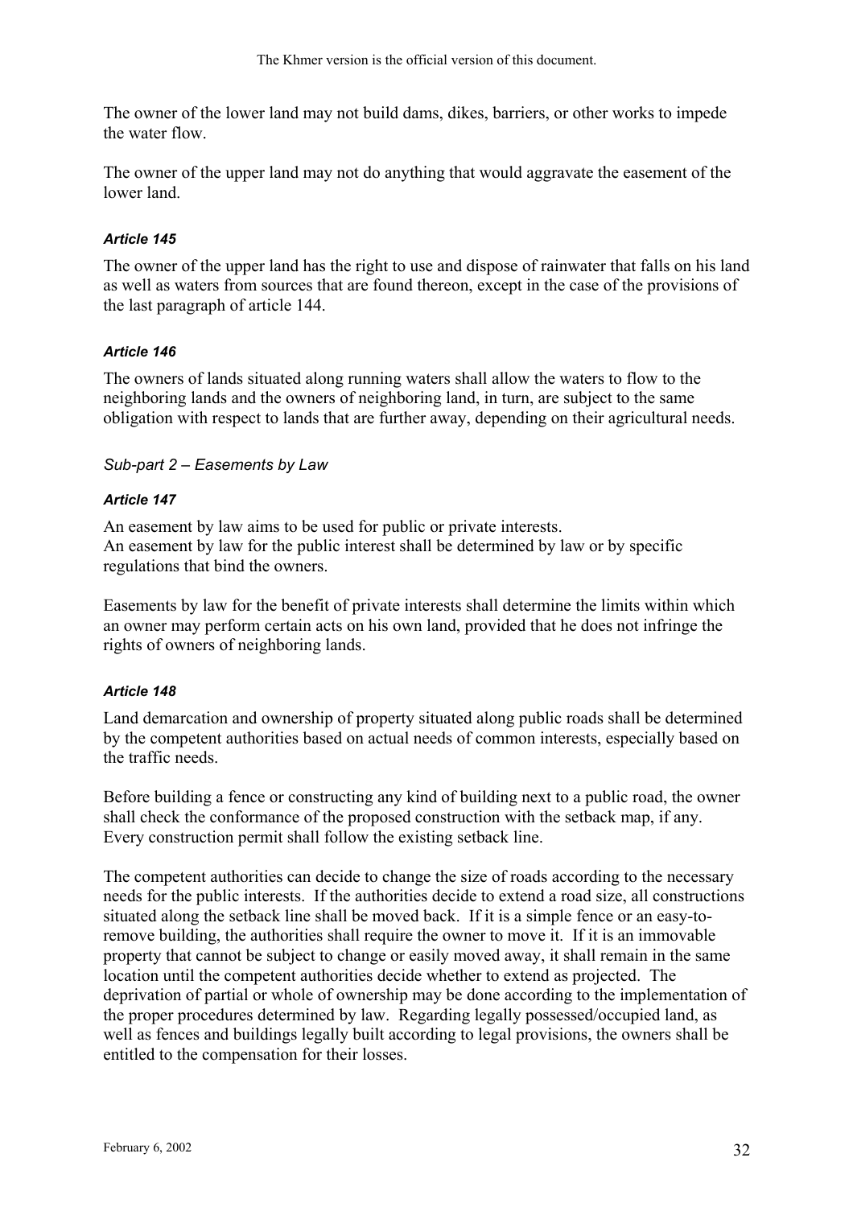The owner of the lower land may not build dams, dikes, barriers, or other works to impede the water flow.

The owner of the upper land may not do anything that would aggravate the easement of the lower land.

#### *Article 145*

The owner of the upper land has the right to use and dispose of rainwater that falls on his land as well as waters from sources that are found thereon, except in the case of the provisions of the last paragraph of article 144.

#### *Article 146*

The owners of lands situated along running waters shall allow the waters to flow to the neighboring lands and the owners of neighboring land, in turn, are subject to the same obligation with respect to lands that are further away, depending on their agricultural needs.

#### *Sub-part 2 – Easements by Law*

#### *Article 147*

An easement by law aims to be used for public or private interests. An easement by law for the public interest shall be determined by law or by specific regulations that bind the owners.

Easements by law for the benefit of private interests shall determine the limits within which an owner may perform certain acts on his own land, provided that he does not infringe the rights of owners of neighboring lands.

#### *Article 148*

Land demarcation and ownership of property situated along public roads shall be determined by the competent authorities based on actual needs of common interests, especially based on the traffic needs.

Before building a fence or constructing any kind of building next to a public road, the owner shall check the conformance of the proposed construction with the setback map, if any. Every construction permit shall follow the existing setback line.

The competent authorities can decide to change the size of roads according to the necessary needs for the public interests. If the authorities decide to extend a road size, all constructions situated along the setback line shall be moved back. If it is a simple fence or an easy-toremove building, the authorities shall require the owner to move it. If it is an immovable property that cannot be subject to change or easily moved away, it shall remain in the same location until the competent authorities decide whether to extend as projected. The deprivation of partial or whole of ownership may be done according to the implementation of the proper procedures determined by law. Regarding legally possessed/occupied land, as well as fences and buildings legally built according to legal provisions, the owners shall be entitled to the compensation for their losses.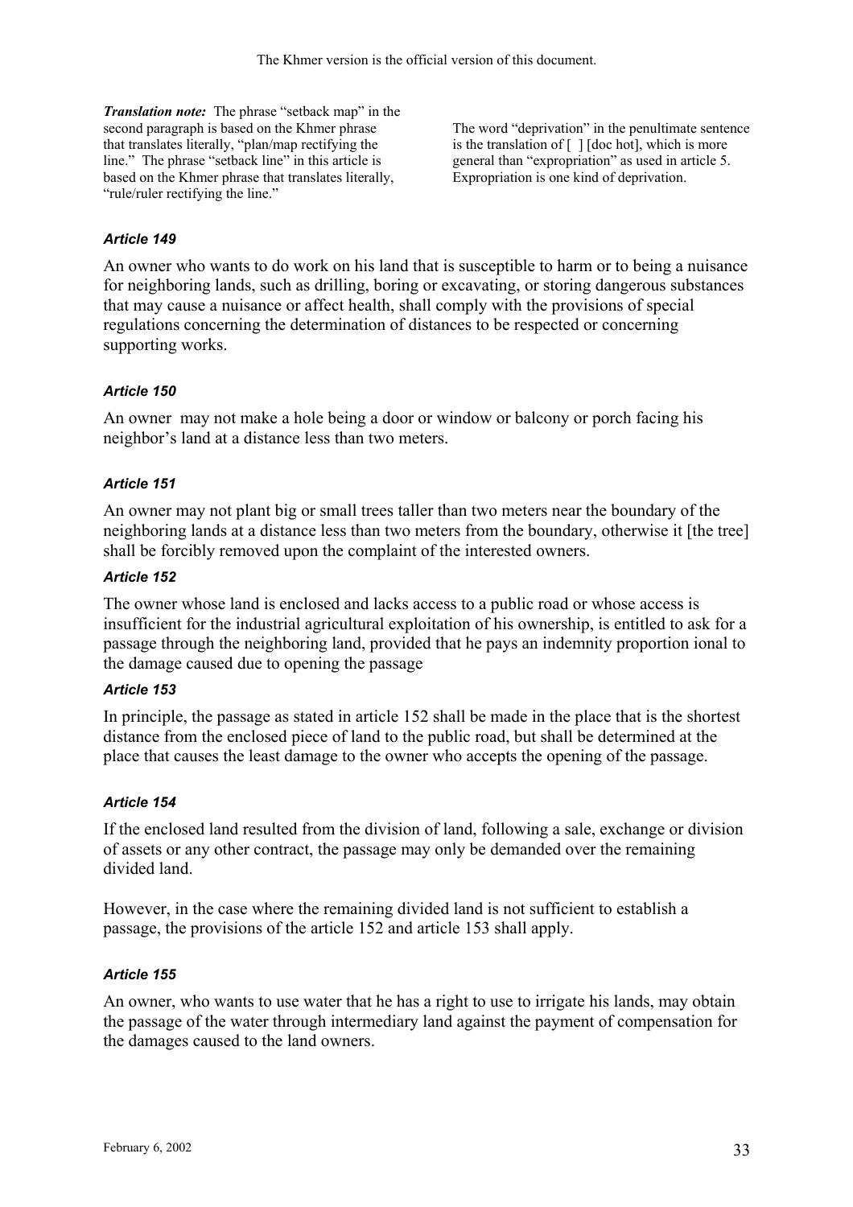*Translation note:* The phrase "setback map" in the second paragraph is based on the Khmer phrase that translates literally, "plan/map rectifying the line." The phrase "setback line" in this article is based on the Khmer phrase that translates literally, "rule/ruler rectifying the line."

The word "deprivation" in the penultimate sentence is the translation of  $\lceil \cdot \rceil$  [doc hot], which is more general than "expropriation" as used in article 5. Expropriation is one kind of deprivation.

#### *Article 149*

An owner who wants to do work on his land that is susceptible to harm or to being a nuisance for neighboring lands, such as drilling, boring or excavating, or storing dangerous substances that may cause a nuisance or affect health, shall comply with the provisions of special regulations concerning the determination of distances to be respected or concerning supporting works.

# *Article 150*

An owner may not make a hole being a door or window or balcony or porch facing his neighbor's land at a distance less than two meters.

#### *Article 151*

An owner may not plant big or small trees taller than two meters near the boundary of the neighboring lands at a distance less than two meters from the boundary, otherwise it [the tree] shall be forcibly removed upon the complaint of the interested owners.

#### *Article 152*

The owner whose land is enclosed and lacks access to a public road or whose access is insufficient for the industrial agricultural exploitation of his ownership, is entitled to ask for a passage through the neighboring land, provided that he pays an indemnity proportion ional to the damage caused due to opening the passage

#### *Article 153*

In principle, the passage as stated in article 152 shall be made in the place that is the shortest distance from the enclosed piece of land to the public road, but shall be determined at the place that causes the least damage to the owner who accepts the opening of the passage.

#### *Article 154*

If the enclosed land resulted from the division of land, following a sale, exchange or division of assets or any other contract, the passage may only be demanded over the remaining divided land.

However, in the case where the remaining divided land is not sufficient to establish a passage, the provisions of the article 152 and article 153 shall apply.

#### *Article 155*

An owner, who wants to use water that he has a right to use to irrigate his lands, may obtain the passage of the water through intermediary land against the payment of compensation for the damages caused to the land owners.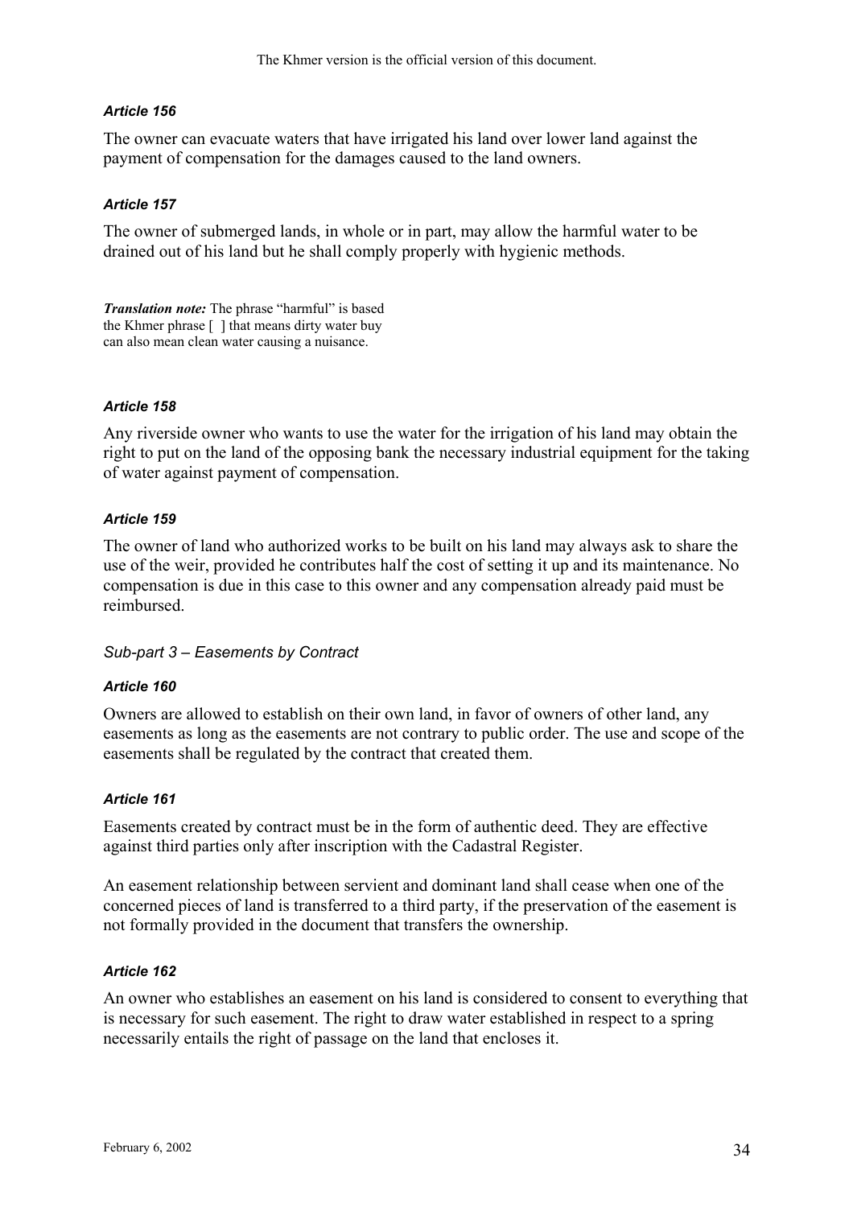The Khmer version is the official version of this document.

#### *Article 156*

The owner can evacuate waters that have irrigated his land over lower land against the payment of compensation for the damages caused to the land owners.

#### *Article 157*

The owner of submerged lands, in whole or in part, may allow the harmful water to be drained out of his land but he shall comply properly with hygienic methods.

*Translation note:* The phrase "harmful" is based the Khmer phrase [ ] that means dirty water buy can also mean clean water causing a nuisance.

#### *Article 158*

Any riverside owner who wants to use the water for the irrigation of his land may obtain the right to put on the land of the opposing bank the necessary industrial equipment for the taking of water against payment of compensation.

#### *Article 159*

The owner of land who authorized works to be built on his land may always ask to share the use of the weir, provided he contributes half the cost of setting it up and its maintenance. No compensation is due in this case to this owner and any compensation already paid must be reimbursed.

#### *Sub-part 3 – Easements by Contract*

#### *Article 160*

Owners are allowed to establish on their own land, in favor of owners of other land, any easements as long as the easements are not contrary to public order. The use and scope of the easements shall be regulated by the contract that created them.

#### *Article 161*

Easements created by contract must be in the form of authentic deed. They are effective against third parties only after inscription with the Cadastral Register.

An easement relationship between servient and dominant land shall cease when one of the concerned pieces of land is transferred to a third party, if the preservation of the easement is not formally provided in the document that transfers the ownership.

#### *Article 162*

An owner who establishes an easement on his land is considered to consent to everything that is necessary for such easement. The right to draw water established in respect to a spring necessarily entails the right of passage on the land that encloses it.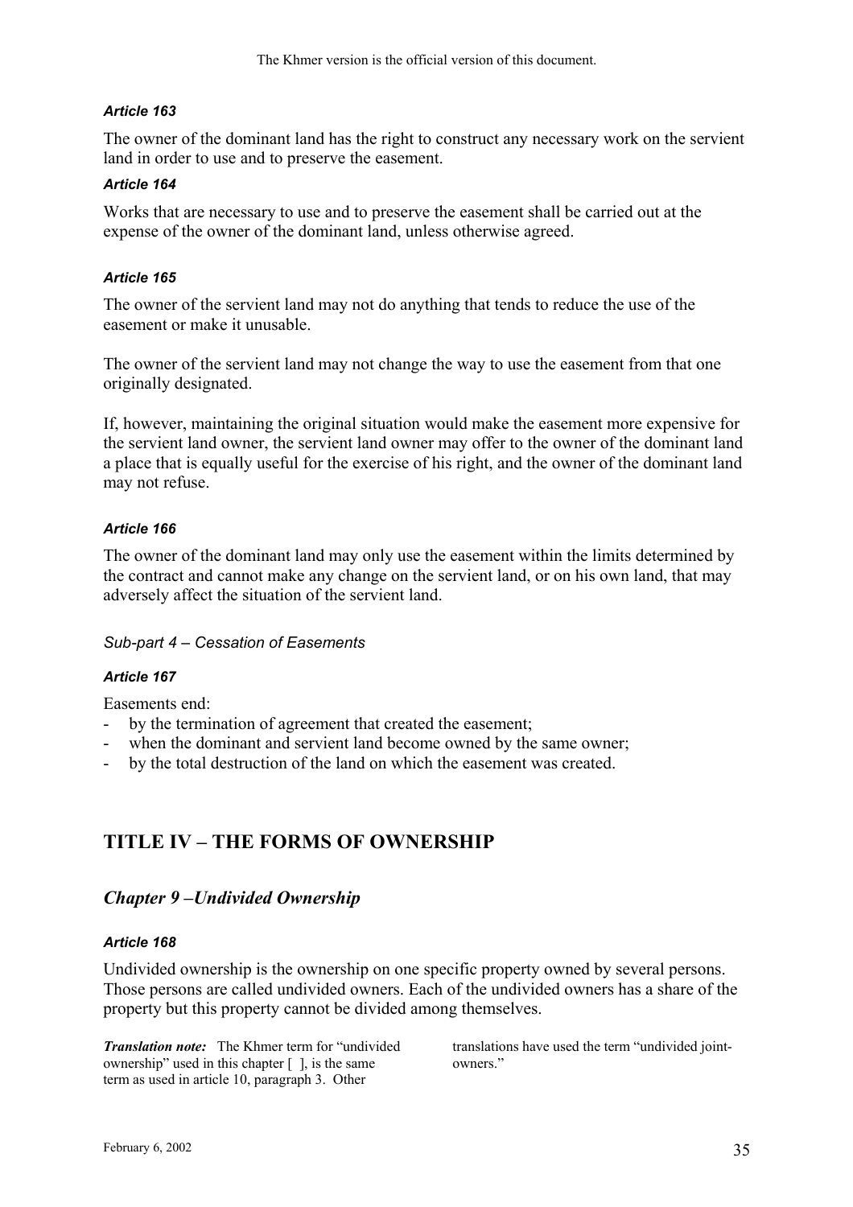The Khmer version is the official version of this document.

#### *Article 163*

The owner of the dominant land has the right to construct any necessary work on the servient land in order to use and to preserve the easement.

#### *Article 164*

Works that are necessary to use and to preserve the easement shall be carried out at the expense of the owner of the dominant land, unless otherwise agreed.

#### *Article 165*

The owner of the servient land may not do anything that tends to reduce the use of the easement or make it unusable.

The owner of the servient land may not change the way to use the easement from that one originally designated.

If, however, maintaining the original situation would make the easement more expensive for the servient land owner, the servient land owner may offer to the owner of the dominant land a place that is equally useful for the exercise of his right, and the owner of the dominant land may not refuse.

#### *Article 166*

The owner of the dominant land may only use the easement within the limits determined by the contract and cannot make any change on the servient land, or on his own land, that may adversely affect the situation of the servient land.

#### *Sub-part 4 – Cessation of Easements*

#### *Article 167*

Easements end:

- by the termination of agreement that created the easement;
- when the dominant and servient land become owned by the same owner;
- by the total destruction of the land on which the easement was created.

# **TITLE IV – THE FORMS OF OWNERSHIP**

# *Chapter 9 –Undivided Ownership*

#### *Article 168*

Undivided ownership is the ownership on one specific property owned by several persons. Those persons are called undivided owners. Each of the undivided owners has a share of the property but this property cannot be divided among themselves.

*Translation note:* The Khmer term for "undivided ownership" used in this chapter [ ], is the same term as used in article 10, paragraph 3. Other

translations have used the term "undivided jointowners."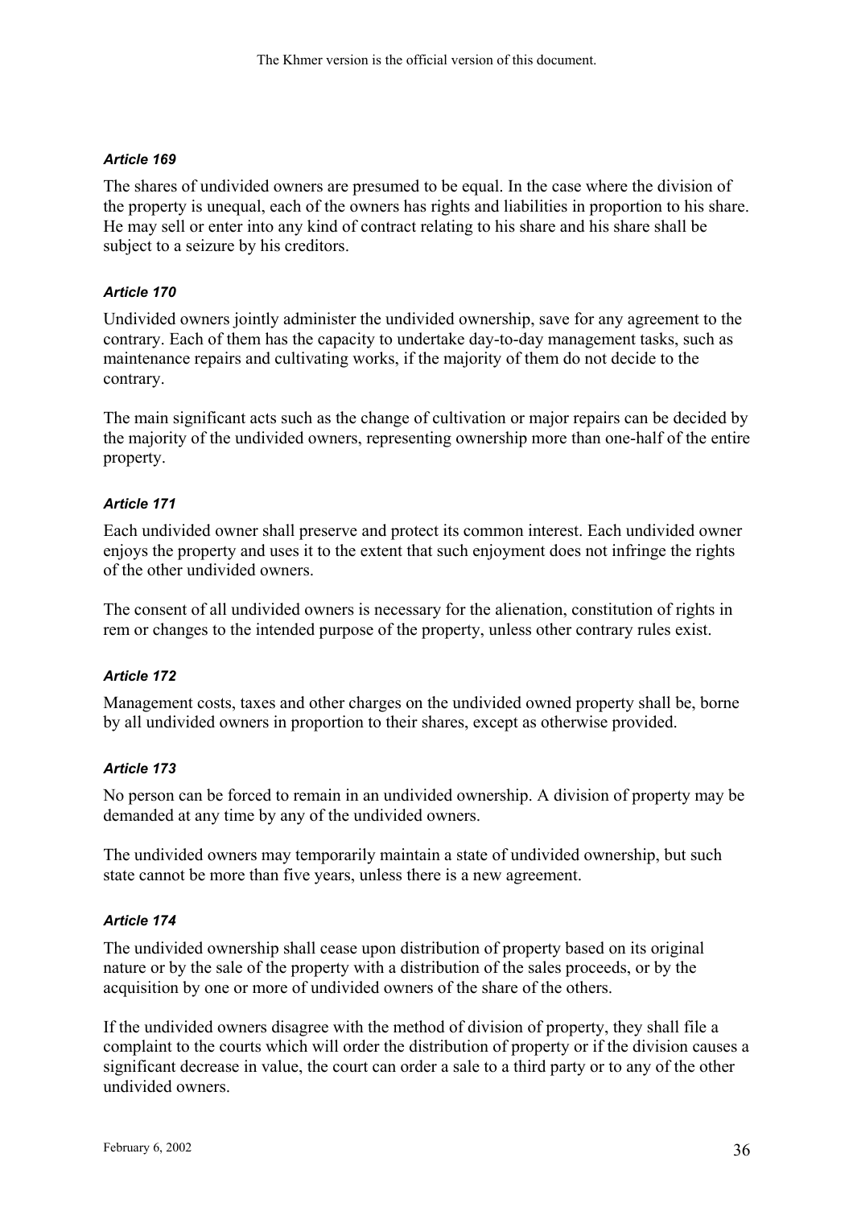The shares of undivided owners are presumed to be equal. In the case where the division of the property is unequal, each of the owners has rights and liabilities in proportion to his share. He may sell or enter into any kind of contract relating to his share and his share shall be subject to a seizure by his creditors.

#### *Article 170*

Undivided owners jointly administer the undivided ownership, save for any agreement to the contrary. Each of them has the capacity to undertake day-to-day management tasks, such as maintenance repairs and cultivating works, if the majority of them do not decide to the contrary.

The main significant acts such as the change of cultivation or major repairs can be decided by the majority of the undivided owners, representing ownership more than one-half of the entire property.

#### *Article 171*

Each undivided owner shall preserve and protect its common interest. Each undivided owner enjoys the property and uses it to the extent that such enjoyment does not infringe the rights of the other undivided owners.

The consent of all undivided owners is necessary for the alienation, constitution of rights in rem or changes to the intended purpose of the property, unless other contrary rules exist.

#### *Article 172*

Management costs, taxes and other charges on the undivided owned property shall be, borne by all undivided owners in proportion to their shares, except as otherwise provided.

#### *Article 173*

No person can be forced to remain in an undivided ownership. A division of property may be demanded at any time by any of the undivided owners.

The undivided owners may temporarily maintain a state of undivided ownership, but such state cannot be more than five years, unless there is a new agreement.

#### *Article 174*

The undivided ownership shall cease upon distribution of property based on its original nature or by the sale of the property with a distribution of the sales proceeds, or by the acquisition by one or more of undivided owners of the share of the others.

If the undivided owners disagree with the method of division of property, they shall file a complaint to the courts which will order the distribution of property or if the division causes a significant decrease in value, the court can order a sale to a third party or to any of the other undivided owners.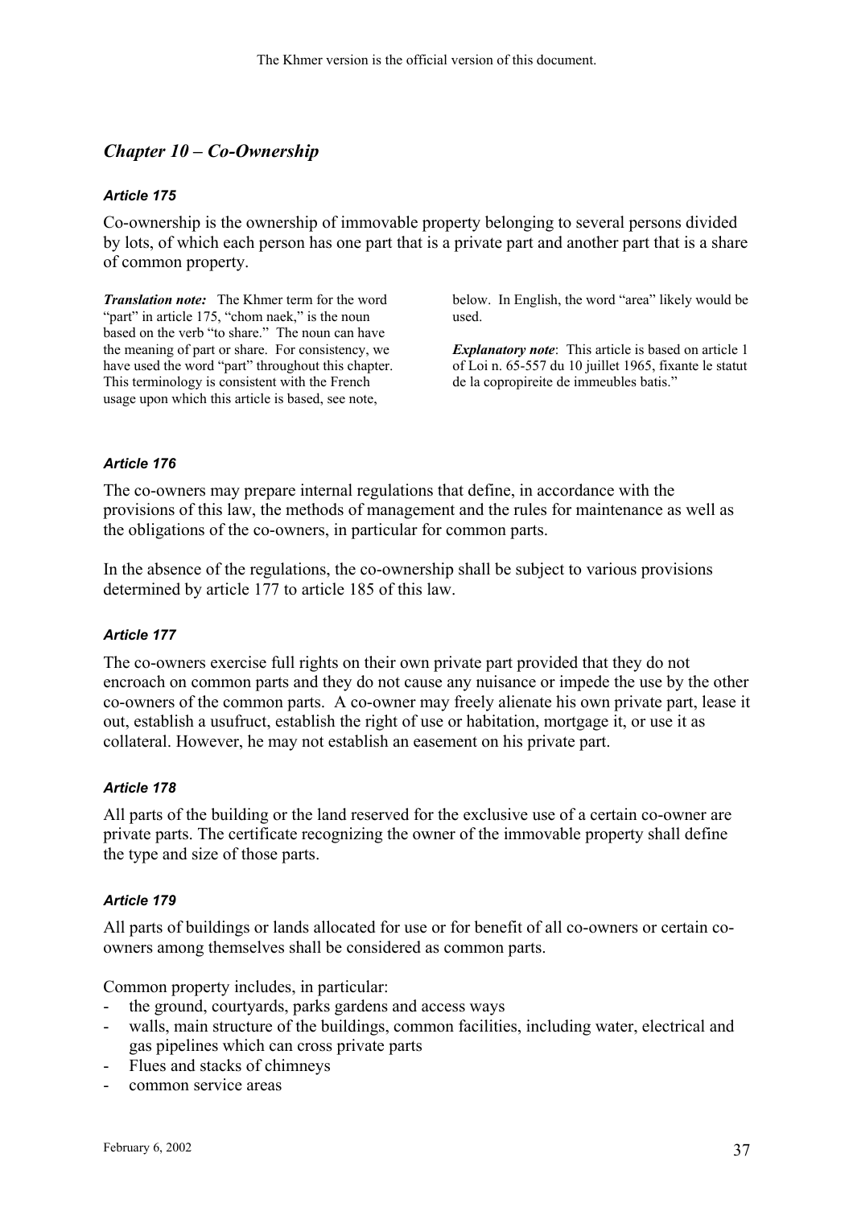# *Chapter 10 – Co-Ownership*

# *Article 175*

Co-ownership is the ownership of immovable property belonging to several persons divided by lots, of which each person has one part that is a private part and another part that is a share of common property.

*Translation note:* The Khmer term for the word "part" in article 175, "chom naek," is the noun based on the verb "to share." The noun can have the meaning of part or share. For consistency, we have used the word "part" throughout this chapter. This terminology is consistent with the French usage upon which this article is based, see note,

below. In English, the word "area" likely would be used.

*Explanatory note*: This article is based on article 1 of Loi n. 65-557 du 10 juillet 1965, fixante le statut de la copropireite de immeubles batis."

#### *Article 176*

The co-owners may prepare internal regulations that define, in accordance with the provisions of this law, the methods of management and the rules for maintenance as well as the obligations of the co-owners, in particular for common parts.

In the absence of the regulations, the co-ownership shall be subject to various provisions determined by article 177 to article 185 of this law.

#### *Article 177*

The co-owners exercise full rights on their own private part provided that they do not encroach on common parts and they do not cause any nuisance or impede the use by the other co-owners of the common parts. A co-owner may freely alienate his own private part, lease it out, establish a usufruct, establish the right of use or habitation, mortgage it, or use it as collateral. However, he may not establish an easement on his private part.

#### *Article 178*

All parts of the building or the land reserved for the exclusive use of a certain co-owner are private parts. The certificate recognizing the owner of the immovable property shall define the type and size of those parts.

#### *Article 179*

All parts of buildings or lands allocated for use or for benefit of all co-owners or certain coowners among themselves shall be considered as common parts.

Common property includes, in particular:

- the ground, courtyards, parks gardens and access ways
- walls, main structure of the buildings, common facilities, including water, electrical and gas pipelines which can cross private parts
- Flues and stacks of chimneys
- common service areas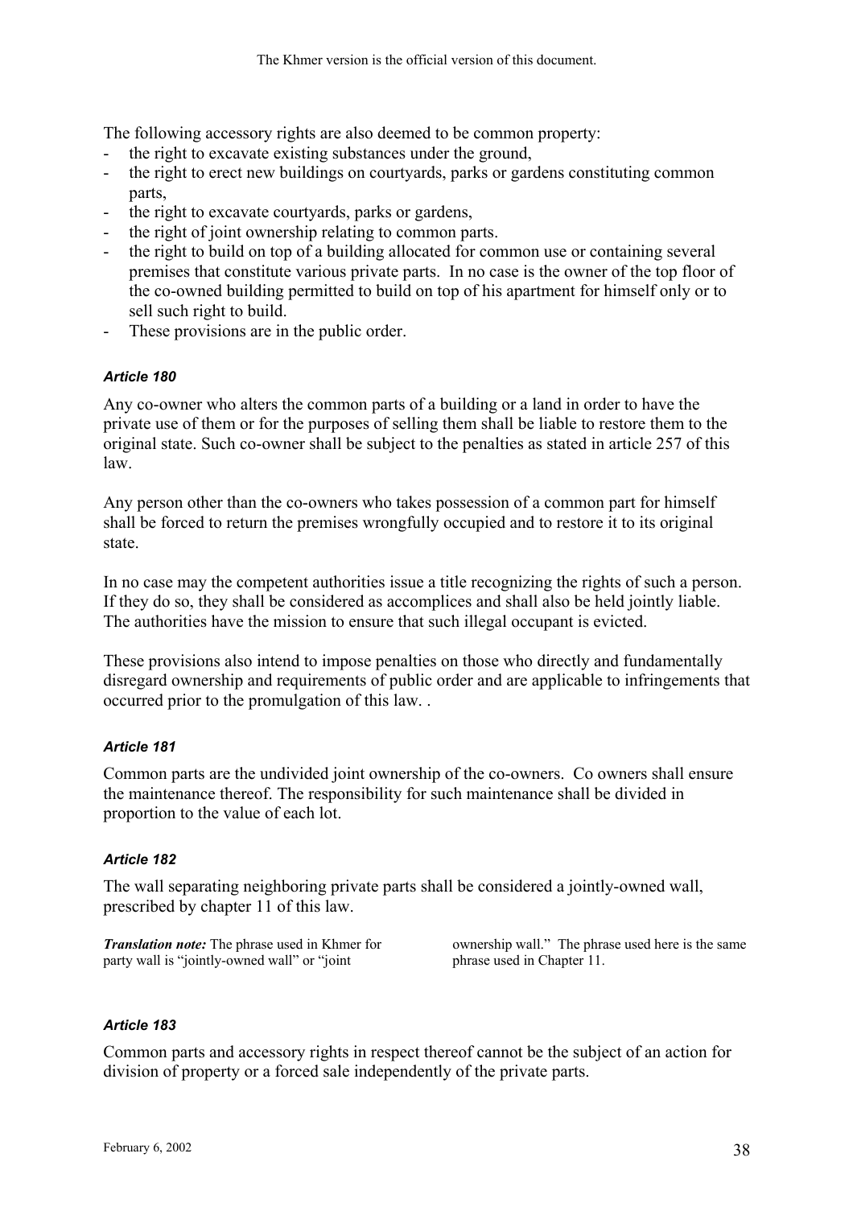The following accessory rights are also deemed to be common property:

- the right to excavate existing substances under the ground,
- the right to erect new buildings on courtyards, parks or gardens constituting common parts,
- the right to excavate courtyards, parks or gardens,
- the right of joint ownership relating to common parts.
- the right to build on top of a building allocated for common use or containing several premises that constitute various private parts. In no case is the owner of the top floor of the co-owned building permitted to build on top of his apartment for himself only or to sell such right to build.
- These provisions are in the public order.

#### *Article 180*

Any co-owner who alters the common parts of a building or a land in order to have the private use of them or for the purposes of selling them shall be liable to restore them to the original state. Such co-owner shall be subject to the penalties as stated in article 257 of this law.

Any person other than the co-owners who takes possession of a common part for himself shall be forced to return the premises wrongfully occupied and to restore it to its original state.

In no case may the competent authorities issue a title recognizing the rights of such a person. If they do so, they shall be considered as accomplices and shall also be held jointly liable. The authorities have the mission to ensure that such illegal occupant is evicted.

These provisions also intend to impose penalties on those who directly and fundamentally disregard ownership and requirements of public order and are applicable to infringements that occurred prior to the promulgation of this law. .

#### *Article 181*

Common parts are the undivided joint ownership of the co-owners. Co owners shall ensure the maintenance thereof. The responsibility for such maintenance shall be divided in proportion to the value of each lot.

#### *Article 182*

The wall separating neighboring private parts shall be considered a jointly-owned wall, prescribed by chapter 11 of this law.

*Translation note:* The phrase used in Khmer for party wall is "jointly-owned wall" or "joint

ownership wall." The phrase used here is the same phrase used in Chapter 11.

#### *Article 183*

Common parts and accessory rights in respect thereof cannot be the subject of an action for division of property or a forced sale independently of the private parts.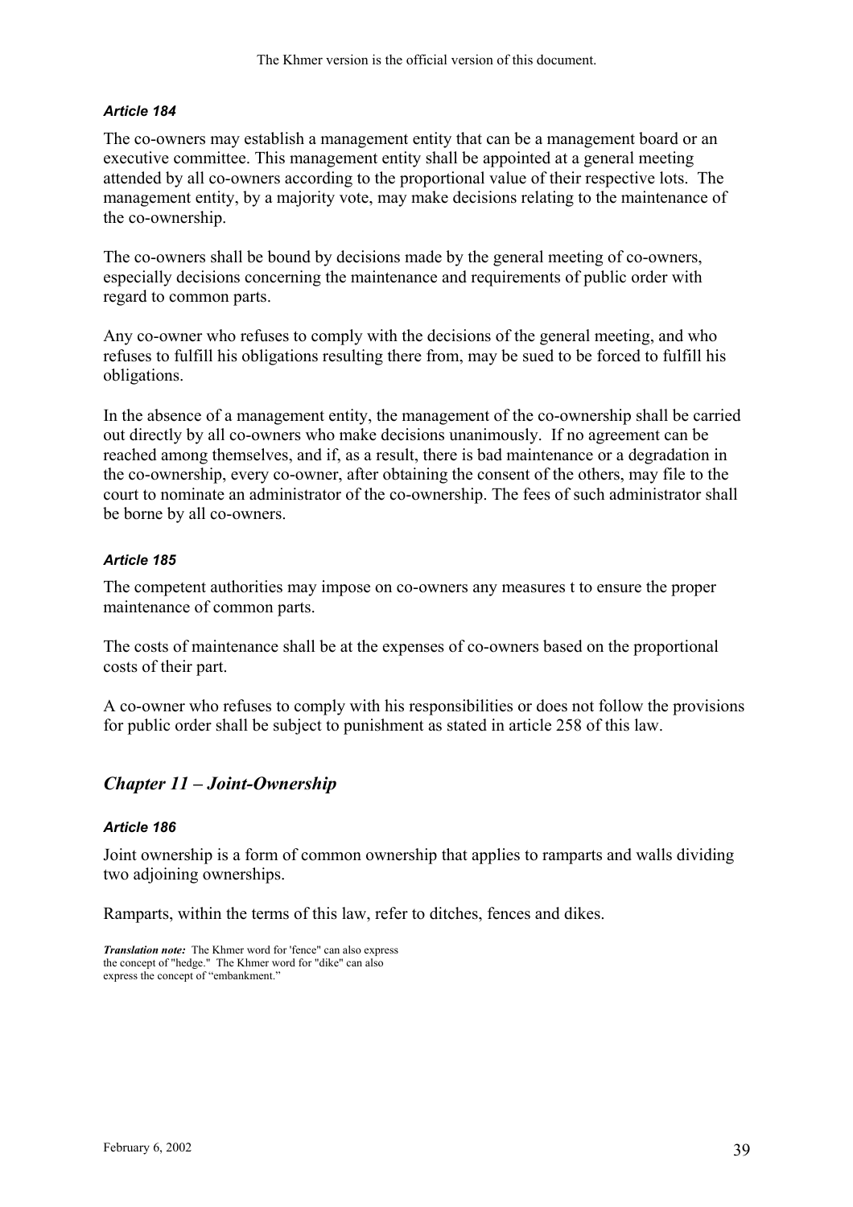The co-owners may establish a management entity that can be a management board or an executive committee. This management entity shall be appointed at a general meeting attended by all co-owners according to the proportional value of their respective lots. The management entity, by a majority vote, may make decisions relating to the maintenance of the co-ownership.

The co-owners shall be bound by decisions made by the general meeting of co-owners, especially decisions concerning the maintenance and requirements of public order with regard to common parts.

Any co-owner who refuses to comply with the decisions of the general meeting, and who refuses to fulfill his obligations resulting there from, may be sued to be forced to fulfill his obligations.

In the absence of a management entity, the management of the co-ownership shall be carried out directly by all co-owners who make decisions unanimously. If no agreement can be reached among themselves, and if, as a result, there is bad maintenance or a degradation in the co-ownership, every co-owner, after obtaining the consent of the others, may file to the court to nominate an administrator of the co-ownership. The fees of such administrator shall be borne by all co-owners.

#### *Article 185*

The competent authorities may impose on co-owners any measures t to ensure the proper maintenance of common parts.

The costs of maintenance shall be at the expenses of co-owners based on the proportional costs of their part.

A co-owner who refuses to comply with his responsibilities or does not follow the provisions for public order shall be subject to punishment as stated in article 258 of this law.

# *Chapter 11 – Joint-Ownership*

#### *Article 186*

Joint ownership is a form of common ownership that applies to ramparts and walls dividing two adjoining ownerships.

Ramparts, within the terms of this law, refer to ditches, fences and dikes.

*Translation note:* The Khmer word for 'fence" can also express the concept of "hedge." The Khmer word for "dike" can also express the concept of "embankment."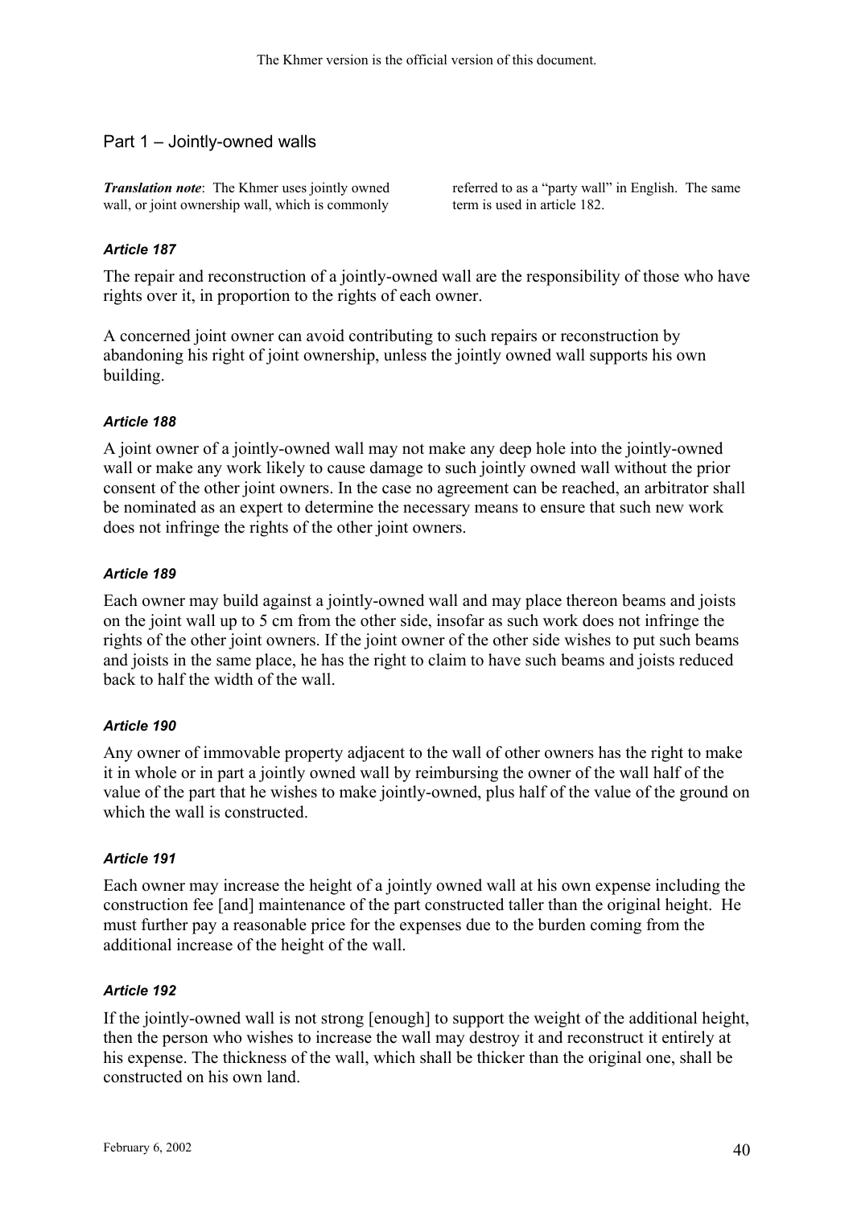# Part 1 – Jointly-owned walls

*Translation note*: The Khmer uses jointly owned wall, or joint ownership wall, which is commonly

referred to as a "party wall" in English. The same term is used in article 182.

#### *Article 187*

The repair and reconstruction of a jointly-owned wall are the responsibility of those who have rights over it, in proportion to the rights of each owner.

A concerned joint owner can avoid contributing to such repairs or reconstruction by abandoning his right of joint ownership, unless the jointly owned wall supports his own building.

#### *Article 188*

A joint owner of a jointly-owned wall may not make any deep hole into the jointly-owned wall or make any work likely to cause damage to such jointly owned wall without the prior consent of the other joint owners. In the case no agreement can be reached, an arbitrator shall be nominated as an expert to determine the necessary means to ensure that such new work does not infringe the rights of the other joint owners.

#### *Article 189*

Each owner may build against a jointly-owned wall and may place thereon beams and joists on the joint wall up to 5 cm from the other side, insofar as such work does not infringe the rights of the other joint owners. If the joint owner of the other side wishes to put such beams and joists in the same place, he has the right to claim to have such beams and joists reduced back to half the width of the wall.

#### *Article 190*

Any owner of immovable property adjacent to the wall of other owners has the right to make it in whole or in part a jointly owned wall by reimbursing the owner of the wall half of the value of the part that he wishes to make jointly-owned, plus half of the value of the ground on which the wall is constructed.

#### *Article 191*

Each owner may increase the height of a jointly owned wall at his own expense including the construction fee [and] maintenance of the part constructed taller than the original height. He must further pay a reasonable price for the expenses due to the burden coming from the additional increase of the height of the wall.

#### *Article 192*

If the jointly-owned wall is not strong [enough] to support the weight of the additional height, then the person who wishes to increase the wall may destroy it and reconstruct it entirely at his expense. The thickness of the wall, which shall be thicker than the original one, shall be constructed on his own land.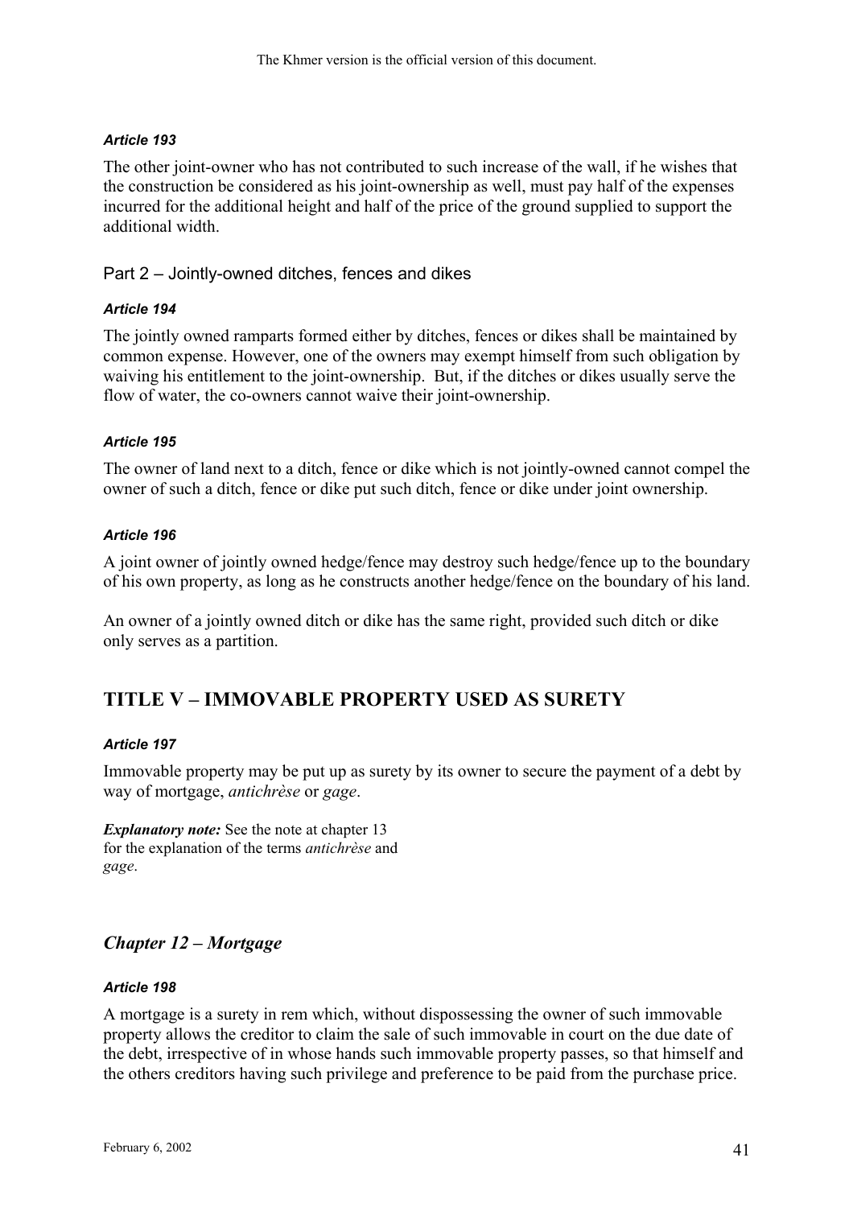The other joint-owner who has not contributed to such increase of the wall, if he wishes that the construction be considered as his joint-ownership as well, must pay half of the expenses incurred for the additional height and half of the price of the ground supplied to support the additional width.

# Part 2 – Jointly-owned ditches, fences and dikes

#### *Article 194*

The jointly owned ramparts formed either by ditches, fences or dikes shall be maintained by common expense. However, one of the owners may exempt himself from such obligation by waiving his entitlement to the joint-ownership. But, if the ditches or dikes usually serve the flow of water, the co-owners cannot waive their joint-ownership.

# *Article 195*

The owner of land next to a ditch, fence or dike which is not jointly-owned cannot compel the owner of such a ditch, fence or dike put such ditch, fence or dike under joint ownership.

#### *Article 196*

A joint owner of jointly owned hedge/fence may destroy such hedge/fence up to the boundary of his own property, as long as he constructs another hedge/fence on the boundary of his land.

An owner of a jointly owned ditch or dike has the same right, provided such ditch or dike only serves as a partition.

# **TITLE V – IMMOVABLE PROPERTY USED AS SURETY**

#### *Article 197*

Immovable property may be put up as surety by its owner to secure the payment of a debt by way of mortgage, *antichrèse* or *gage*.

*Explanatory note:* See the note at chapter 13 for the explanation of the terms *antichrèse* and *gage*.

# *Chapter 12 – Mortgage*

#### *Article 198*

A mortgage is a surety in rem which, without dispossessing the owner of such immovable property allows the creditor to claim the sale of such immovable in court on the due date of the debt, irrespective of in whose hands such immovable property passes, so that himself and the others creditors having such privilege and preference to be paid from the purchase price.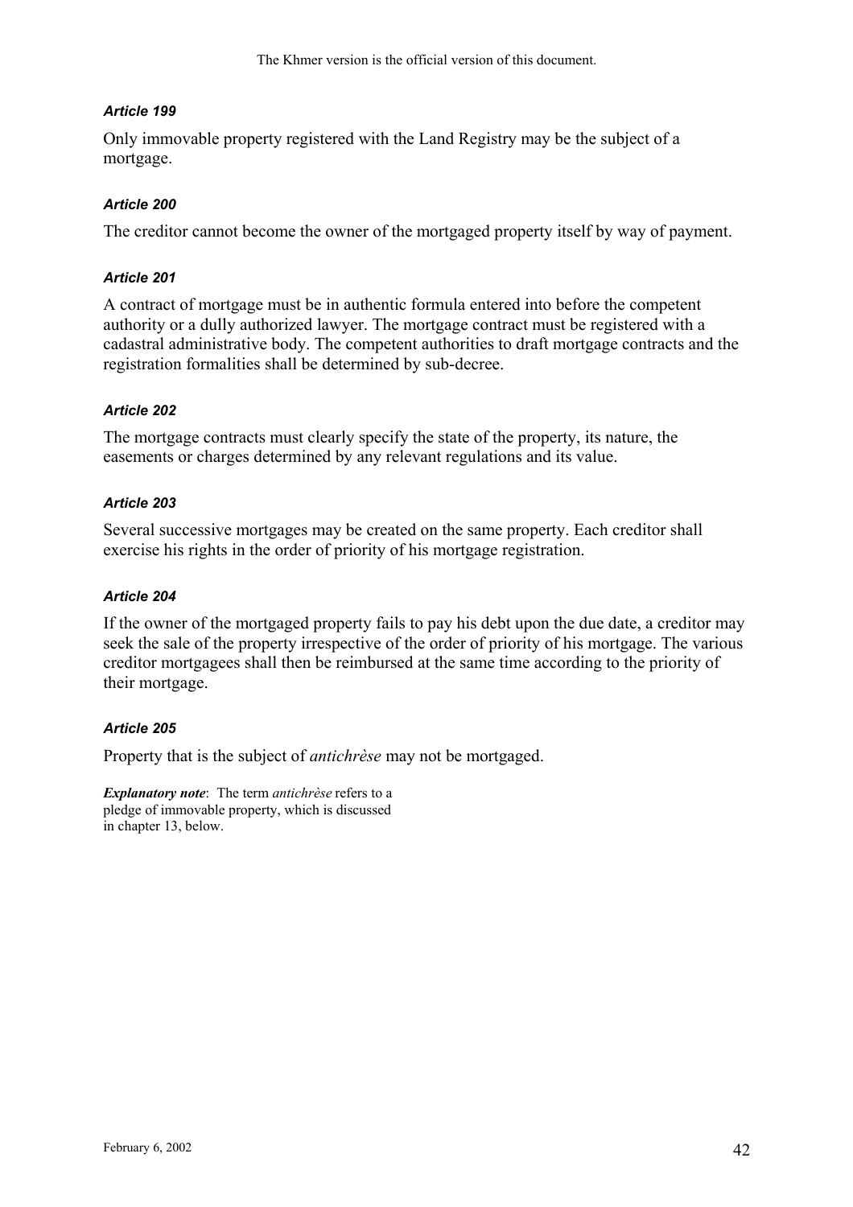The Khmer version is the official version of this document.

#### *Article 199*

Only immovable property registered with the Land Registry may be the subject of a mortgage.

# *Article 200*

The creditor cannot become the owner of the mortgaged property itself by way of payment.

### *Article 201*

A contract of mortgage must be in authentic formula entered into before the competent authority or a dully authorized lawyer. The mortgage contract must be registered with a cadastral administrative body. The competent authorities to draft mortgage contracts and the registration formalities shall be determined by sub-decree.

# *Article 202*

The mortgage contracts must clearly specify the state of the property, its nature, the easements or charges determined by any relevant regulations and its value.

#### *Article 203*

Several successive mortgages may be created on the same property. Each creditor shall exercise his rights in the order of priority of his mortgage registration.

# *Article 204*

If the owner of the mortgaged property fails to pay his debt upon the due date, a creditor may seek the sale of the property irrespective of the order of priority of his mortgage. The various creditor mortgagees shall then be reimbursed at the same time according to the priority of their mortgage.

#### *Article 205*

Property that is the subject of *antichrèse* may not be mortgaged.

*Explanatory note*: The term *antichrèse* refers to a pledge of immovable property, which is discussed in chapter 13, below.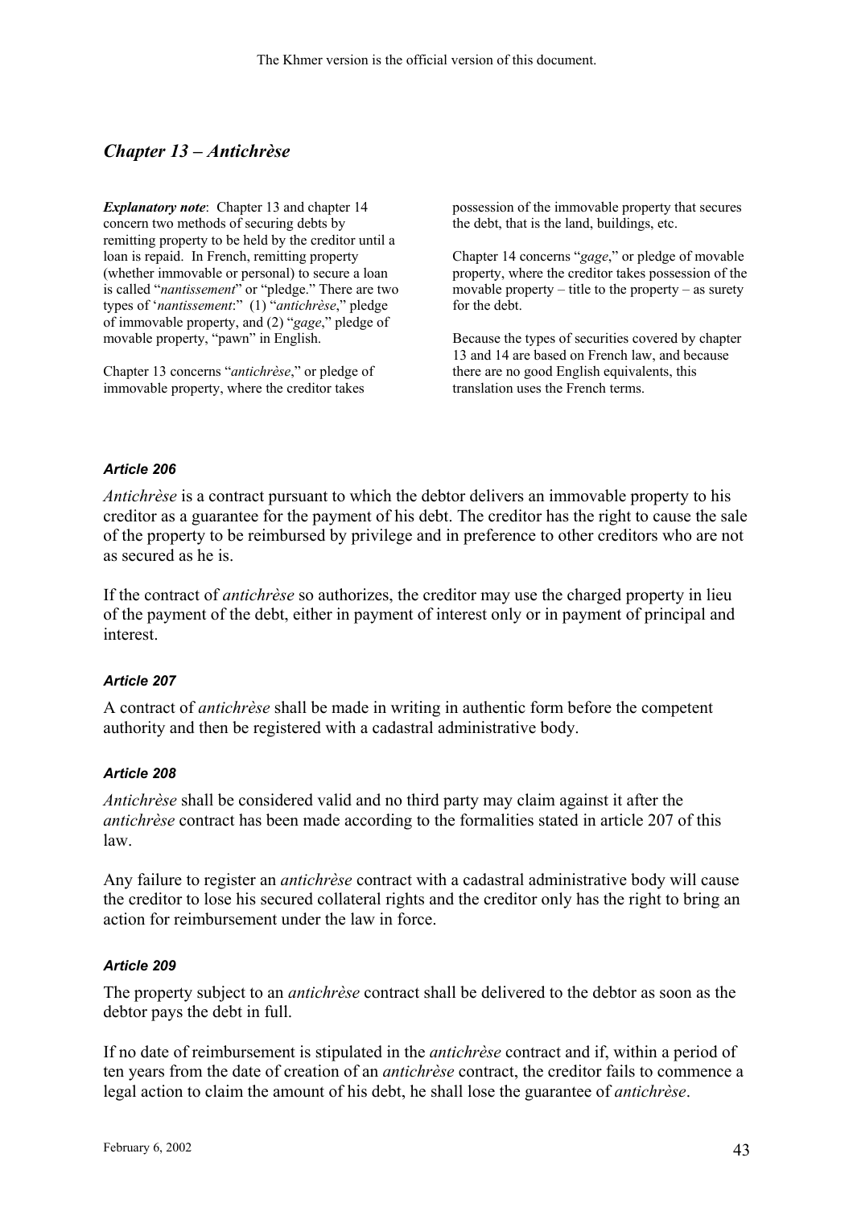# *Chapter 13 – Antichrèse*

*Explanatory note*: Chapter 13 and chapter 14 concern two methods of securing debts by remitting property to be held by the creditor until a loan is repaid. In French, remitting property (whether immovable or personal) to secure a loan is called "*nantissement*" or "pledge." There are two types of '*nantissement*:" (1) "*antichrèse*," pledge of immovable property, and (2) "*gage*," pledge of movable property, "pawn" in English.

Chapter 13 concerns "*antichrèse*," or pledge of immovable property, where the creditor takes

possession of the immovable property that secures the debt, that is the land, buildings, etc.

Chapter 14 concerns "*gage*," or pledge of movable property, where the creditor takes possession of the movable property – title to the property – as surety for the debt.

Because the types of securities covered by chapter 13 and 14 are based on French law, and because there are no good English equivalents, this translation uses the French terms.

#### *Article 206*

*Antichrèse* is a contract pursuant to which the debtor delivers an immovable property to his creditor as a guarantee for the payment of his debt. The creditor has the right to cause the sale of the property to be reimbursed by privilege and in preference to other creditors who are not as secured as he is.

If the contract of *antichrèse* so authorizes, the creditor may use the charged property in lieu of the payment of the debt, either in payment of interest only or in payment of principal and interest.

#### *Article 207*

A contract of *antichrèse* shall be made in writing in authentic form before the competent authority and then be registered with a cadastral administrative body.

#### *Article 208*

*Antichrèse* shall be considered valid and no third party may claim against it after the *antichrèse* contract has been made according to the formalities stated in article 207 of this law.

Any failure to register an *antichrèse* contract with a cadastral administrative body will cause the creditor to lose his secured collateral rights and the creditor only has the right to bring an action for reimbursement under the law in force.

#### *Article 209*

The property subject to an *antichrèse* contract shall be delivered to the debtor as soon as the debtor pays the debt in full.

If no date of reimbursement is stipulated in the *antichrèse* contract and if, within a period of ten years from the date of creation of an *antichrèse* contract, the creditor fails to commence a legal action to claim the amount of his debt, he shall lose the guarantee of *antichrèse*.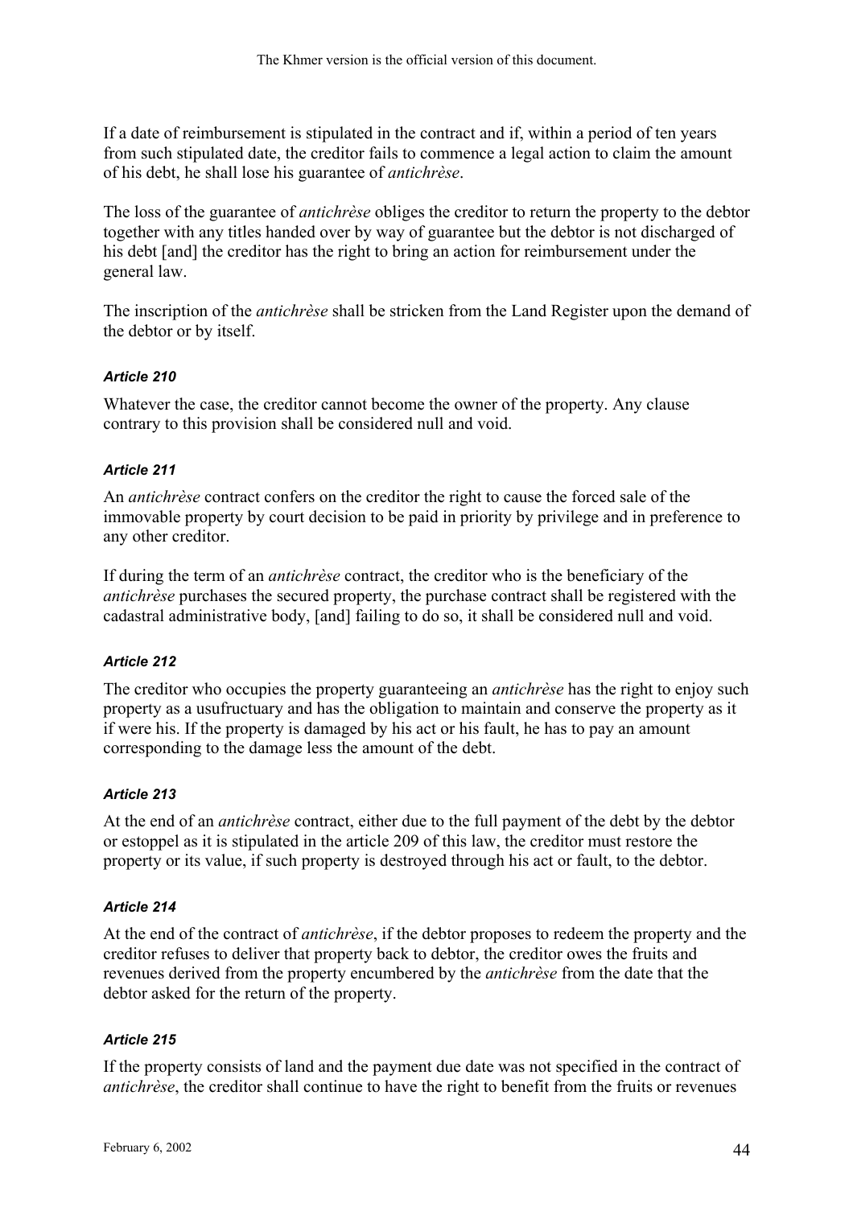If a date of reimbursement is stipulated in the contract and if, within a period of ten years from such stipulated date, the creditor fails to commence a legal action to claim the amount of his debt, he shall lose his guarantee of *antichrèse*.

The loss of the guarantee of *antichrèse* obliges the creditor to return the property to the debtor together with any titles handed over by way of guarantee but the debtor is not discharged of his debt [and] the creditor has the right to bring an action for reimbursement under the general law.

The inscription of the *antichrèse* shall be stricken from the Land Register upon the demand of the debtor or by itself.

#### *Article 210*

Whatever the case, the creditor cannot become the owner of the property. Any clause contrary to this provision shall be considered null and void.

#### *Article 211*

An *antichrèse* contract confers on the creditor the right to cause the forced sale of the immovable property by court decision to be paid in priority by privilege and in preference to any other creditor.

If during the term of an *antichrèse* contract, the creditor who is the beneficiary of the *antichrèse* purchases the secured property, the purchase contract shall be registered with the cadastral administrative body, [and] failing to do so, it shall be considered null and void.

#### *Article 212*

The creditor who occupies the property guaranteeing an *antichrèse* has the right to enjoy such property as a usufructuary and has the obligation to maintain and conserve the property as it if were his. If the property is damaged by his act or his fault, he has to pay an amount corresponding to the damage less the amount of the debt.

#### *Article 213*

At the end of an *antichrèse* contract, either due to the full payment of the debt by the debtor or estoppel as it is stipulated in the article 209 of this law, the creditor must restore the property or its value, if such property is destroyed through his act or fault, to the debtor.

#### *Article 214*

At the end of the contract of *antichrèse*, if the debtor proposes to redeem the property and the creditor refuses to deliver that property back to debtor, the creditor owes the fruits and revenues derived from the property encumbered by the *antichrèse* from the date that the debtor asked for the return of the property.

#### *Article 215*

If the property consists of land and the payment due date was not specified in the contract of *antichrèse*, the creditor shall continue to have the right to benefit from the fruits or revenues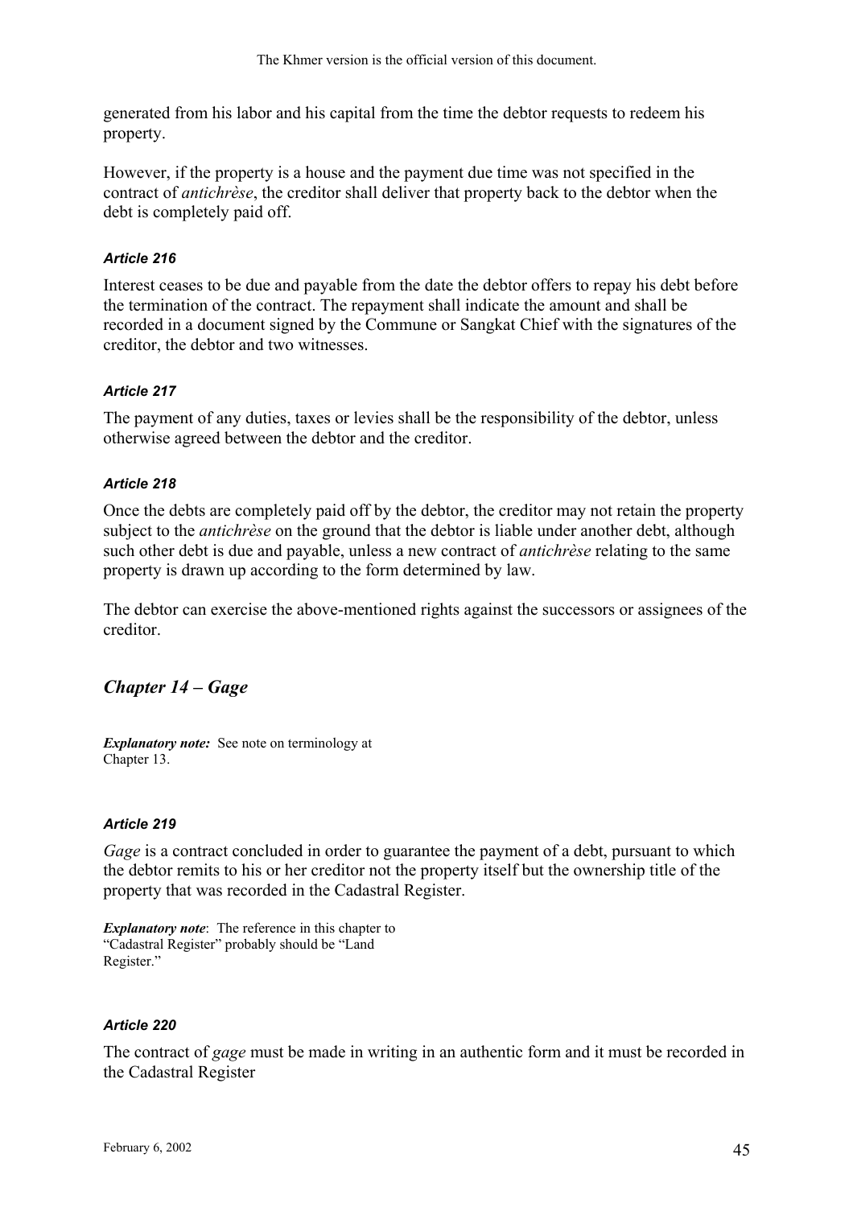generated from his labor and his capital from the time the debtor requests to redeem his property.

However, if the property is a house and the payment due time was not specified in the contract of *antichrèse*, the creditor shall deliver that property back to the debtor when the debt is completely paid off.

#### *Article 216*

Interest ceases to be due and payable from the date the debtor offers to repay his debt before the termination of the contract. The repayment shall indicate the amount and shall be recorded in a document signed by the Commune or Sangkat Chief with the signatures of the creditor, the debtor and two witnesses.

#### *Article 217*

The payment of any duties, taxes or levies shall be the responsibility of the debtor, unless otherwise agreed between the debtor and the creditor.

#### *Article 218*

Once the debts are completely paid off by the debtor, the creditor may not retain the property subject to the *antichrèse* on the ground that the debtor is liable under another debt, although such other debt is due and payable, unless a new contract of *antichrèse* relating to the same property is drawn up according to the form determined by law.

The debtor can exercise the above-mentioned rights against the successors or assignees of the creditor.

# *Chapter 14 – Gage*

*Explanatory note:* See note on terminology at Chapter 13.

#### *Article 219*

*Gage* is a contract concluded in order to guarantee the payment of a debt, pursuant to which the debtor remits to his or her creditor not the property itself but the ownership title of the property that was recorded in the Cadastral Register.

*Explanatory note*: The reference in this chapter to "Cadastral Register" probably should be "Land Register."

#### *Article 220*

The contract of *gage* must be made in writing in an authentic form and it must be recorded in the Cadastral Register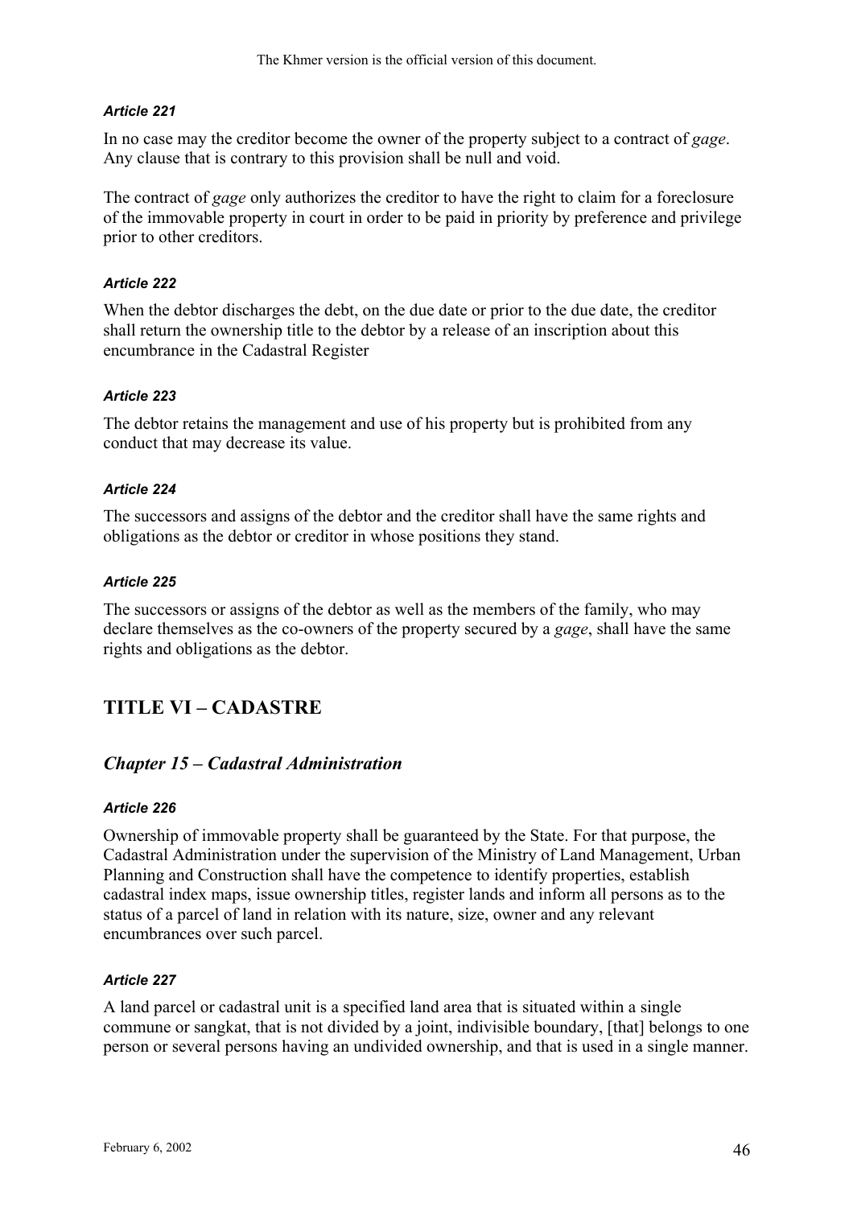In no case may the creditor become the owner of the property subject to a contract of *gage*. Any clause that is contrary to this provision shall be null and void.

The contract of *gage* only authorizes the creditor to have the right to claim for a foreclosure of the immovable property in court in order to be paid in priority by preference and privilege prior to other creditors.

#### *Article 222*

When the debtor discharges the debt, on the due date or prior to the due date, the creditor shall return the ownership title to the debtor by a release of an inscription about this encumbrance in the Cadastral Register

#### *Article 223*

The debtor retains the management and use of his property but is prohibited from any conduct that may decrease its value.

#### *Article 224*

The successors and assigns of the debtor and the creditor shall have the same rights and obligations as the debtor or creditor in whose positions they stand.

#### *Article 225*

The successors or assigns of the debtor as well as the members of the family, who may declare themselves as the co-owners of the property secured by a *gage*, shall have the same rights and obligations as the debtor.

# **TITLE VI – CADASTRE**

# *Chapter 15 – Cadastral Administration*

#### *Article 226*

Ownership of immovable property shall be guaranteed by the State. For that purpose, the Cadastral Administration under the supervision of the Ministry of Land Management, Urban Planning and Construction shall have the competence to identify properties, establish cadastral index maps, issue ownership titles, register lands and inform all persons as to the status of a parcel of land in relation with its nature, size, owner and any relevant encumbrances over such parcel.

#### *Article 227*

A land parcel or cadastral unit is a specified land area that is situated within a single commune or sangkat, that is not divided by a joint, indivisible boundary, [that] belongs to one person or several persons having an undivided ownership, and that is used in a single manner.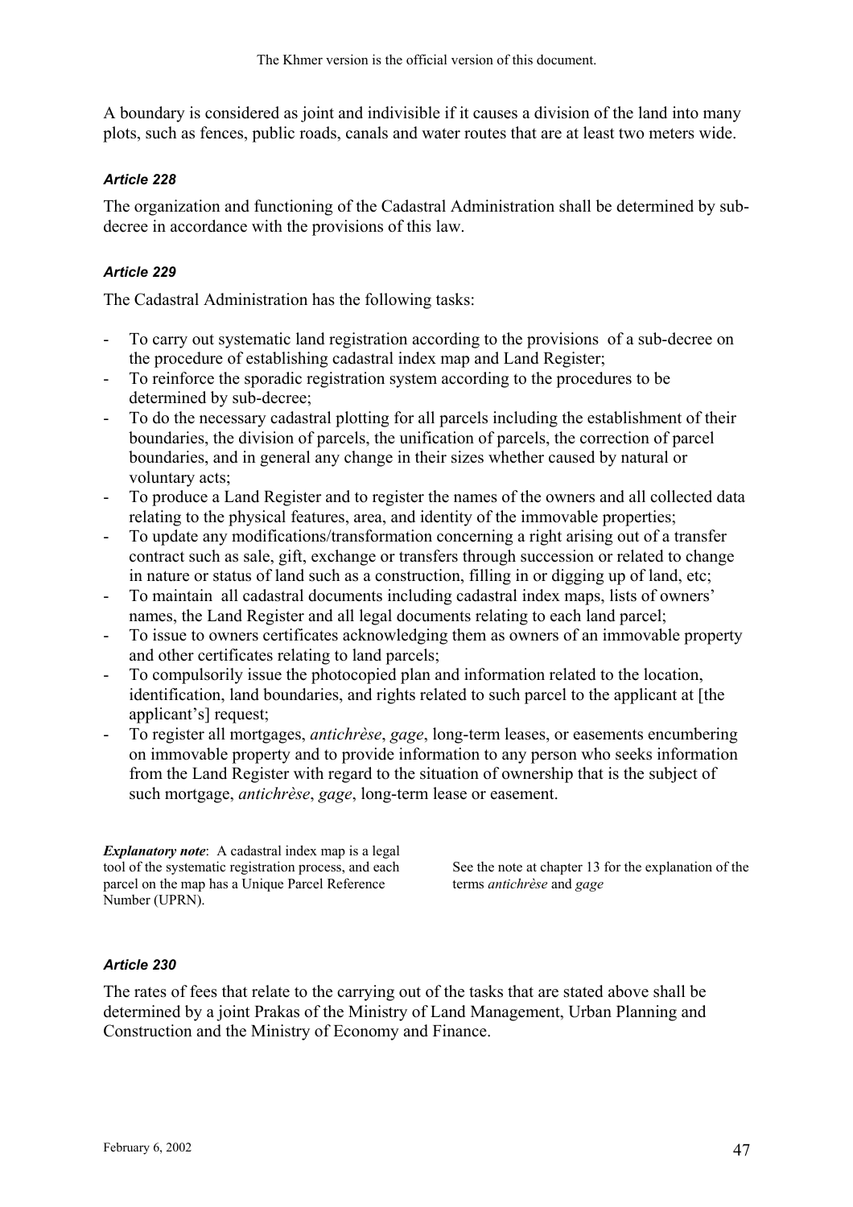A boundary is considered as joint and indivisible if it causes a division of the land into many plots, such as fences, public roads, canals and water routes that are at least two meters wide.

#### *Article 228*

The organization and functioning of the Cadastral Administration shall be determined by subdecree in accordance with the provisions of this law.

#### *Article 229*

The Cadastral Administration has the following tasks:

- To carry out systematic land registration according to the provisions of a sub-decree on the procedure of establishing cadastral index map and Land Register;
- To reinforce the sporadic registration system according to the procedures to be determined by sub-decree;
- To do the necessary cadastral plotting for all parcels including the establishment of their boundaries, the division of parcels, the unification of parcels, the correction of parcel boundaries, and in general any change in their sizes whether caused by natural or voluntary acts;
- To produce a Land Register and to register the names of the owners and all collected data relating to the physical features, area, and identity of the immovable properties;
- To update any modifications/transformation concerning a right arising out of a transfer contract such as sale, gift, exchange or transfers through succession or related to change in nature or status of land such as a construction, filling in or digging up of land, etc;
- To maintain all cadastral documents including cadastral index maps, lists of owners' names, the Land Register and all legal documents relating to each land parcel;
- To issue to owners certificates acknowledging them as owners of an immovable property and other certificates relating to land parcels;
- To compulsorily issue the photocopied plan and information related to the location, identification, land boundaries, and rights related to such parcel to the applicant at [the applicant's] request;
- To register all mortgages, *antichrèse*, *gage*, long-term leases, or easements encumbering on immovable property and to provide information to any person who seeks information from the Land Register with regard to the situation of ownership that is the subject of such mortgage, *antichrèse*, *gage*, long-term lease or easement.

*Explanatory note*: A cadastral index map is a legal tool of the systematic registration process, and each parcel on the map has a Unique Parcel Reference Number (UPRN).

See the note at chapter 13 for the explanation of the terms *antichrèse* and *gage*

#### *Article 230*

The rates of fees that relate to the carrying out of the tasks that are stated above shall be determined by a joint Prakas of the Ministry of Land Management, Urban Planning and Construction and the Ministry of Economy and Finance.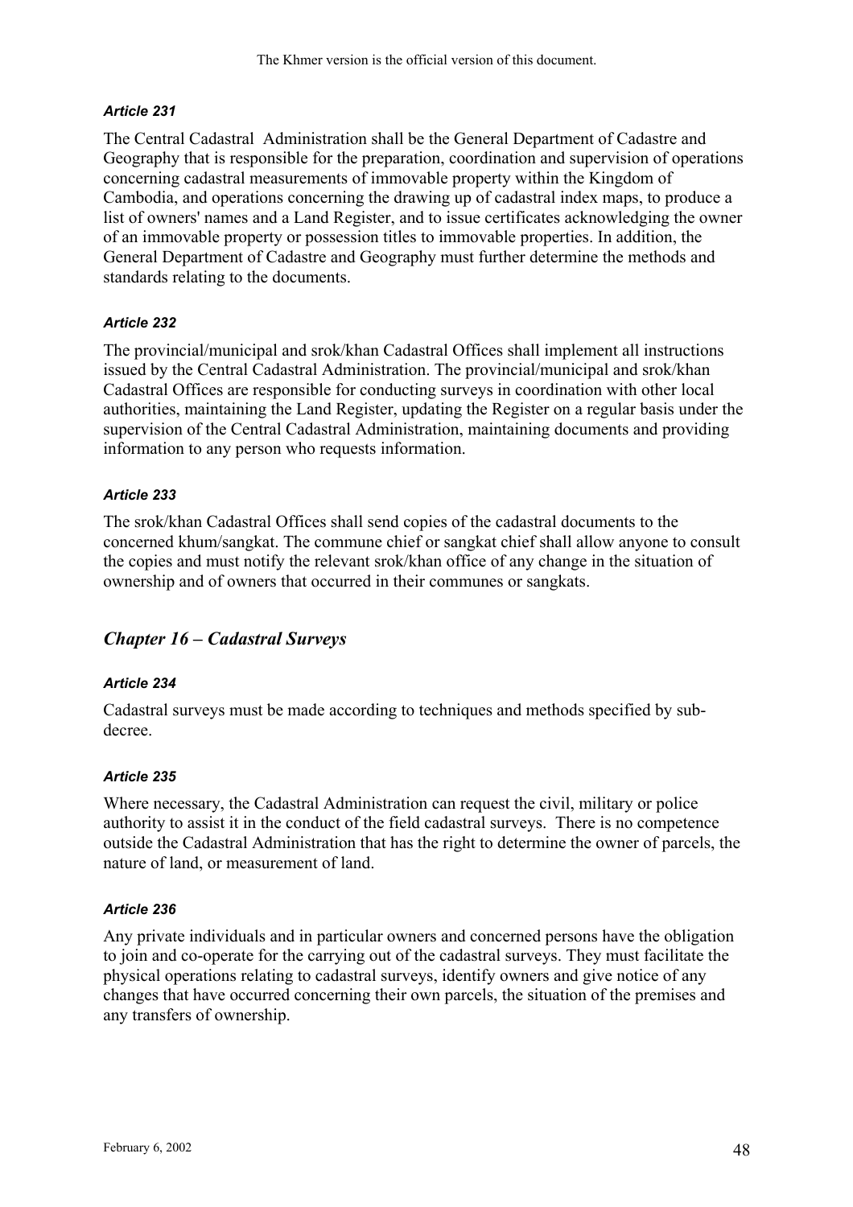The Central Cadastral Administration shall be the General Department of Cadastre and Geography that is responsible for the preparation, coordination and supervision of operations concerning cadastral measurements of immovable property within the Kingdom of Cambodia, and operations concerning the drawing up of cadastral index maps, to produce a list of owners' names and a Land Register, and to issue certificates acknowledging the owner of an immovable property or possession titles to immovable properties. In addition, the General Department of Cadastre and Geography must further determine the methods and standards relating to the documents.

#### *Article 232*

The provincial/municipal and srok/khan Cadastral Offices shall implement all instructions issued by the Central Cadastral Administration. The provincial/municipal and srok/khan Cadastral Offices are responsible for conducting surveys in coordination with other local authorities, maintaining the Land Register, updating the Register on a regular basis under the supervision of the Central Cadastral Administration, maintaining documents and providing information to any person who requests information.

#### *Article 233*

The srok/khan Cadastral Offices shall send copies of the cadastral documents to the concerned khum/sangkat. The commune chief or sangkat chief shall allow anyone to consult the copies and must notify the relevant srok/khan office of any change in the situation of ownership and of owners that occurred in their communes or sangkats.

# *Chapter 16 – Cadastral Surveys*

#### *Article 234*

Cadastral surveys must be made according to techniques and methods specified by subdecree.

#### *Article 235*

Where necessary, the Cadastral Administration can request the civil, military or police authority to assist it in the conduct of the field cadastral surveys. There is no competence outside the Cadastral Administration that has the right to determine the owner of parcels, the nature of land, or measurement of land.

#### *Article 236*

Any private individuals and in particular owners and concerned persons have the obligation to join and co-operate for the carrying out of the cadastral surveys. They must facilitate the physical operations relating to cadastral surveys, identify owners and give notice of any changes that have occurred concerning their own parcels, the situation of the premises and any transfers of ownership.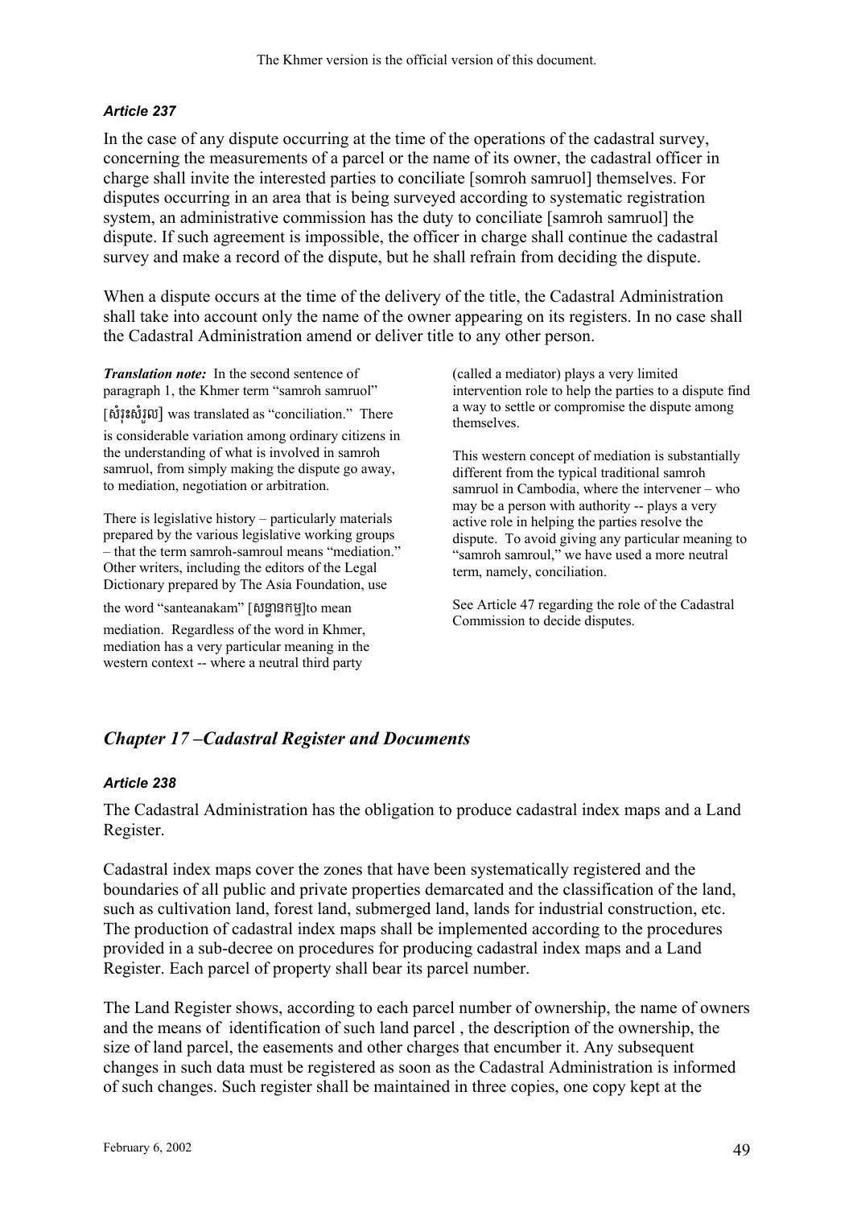In the case of any dispute occurring at the time of the operations of the cadastral survey, concerning the measurements of a parcel or the name of its owner, the cadastral officer in charge shall invite the interested parties to conciliate [somroh samruol] themselves. For disputes occurring in an area that is being surveyed according to systematic registration system, an administrative commission has the duty to conciliate [samroh samruol] the dispute. If such agreement is impossible, the officer in charge shall continue the cadastral survey and make a record of the dispute, but he shall refrain from deciding the dispute.

When a dispute occurs at the time of the delivery of the title, the Cadastral Administration shall take into account only the name of the owner appearing on its registers. In no case shall the Cadastral Administration amend or deliver title to any other person.

*Translation note:* In the second sentence of paragraph 1, the Khmer term "samroh samruol"

 $\left[\right]$  fo $\left[\right]$  was translated as "conciliation." There

is considerable variation among ordinary citizens in the understanding of what is involved in samroh samruol, from simply making the dispute go away, to mediation, negotiation or arbitration.

There is legislative history – particularly materials prepared by the various legislative working groups – that the term samroh-samroul means "mediation." Other writers, including the editors of the Legal Dictionary prepared by The Asia Foundation, use

the word "santeanakam" [សនានកម]to mean

mediation. Regardless of the word in Khmer, mediation has a very particular meaning in the western context -- where a neutral third party

(called a mediator) plays a very limited intervention role to help the parties to a dispute find a way to settle or compromise the dispute among themselves.

This western concept of mediation is substantially different from the typical traditional samroh samruol in Cambodia, where the intervener – who may be a person with authority -- plays a very active role in helping the parties resolve the dispute. To avoid giving any particular meaning to "samroh samroul," we have used a more neutral term, namely, conciliation.

See Article 47 regarding the role of the Cadastral Commission to decide disputes.

# *Chapter 17 –Cadastral Register and Documents*

#### *Article 238*

The Cadastral Administration has the obligation to produce cadastral index maps and a Land Register.

Cadastral index maps cover the zones that have been systematically registered and the boundaries of all public and private properties demarcated and the classification of the land, such as cultivation land, forest land, submerged land, lands for industrial construction, etc. The production of cadastral index maps shall be implemented according to the procedures provided in a sub-decree on procedures for producing cadastral index maps and a Land Register. Each parcel of property shall bear its parcel number.

The Land Register shows, according to each parcel number of ownership, the name of owners and the means of identification of such land parcel , the description of the ownership, the size of land parcel, the easements and other charges that encumber it. Any subsequent changes in such data must be registered as soon as the Cadastral Administration is informed of such changes. Such register shall be maintained in three copies, one copy kept at the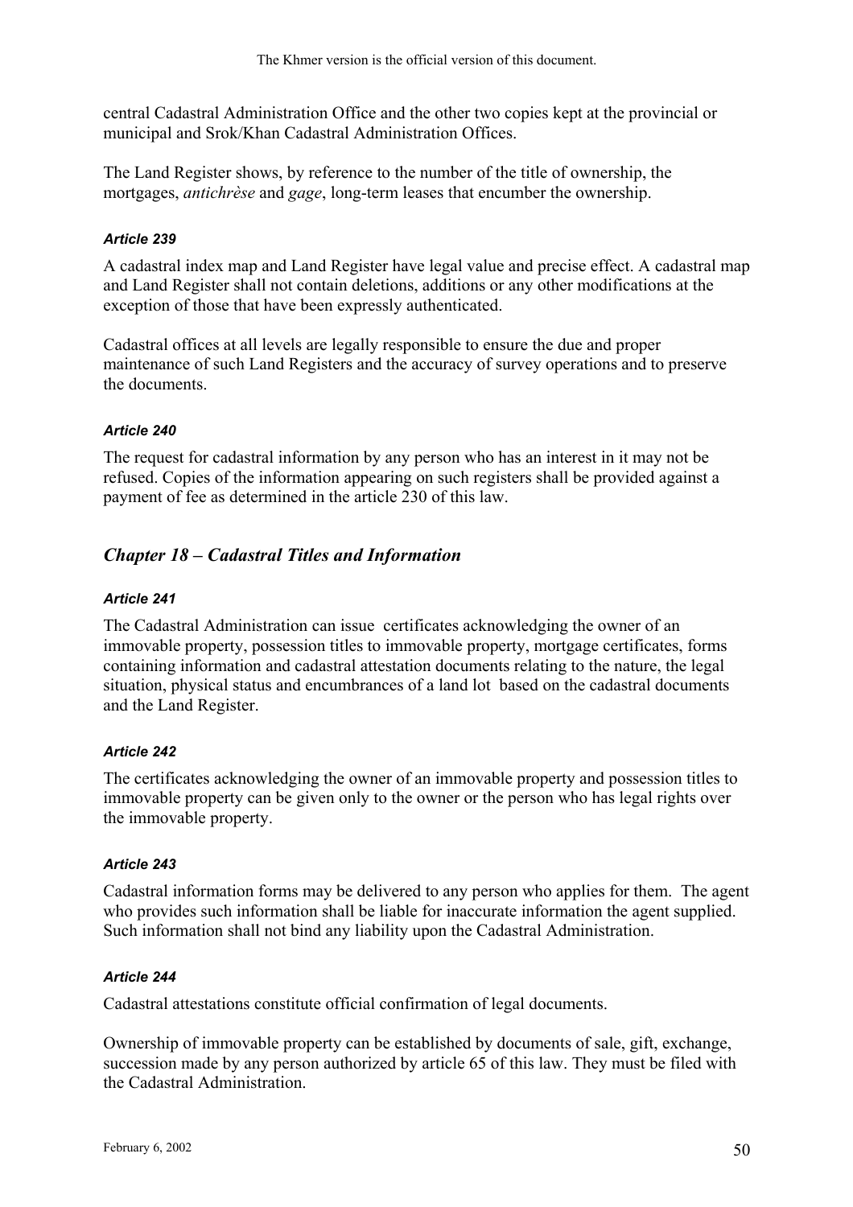central Cadastral Administration Office and the other two copies kept at the provincial or municipal and Srok/Khan Cadastral Administration Offices.

The Land Register shows, by reference to the number of the title of ownership, the mortgages, *antichrèse* and *gage*, long-term leases that encumber the ownership.

# *Article 239*

A cadastral index map and Land Register have legal value and precise effect. A cadastral map and Land Register shall not contain deletions, additions or any other modifications at the exception of those that have been expressly authenticated.

Cadastral offices at all levels are legally responsible to ensure the due and proper maintenance of such Land Registers and the accuracy of survey operations and to preserve the documents.

# *Article 240*

The request for cadastral information by any person who has an interest in it may not be refused. Copies of the information appearing on such registers shall be provided against a payment of fee as determined in the article 230 of this law.

# *Chapter 18 – Cadastral Titles and Information*

# *Article 241*

The Cadastral Administration can issue certificates acknowledging the owner of an immovable property, possession titles to immovable property, mortgage certificates, forms containing information and cadastral attestation documents relating to the nature, the legal situation, physical status and encumbrances of a land lot based on the cadastral documents and the Land Register.

#### *Article 242*

The certificates acknowledging the owner of an immovable property and possession titles to immovable property can be given only to the owner or the person who has legal rights over the immovable property.

#### *Article 243*

Cadastral information forms may be delivered to any person who applies for them. The agent who provides such information shall be liable for inaccurate information the agent supplied. Such information shall not bind any liability upon the Cadastral Administration.

#### *Article 244*

Cadastral attestations constitute official confirmation of legal documents.

Ownership of immovable property can be established by documents of sale, gift, exchange, succession made by any person authorized by article 65 of this law. They must be filed with the Cadastral Administration.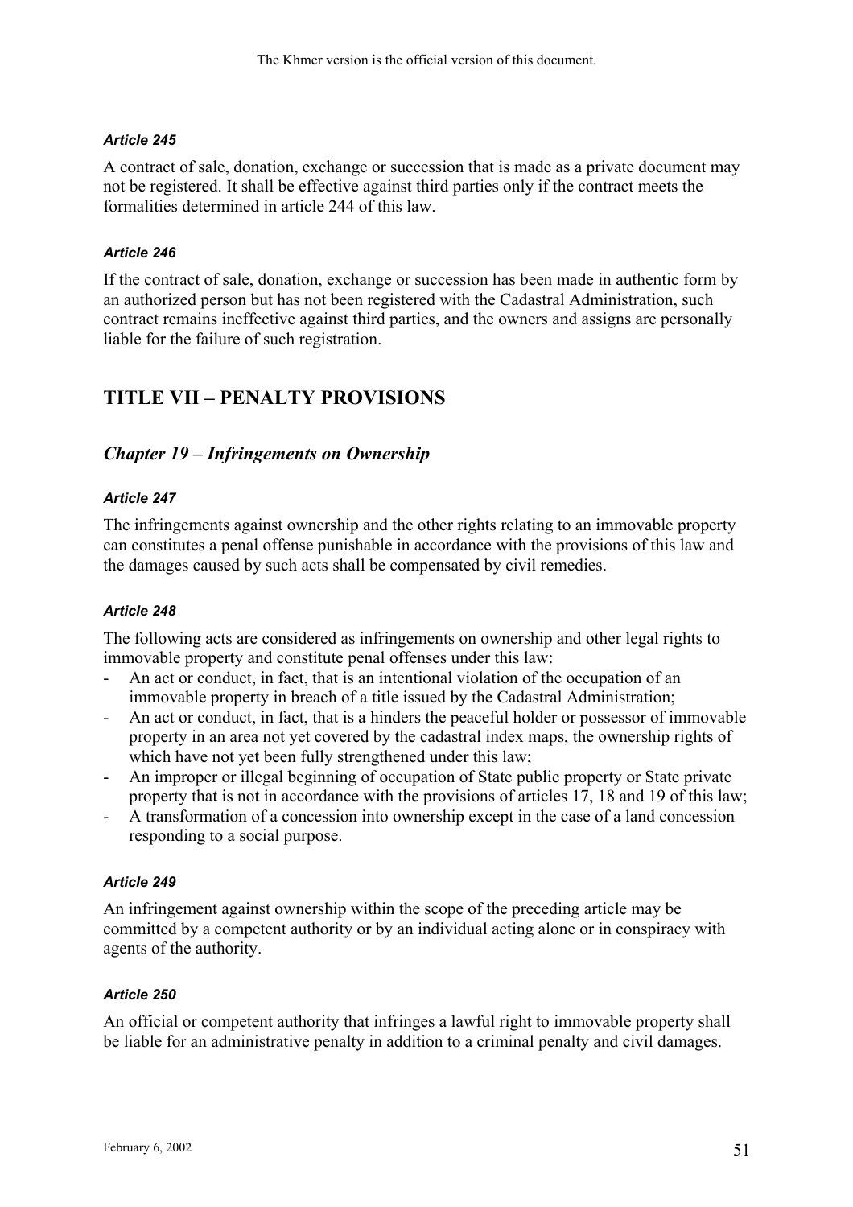A contract of sale, donation, exchange or succession that is made as a private document may not be registered. It shall be effective against third parties only if the contract meets the formalities determined in article 244 of this law.

### *Article 246*

If the contract of sale, donation, exchange or succession has been made in authentic form by an authorized person but has not been registered with the Cadastral Administration, such contract remains ineffective against third parties, and the owners and assigns are personally liable for the failure of such registration.

# **TITLE VII – PENALTY PROVISIONS**

# *Chapter 19 – Infringements on Ownership*

# *Article 247*

The infringements against ownership and the other rights relating to an immovable property can constitutes a penal offense punishable in accordance with the provisions of this law and the damages caused by such acts shall be compensated by civil remedies.

### *Article 248*

The following acts are considered as infringements on ownership and other legal rights to immovable property and constitute penal offenses under this law:

- An act or conduct, in fact, that is an intentional violation of the occupation of an immovable property in breach of a title issued by the Cadastral Administration;
- An act or conduct, in fact, that is a hinders the peaceful holder or possessor of immovable property in an area not yet covered by the cadastral index maps, the ownership rights of which have not yet been fully strengthened under this law;
- An improper or illegal beginning of occupation of State public property or State private property that is not in accordance with the provisions of articles 17, 18 and 19 of this law;
- A transformation of a concession into ownership except in the case of a land concession responding to a social purpose.

#### *Article 249*

An infringement against ownership within the scope of the preceding article may be committed by a competent authority or by an individual acting alone or in conspiracy with agents of the authority.

#### *Article 250*

An official or competent authority that infringes a lawful right to immovable property shall be liable for an administrative penalty in addition to a criminal penalty and civil damages.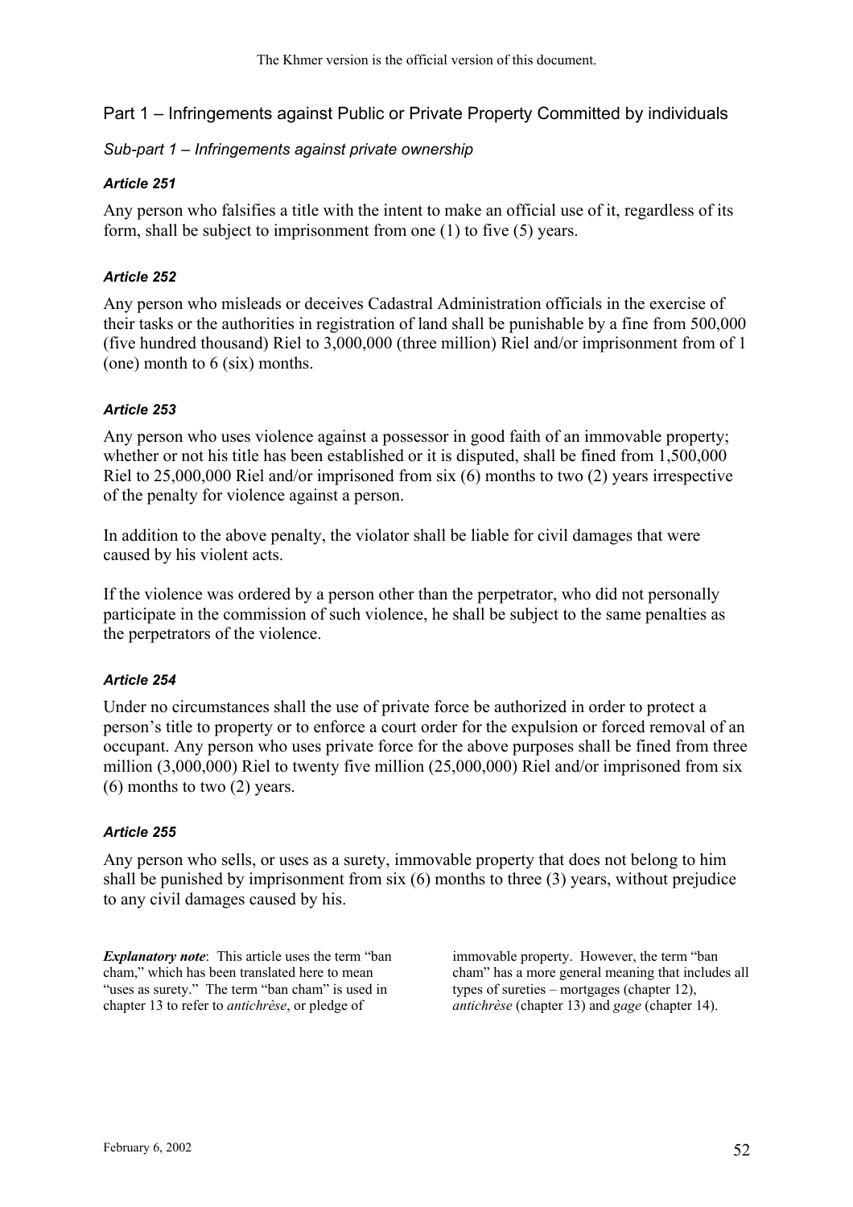Part 1 – Infringements against Public or Private Property Committed by individuals

#### *Sub-part 1 – Infringements against private ownership*

#### *Article 251*

Any person who falsifies a title with the intent to make an official use of it, regardless of its form, shall be subject to imprisonment from one (1) to five (5) years.

#### *Article 252*

Any person who misleads or deceives Cadastral Administration officials in the exercise of their tasks or the authorities in registration of land shall be punishable by a fine from 500,000 (five hundred thousand) Riel to 3,000,000 (three million) Riel and/or imprisonment from of 1 (one) month to 6 (six) months.

#### *Article 253*

Any person who uses violence against a possessor in good faith of an immovable property; whether or not his title has been established or it is disputed, shall be fined from 1,500,000 Riel to 25,000,000 Riel and/or imprisoned from six (6) months to two (2) years irrespective of the penalty for violence against a person.

In addition to the above penalty, the violator shall be liable for civil damages that were caused by his violent acts.

If the violence was ordered by a person other than the perpetrator, who did not personally participate in the commission of such violence, he shall be subject to the same penalties as the perpetrators of the violence.

#### *Article 254*

Under no circumstances shall the use of private force be authorized in order to protect a person's title to property or to enforce a court order for the expulsion or forced removal of an occupant. Any person who uses private force for the above purposes shall be fined from three million (3,000,000) Riel to twenty five million (25,000,000) Riel and/or imprisoned from six (6) months to two (2) years.

#### *Article 255*

Any person who sells, or uses as a surety, immovable property that does not belong to him shall be punished by imprisonment from six (6) months to three (3) years, without prejudice to any civil damages caused by his.

*Explanatory note*: This article uses the term "ban cham," which has been translated here to mean "uses as surety." The term "ban cham" is used in chapter 13 to refer to *antichrèse*, or pledge of

immovable property. However, the term "ban cham" has a more general meaning that includes all types of sureties – mortgages (chapter 12), *antichrèse* (chapter 13) and *gage* (chapter 14).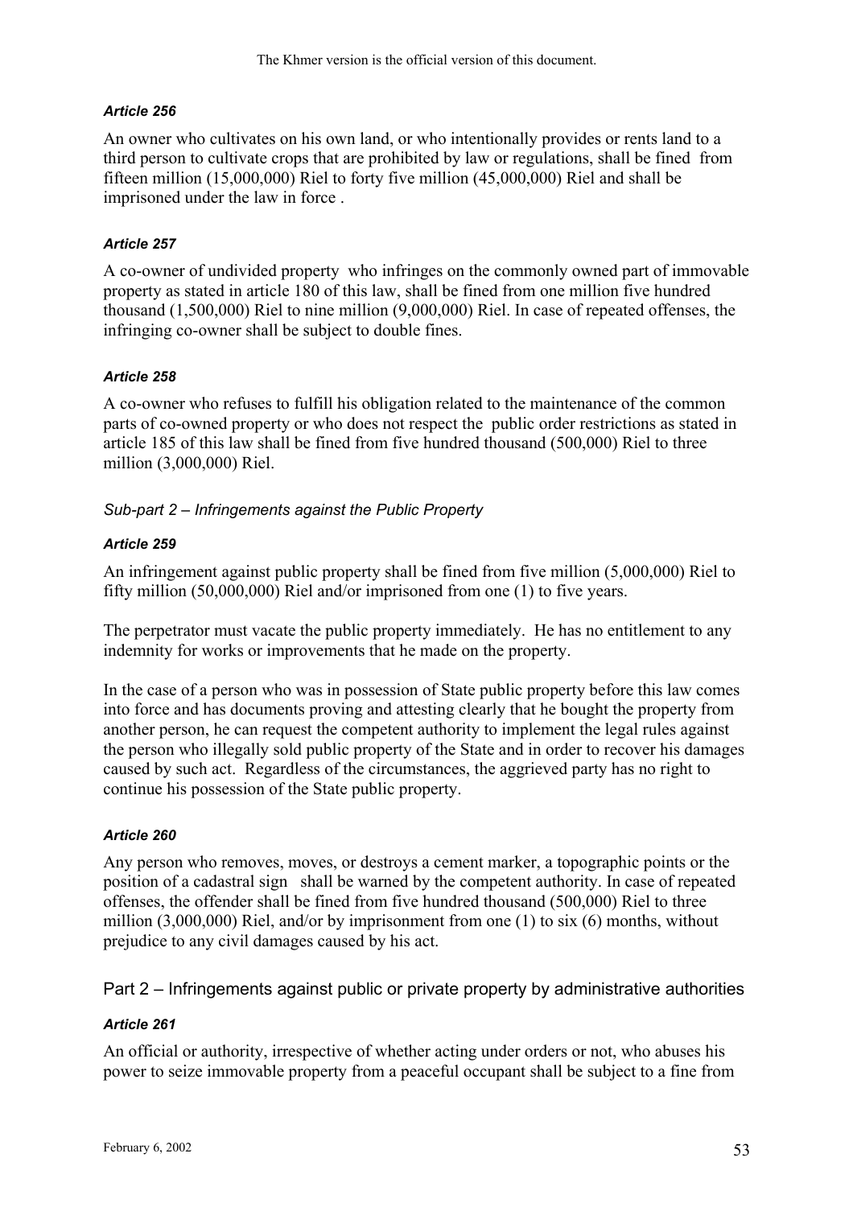An owner who cultivates on his own land, or who intentionally provides or rents land to a third person to cultivate crops that are prohibited by law or regulations, shall be fined from fifteen million (15,000,000) Riel to forty five million (45,000,000) Riel and shall be imprisoned under the law in force .

#### *Article 257*

A co-owner of undivided property who infringes on the commonly owned part of immovable property as stated in article 180 of this law, shall be fined from one million five hundred thousand (1,500,000) Riel to nine million (9,000,000) Riel. In case of repeated offenses, the infringing co-owner shall be subject to double fines.

#### *Article 258*

A co-owner who refuses to fulfill his obligation related to the maintenance of the common parts of co-owned property or who does not respect the public order restrictions as stated in article 185 of this law shall be fined from five hundred thousand (500,000) Riel to three million (3,000,000) Riel.

#### *Sub-part 2 – Infringements against the Public Property*

#### *Article 259*

An infringement against public property shall be fined from five million (5,000,000) Riel to fifty million (50,000,000) Riel and/or imprisoned from one (1) to five years.

The perpetrator must vacate the public property immediately. He has no entitlement to any indemnity for works or improvements that he made on the property.

In the case of a person who was in possession of State public property before this law comes into force and has documents proving and attesting clearly that he bought the property from another person, he can request the competent authority to implement the legal rules against the person who illegally sold public property of the State and in order to recover his damages caused by such act. Regardless of the circumstances, the aggrieved party has no right to continue his possession of the State public property.

#### *Article 260*

Any person who removes, moves, or destroys a cement marker, a topographic points or the position of a cadastral sign shall be warned by the competent authority. In case of repeated offenses, the offender shall be fined from five hundred thousand (500,000) Riel to three million (3,000,000) Riel, and/or by imprisonment from one (1) to six (6) months, without prejudice to any civil damages caused by his act.

# Part 2 – Infringements against public or private property by administrative authorities

#### *Article 261*

An official or authority, irrespective of whether acting under orders or not, who abuses his power to seize immovable property from a peaceful occupant shall be subject to a fine from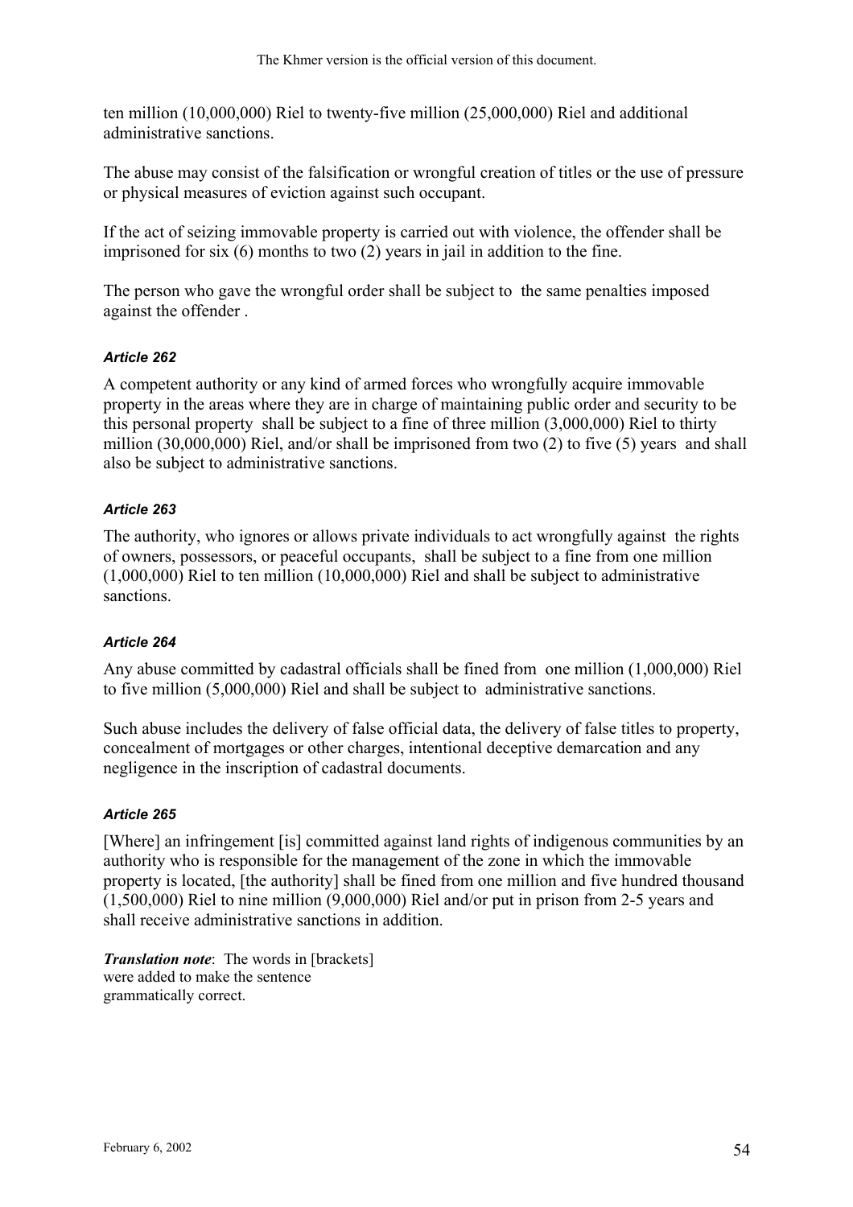ten million (10,000,000) Riel to twenty-five million (25,000,000) Riel and additional administrative sanctions.

The abuse may consist of the falsification or wrongful creation of titles or the use of pressure or physical measures of eviction against such occupant.

If the act of seizing immovable property is carried out with violence, the offender shall be imprisoned for six (6) months to two (2) years in jail in addition to the fine.

The person who gave the wrongful order shall be subject to the same penalties imposed against the offender .

# *Article 262*

A competent authority or any kind of armed forces who wrongfully acquire immovable property in the areas where they are in charge of maintaining public order and security to be this personal property shall be subject to a fine of three million (3,000,000) Riel to thirty million (30,000,000) Riel, and/or shall be imprisoned from two (2) to five (5) years and shall also be subject to administrative sanctions.

# *Article 263*

The authority, who ignores or allows private individuals to act wrongfully against the rights of owners, possessors, or peaceful occupants, shall be subject to a fine from one million (1,000,000) Riel to ten million (10,000,000) Riel and shall be subject to administrative sanctions.

#### *Article 264*

Any abuse committed by cadastral officials shall be fined from one million (1,000,000) Riel to five million (5,000,000) Riel and shall be subject to administrative sanctions.

Such abuse includes the delivery of false official data, the delivery of false titles to property, concealment of mortgages or other charges, intentional deceptive demarcation and any negligence in the inscription of cadastral documents.

#### *Article 265*

[Where] an infringement [is] committed against land rights of indigenous communities by an authority who is responsible for the management of the zone in which the immovable property is located, [the authority] shall be fined from one million and five hundred thousand (1,500,000) Riel to nine million (9,000,000) Riel and/or put in prison from 2-5 years and shall receive administrative sanctions in addition.

*Translation note*: The words in [brackets] were added to make the sentence grammatically correct.